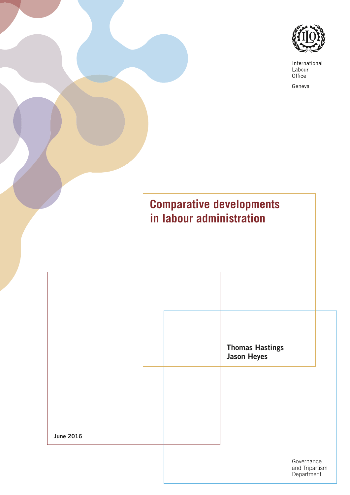

International<br>Labour Office Geneva

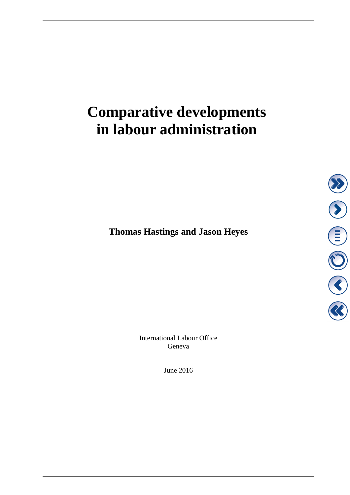# **Comparative developments in labour administration**

**Thomas Hastings and Jason Heyes** 

International Labour Office Geneva

June 2016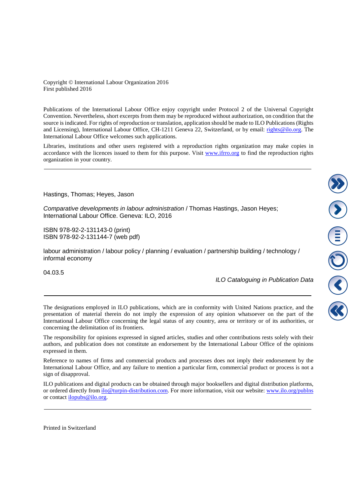Copyright © International Labour Organization 2016 First published 2016

Publications of the International Labour Office enjoy copyright under Protocol 2 of the Universal Copyright Convention. Nevertheless, short excerpts from them may be reproduced without authorization, on condition that the source is indicated. For rights of reproduction or translation, application should be made to ILO Publications (Rights and Licensing), International Labour Office, CH-1211 Geneva 22, Switzerland, or by email: rights@ilo.org. The International Labour Office welcomes such applications.

Libraries, institutions and other users registered with a reproduction rights organization may make copies in accordance with the licences issued to them for this purpose. Visit www.ifrro.org to find the reproduction rights organization in your country.

Hastings, Thomas; Heyes, Jason

Comparative developments in labour administration / Thomas Hastings, Jason Heyes; International Labour Office. Geneva: ILO, 2016

ISBN 978-92-2-131143-0 (print) ISBN 978-92-2-131144-7 (web pdf)

labour administration / labour policy / planning / evaluation / partnership building / technology / informal economy

04.03.5

ILO Cataloguing in Publication Data

The designations employed in ILO publications, which are in conformity with United Nations practice, and the presentation of material therein do not imply the expression of any opinion whatsoever on the part of the International Labour Office concerning the legal status of any country, area or territory or of its authorities, or concerning the delimitation of its frontiers.

The responsibility for opinions expressed in signed articles, studies and other contributions rests solely with their authors, and publication does not constitute an endorsement by the International Labour Office of the opinions expressed in them.

Reference to names of firms and commercial products and processes does not imply their endorsement by the International Labour Office, and any failure to mention a particular firm, commercial product or process is not a sign of disapproval.

ILO publications and digital products can be obtained through major booksellers and digital distribution platforms, or ordered directly from ilo@turpin-distribution.com. For more information, visit our website: www.ilo.org/publns or contact ilopubs@ilo.org.

ECESSION

Printed in Switzerland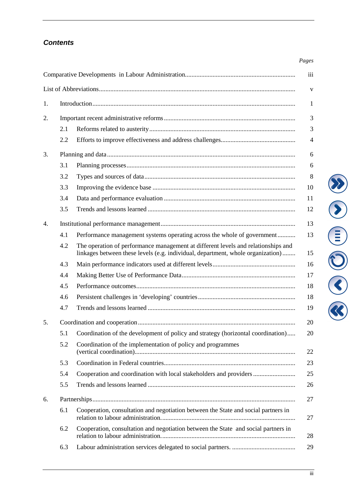# **Contents**

|    |     |                                                                                                                                                                      | Pages  |  |
|----|-----|----------------------------------------------------------------------------------------------------------------------------------------------------------------------|--------|--|
|    |     |                                                                                                                                                                      | 111    |  |
|    |     |                                                                                                                                                                      | V      |  |
| 1. |     |                                                                                                                                                                      | 1      |  |
| 2. |     |                                                                                                                                                                      |        |  |
|    | 2.1 |                                                                                                                                                                      | 3<br>3 |  |
|    | 2.2 |                                                                                                                                                                      | 4      |  |
|    |     |                                                                                                                                                                      |        |  |
| 3. |     |                                                                                                                                                                      |        |  |
|    | 3.1 |                                                                                                                                                                      | 6      |  |
|    | 3.2 |                                                                                                                                                                      | 8      |  |
|    | 3.3 |                                                                                                                                                                      | 10     |  |
|    | 3.4 |                                                                                                                                                                      | 11     |  |
|    | 3.5 |                                                                                                                                                                      | 12     |  |
| 4. |     |                                                                                                                                                                      |        |  |
|    | 4.1 | Performance management systems operating across the whole of government                                                                                              | 13     |  |
|    | 4.2 | The operation of performance management at different levels and relationships and<br>linkages between these levels (e.g. individual, department, whole organization) | 15     |  |
|    | 4.3 |                                                                                                                                                                      | 16     |  |
|    | 4.4 |                                                                                                                                                                      | 17     |  |
|    | 4.5 |                                                                                                                                                                      | 18     |  |
|    | 4.6 |                                                                                                                                                                      | 18     |  |
|    | 4.7 |                                                                                                                                                                      | 19     |  |
| 5. |     |                                                                                                                                                                      | 20     |  |
|    | 5.1 | Coordination of the development of policy and strategy (horizontal coordination)                                                                                     | 20     |  |
|    | 5.2 | Coordination of the implementation of policy and programmes                                                                                                          | 22     |  |
|    | 5.3 |                                                                                                                                                                      | 23     |  |
|    | 5.4 | Cooperation and coordination with local stakeholders and providers                                                                                                   | 25     |  |
|    | 5.5 |                                                                                                                                                                      | 26     |  |
| 6. |     |                                                                                                                                                                      |        |  |
|    | 6.1 | Cooperation, consultation and negotiation between the State and social partners in                                                                                   | 27     |  |
|    | 6.2 | Cooperation, consultation and negotiation between the State and social partners in                                                                                   | 28     |  |
|    | 6.3 |                                                                                                                                                                      | 29     |  |

EC DIS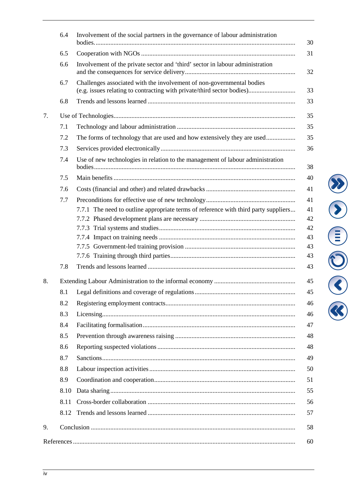|    | 6.4  | Involvement of the social partners in the governance of labour administration                                                                   |
|----|------|-------------------------------------------------------------------------------------------------------------------------------------------------|
|    | 6.5  |                                                                                                                                                 |
|    | 6.6  | Involvement of the private sector and 'third' sector in labour administration                                                                   |
|    | 6.7  | Challenges associated with the involvement of non-governmental bodies<br>(e.g. issues relating to contracting with private/third sector bodies) |
|    | 6.8  |                                                                                                                                                 |
| 7. |      |                                                                                                                                                 |
|    | 7.1  |                                                                                                                                                 |
|    | 7.2  |                                                                                                                                                 |
|    | 7.3  |                                                                                                                                                 |
|    | 7.4  | Use of new technologies in relation to the management of labour administration                                                                  |
|    | 7.5  |                                                                                                                                                 |
|    | 7.6  |                                                                                                                                                 |
|    | 7.7  |                                                                                                                                                 |
|    |      | 7.7.1 The need to outline appropriate terms of reference with third party suppliers                                                             |
|    |      |                                                                                                                                                 |
|    |      |                                                                                                                                                 |
|    |      |                                                                                                                                                 |
|    |      |                                                                                                                                                 |
|    | 7.8  |                                                                                                                                                 |
| 8. |      |                                                                                                                                                 |
|    |      |                                                                                                                                                 |
|    | 8.1  |                                                                                                                                                 |
|    | 8.2  |                                                                                                                                                 |
|    | 8.3  |                                                                                                                                                 |
|    | 8.4  |                                                                                                                                                 |
|    | 8.5  |                                                                                                                                                 |
|    | 8.6  |                                                                                                                                                 |
|    | 8.7  |                                                                                                                                                 |
|    | 8.8  |                                                                                                                                                 |
|    | 8.9  |                                                                                                                                                 |
|    | 8.10 |                                                                                                                                                 |
|    | 8.11 |                                                                                                                                                 |
|    | 8.12 |                                                                                                                                                 |
| 9. |      |                                                                                                                                                 |
|    |      |                                                                                                                                                 |
|    |      |                                                                                                                                                 |

EC ODE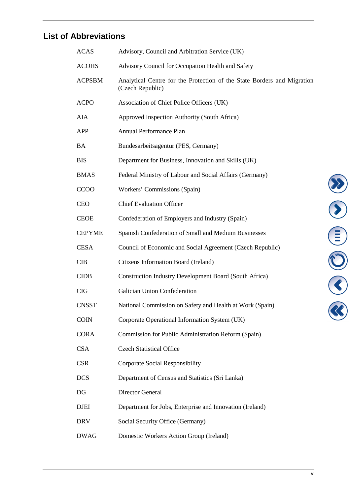# **List of Abbreviations**

| <b>ACAS</b>   | Advisory, Council and Arbitration Service (UK)                                              |
|---------------|---------------------------------------------------------------------------------------------|
| <b>ACOHS</b>  | Advisory Council for Occupation Health and Safety                                           |
| <b>ACPSBM</b> | Analytical Centre for the Protection of the State Borders and Migration<br>(Czech Republic) |
| <b>ACPO</b>   | Association of Chief Police Officers (UK)                                                   |
| AIA           | Approved Inspection Authority (South Africa)                                                |
| <b>APP</b>    | Annual Performance Plan                                                                     |
| <b>BA</b>     | Bundesarbeitsagentur (PES, Germany)                                                         |
| <b>BIS</b>    | Department for Business, Innovation and Skills (UK)                                         |
| <b>BMAS</b>   | Federal Ministry of Labour and Social Affairs (Germany)                                     |
| <b>CCOO</b>   | Workers' Commissions (Spain)                                                                |
| <b>CEO</b>    | <b>Chief Evaluation Officer</b>                                                             |
| <b>CEOE</b>   | Confederation of Employers and Industry (Spain)                                             |
| <b>CEPYME</b> | Spanish Confederation of Small and Medium Businesses                                        |
| <b>CESA</b>   | Council of Economic and Social Agreement (Czech Republic)                                   |
| <b>CIB</b>    | Citizens Information Board (Ireland)                                                        |
| <b>CIDB</b>   | <b>Construction Industry Development Board (South Africa)</b>                               |
| <b>CIG</b>    | Galician Union Confederation                                                                |
| <b>CNSST</b>  | National Commission on Safety and Health at Work (Spain)                                    |
| <b>COIN</b>   | Corporate Operational Information System (UK)                                               |
| <b>CORA</b>   | Commission for Public Administration Reform (Spain)                                         |
| <b>CSA</b>    | <b>Czech Statistical Office</b>                                                             |
| <b>CSR</b>    | Corporate Social Responsibility                                                             |
| <b>DCS</b>    | Department of Census and Statistics (Sri Lanka)                                             |
| DG            | Director General                                                                            |
| <b>DJEI</b>   | Department for Jobs, Enterprise and Innovation (Ireland)                                    |
| <b>DRV</b>    | Social Security Office (Germany)                                                            |
| <b>DWAG</b>   | Domestic Workers Action Group (Ireland)                                                     |

v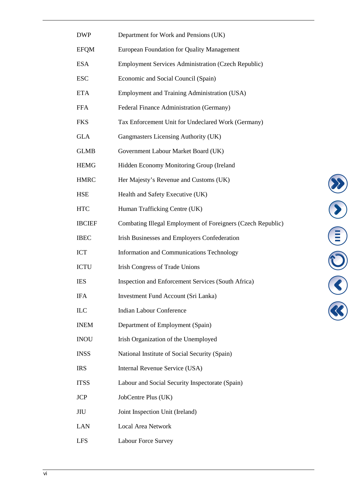| <b>DWP</b>    | Department for Work and Pensions (UK)                       |
|---------------|-------------------------------------------------------------|
| <b>EFQM</b>   | European Foundation for Quality Management                  |
| <b>ESA</b>    | <b>Employment Services Administration (Czech Republic)</b>  |
| <b>ESC</b>    | Economic and Social Council (Spain)                         |
| <b>ETA</b>    | <b>Employment and Training Administration (USA)</b>         |
| <b>FFA</b>    | Federal Finance Administration (Germany)                    |
| <b>FKS</b>    | Tax Enforcement Unit for Undeclared Work (Germany)          |
| <b>GLA</b>    | Gangmasters Licensing Authority (UK)                        |
| <b>GLMB</b>   | Government Labour Market Board (UK)                         |
| <b>HEMG</b>   | Hidden Economy Monitoring Group (Ireland                    |
| <b>HMRC</b>   | Her Majesty's Revenue and Customs (UK)                      |
| <b>HSE</b>    | Health and Safety Executive (UK)                            |
| <b>HTC</b>    | Human Trafficking Centre (UK)                               |
| <b>IBCIEF</b> | Combating Illegal Employment of Foreigners (Czech Republic) |
| <b>IBEC</b>   | <b>Irish Businesses and Employers Confederation</b>         |
| <b>ICT</b>    | Information and Communications Technology                   |
| <b>ICTU</b>   | <b>Irish Congress of Trade Unions</b>                       |
| <b>IES</b>    | Inspection and Enforcement Services (South Africa)          |
| <b>IFA</b>    | Investment Fund Account (Sri Lanka)                         |
| <b>ILC</b>    | <b>Indian Labour Conference</b>                             |
| <b>INEM</b>   | Department of Employment (Spain)                            |
| <b>INOU</b>   | Irish Organization of the Unemployed                        |
| <b>INSS</b>   | National Institute of Social Security (Spain)               |
| <b>IRS</b>    | Internal Revenue Service (USA)                              |
| <b>ITSS</b>   | Labour and Social Security Inspectorate (Spain)             |
| <b>JCP</b>    | JobCentre Plus (UK)                                         |
| JIU           | Joint Inspection Unit (Ireland)                             |
| <b>LAN</b>    | <b>Local Area Network</b>                                   |
| <b>LFS</b>    | Labour Force Survey                                         |

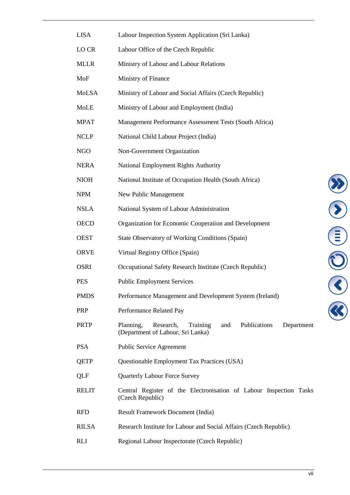| <b>LISA</b>  | Labour Inspection System Application (Sri Lanka)                                                             |
|--------------|--------------------------------------------------------------------------------------------------------------|
| LO CR        | Labour Office of the Czech Republic                                                                          |
| <b>MLLR</b>  | Ministry of Labour and Labour Relations                                                                      |
| MoF          | Ministry of Finance                                                                                          |
| MoLSA        | Ministry of Labour and Social Affairs (Czech Republic)                                                       |
| MoLE         | Ministry of Labour and Employment (India)                                                                    |
| <b>MPAT</b>  | Management Performance Assessment Tests (South Africa)                                                       |
| <b>NCLP</b>  | National Child Labour Project (India)                                                                        |
| <b>NGO</b>   | Non-Government Organization                                                                                  |
| <b>NERA</b>  | <b>National Employment Rights Authority</b>                                                                  |
| <b>NIOH</b>  | National Institute of Occupation Health (South Africa)                                                       |
| <b>NPM</b>   | New Public Management                                                                                        |
| <b>NSLA</b>  | National System of Labour Administration                                                                     |
| <b>OECD</b>  | Organization for Economic Cooperation and Development                                                        |
| <b>OEST</b>  | State Observatory of Working Conditions (Spain)                                                              |
| <b>ORVE</b>  | Virtual Registry Office (Spain)                                                                              |
| <b>OSRI</b>  | Occupational Safety Research Institute (Czech Republic)                                                      |
| <b>PES</b>   | <b>Public Employment Services</b>                                                                            |
| <b>PMDS</b>  | Performance Management and Development System (Ireland)                                                      |
| <b>PRP</b>   | Performance Related Pay                                                                                      |
| <b>PRTP</b>  | Planning,<br>Publications<br>Research,<br>Training<br>and<br>Department<br>(Department of Labour, Sri Lanka) |
| <b>PSA</b>   | Public Service Agreement                                                                                     |
| <b>QETP</b>  | Questionable Employment Tax Practices (USA)                                                                  |
| QLF          | <b>Quarterly Labour Force Survey</b>                                                                         |
| <b>RELIT</b> | Central Register of the Electronisation of Labour Inspection Tasks<br>(Czech Republic)                       |
| <b>RFD</b>   | <b>Result Framework Document (India)</b>                                                                     |
| <b>RILSA</b> | Research Institute for Labour and Social Affairs (Czech Republic)                                            |
| <b>RLI</b>   | Regional Labour Inspectorate (Czech Republic)                                                                |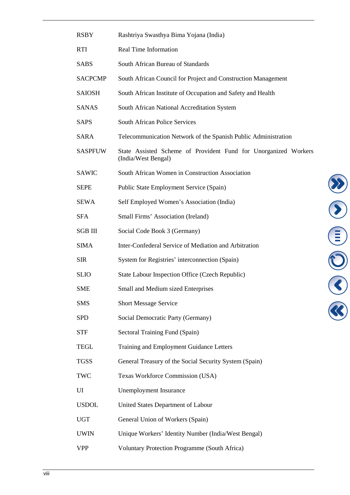| <b>RSBY</b>    | Rashtriya Swasthya Bima Yojana (India)                                                 |  |
|----------------|----------------------------------------------------------------------------------------|--|
| <b>RTI</b>     | Real Time Information                                                                  |  |
| <b>SABS</b>    | South African Bureau of Standards                                                      |  |
| <b>SACPCMP</b> | South African Council for Project and Construction Management                          |  |
| <b>SAIOSH</b>  | South African Institute of Occupation and Safety and Health                            |  |
| <b>SANAS</b>   | South African National Accreditation System                                            |  |
| <b>SAPS</b>    | South African Police Services                                                          |  |
| <b>SARA</b>    | Telecommunication Network of the Spanish Public Administration                         |  |
| <b>SASPFUW</b> | State Assisted Scheme of Provident Fund for Unorganized Workers<br>(India/West Bengal) |  |
| <b>SAWIC</b>   | South African Women in Construction Association                                        |  |
| <b>SEPE</b>    | Public State Employment Service (Spain)                                                |  |
| <b>SEWA</b>    | Self Employed Women's Association (India)                                              |  |
| <b>SFA</b>     | Small Firms' Association (Ireland)                                                     |  |
| <b>SGB III</b> | Social Code Book 3 (Germany)                                                           |  |
| <b>SIMA</b>    | Inter-Confederal Service of Mediation and Arbitration                                  |  |
| <b>SIR</b>     | System for Registries' interconnection (Spain)                                         |  |
| <b>SLIO</b>    | State Labour Inspection Office (Czech Republic)                                        |  |
| <b>SME</b>     | Small and Medium sized Enterprises                                                     |  |
| <b>SMS</b>     | <b>Short Message Service</b>                                                           |  |
| <b>SPD</b>     | Social Democratic Party (Germany)                                                      |  |
| <b>STF</b>     | Sectoral Training Fund (Spain)                                                         |  |
| <b>TEGL</b>    | Training and Employment Guidance Letters                                               |  |
| <b>TGSS</b>    | General Treasury of the Social Security System (Spain)                                 |  |
| TWC            | Texas Workforce Commission (USA)                                                       |  |
| UI             | <b>Unemployment Insurance</b>                                                          |  |
| <b>USDOL</b>   | United States Department of Labour                                                     |  |
| <b>UGT</b>     | General Union of Workers (Spain)                                                       |  |
| <b>UWIN</b>    | Unique Workers' Identity Number (India/West Bengal)                                    |  |
| <b>VPP</b>     | <b>Voluntary Protection Programme (South Africa)</b>                                   |  |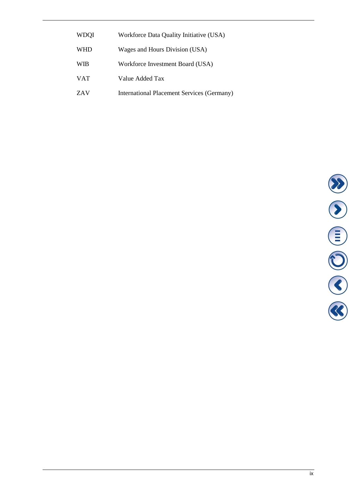- WDQI Workforce Data Quality Initiative (USA)
- WHD Wages and Hours Division (USA)
- WIB Workforce Investment Board (USA)
- VAT Value Added Tax
- ZAV International Placement Services (Germany)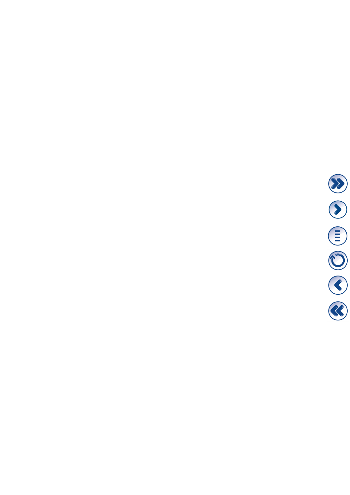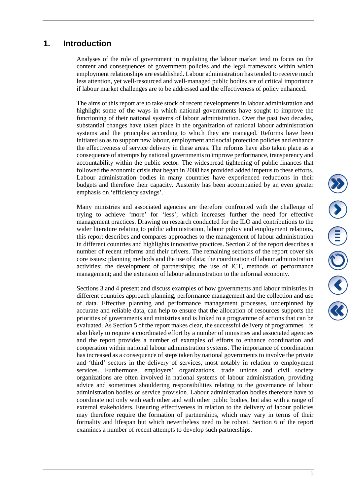# **1. Introduction**

Analyses of the role of government in regulating the labour market tend to focus on the content and consequences of government policies and the legal framework within which employment relationships are established. Labour administration has tended to receive much less attention, yet well-resourced and well-managed public bodies are of critical importance if labour market challenges are to be addressed and the effectiveness of policy enhanced.

The aims of this report are to take stock of recent developments in labour administration and highlight some of the ways in which national governments have sought to improve the functioning of their national systems of labour administration. Over the past two decades, substantial changes have taken place in the organization of national labour administration systems and the principles according to which they are managed. Reforms have been initiated so as to support new labour, employment and social protection policies and enhance the effectiveness of service delivery in these areas. The reforms have also taken place as a consequence of attempts by national governments to improve performance, transparency and accountability within the public sector. The widespread tightening of public finances that followed the economic crisis that began in 2008 has provided added impetus to these efforts. Labour administration bodies in many countries have experienced reductions in their budgets and therefore their capacity. Austerity has been accompanied by an even greater emphasis on 'efficiency savings'.

Many ministries and associated agencies are therefore confronted with the challenge of trying to achieve 'more' for 'less', which increases further the need for effective management practices. Drawing on research conducted for the ILO and contributions to the wider literature relating to public administration, labour policy and employment relations, this report describes and compares approaches to the management of labour administration in different countries and highlights innovative practices. Section 2 of the report describes a number of recent reforms and their drivers. The remaining sections of the report cover six core issues: planning methods and the use of data; the coordination of labour administration activities; the development of partnerships; the use of ICT, methods of performance management; and the extension of labour administration to the informal economy.

Sections 3 and 4 present and discuss examples of how governments and labour ministries in different countries approach planning, performance management and the collection and use of data. Effective planning and performance management processes, underpinned by accurate and reliable data, can help to ensure that the allocation of resources supports the priorities of governments and ministries and is linked to a programme of actions that can be evaluated. As Section 5 of the report makes clear, the successful delivery of programmes is also likely to require a coordinated effort by a number of ministries and associated agencies and the report provides a number of examples of efforts to enhance coordination and cooperation within national labour administration systems. The importance of coordination has increased as a consequence of steps taken by national governments to involve the private and 'third' sectors in the delivery of services, most notably in relation to employment services. Furthermore, employers' organizations, trade unions and civil society organizations are often involved in national systems of labour administration, providing advice and sometimes shouldering responsibilities relating to the governance of labour administration bodies or service provision. Labour administration bodies therefore have to coordinate not only with each other and with other public bodies, but also with a range of external stakeholders. Ensuring effectiveness in relation to the delivery of labour policies may therefore require the formation of partnerships, which may vary in terms of their formality and lifespan but which nevertheless need to be robust. Section 6 of the report examines a number of recent attempts to develop such partnerships.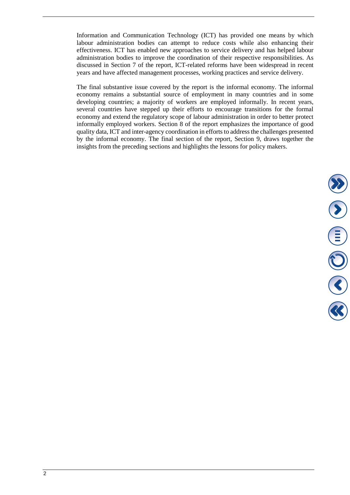Information and Communication Technology (ICT) has provided one means by which labour administration bodies can attempt to reduce costs while also enhancing their effectiveness. ICT has enabled new approaches to service delivery and has helped labour administration bodies to improve the coordination of their respective responsibilities. As discussed in Section 7 of the report, ICT-related reforms have been widespread in recent years and have affected management processes, working practices and service delivery.

The final substantive issue covered by the report is the informal economy. The informal economy remains a substantial source of employment in many countries and in some developing countries; a majority of workers are employed informally. In recent years, several countries have stepped up their efforts to encourage transitions for the formal economy and extend the regulatory scope of labour administration in order to better protect informally employed workers. Section 8 of the report emphasizes the importance of good quality data, ICT and inter-agency coordination in efforts to address the challenges presented by the informal economy. The final section of the report, Section 9, draws together the insights from the preceding sections and highlights the lessons for policy makers.

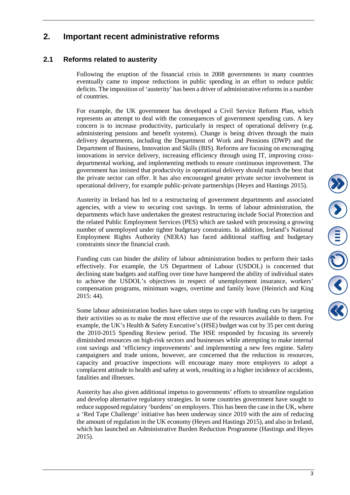# **2. Important recent administrative reforms**

# **2.1 Reforms related to austerity**

Following the eruption of the financial crisis in 2008 governments in many countries eventually came to impose reductions in public spending in an effort to reduce public deficits. The imposition of 'austerity' has been a driver of administrative reforms in a number of countries.

For example, the UK government has developed a Civil Service Reform Plan, which represents an attempt to deal with the consequences of government spending cuts. A key concern is to increase productivity, particularly in respect of operational delivery (e.g. administering pensions and benefit systems). Change is being driven through the main delivery departments, including the Department of Work and Pensions (DWP) and the Department of Business, Innovation and Skills (BIS). Reforms are focusing on encouraging innovations in service delivery, increasing efficiency through using IT, improving crossdepartmental working, and implementing methods to ensure continuous improvement. The government has insisted that productivity in operational delivery should match the best that the private sector can offer. It has also encouraged greater private sector involvement in operational delivery, for example public-private partnerships (Heyes and Hastings 2015).

Austerity in Ireland has led to a restructuring of government departments and associated agencies, with a view to securing cost savings. In terms of labour administration, the departments which have undertaken the greatest restructuring include Social Protection and the related Public Employment Services (PES) which are tasked with processing a growing number of unemployed under tighter budgetary constraints. In addition, Ireland's National Employment Rights Authority (NERA) has faced additional staffing and budgetary constraints since the financial crash.

Funding cuts can hinder the ability of labour administration bodies to perform their tasks effectively. For example, the US Department of Labour (USDOL) is concerned that declining state budgets and staffing over time have hampered the ability of individual states to achieve the USDOL's objectives in respect of unemployment insurance, workers' compensation programs, minimum wages, overtime and family leave (Heinrich and King 2015: 44).

Some labour administration bodies have taken steps to cope with funding cuts by targeting their activities so as to make the most effective use of the resources available to them. For example, the UK's Health & Safety Executive's (HSE) budget was cut by 35 per cent during the 2010-2015 Spending Review period. The HSE responded by focusing its severely diminished resources on high-risk sectors and businesses while attempting to make internal cost savings and 'efficiency improvements' and implementing a new fees regime. Safety campaigners and trade unions, however, are concerned that the reduction in resources, capacity and proactive inspections will encourage many more employers to adopt a complacent attitude to health and safety at work, resulting in a higher incidence of accidents, fatalities and illnesses.

Austerity has also given additional impetus to governments' efforts to streamline regulation and develop alternative regulatory strategies. In some countries government have sought to reduce supposed regulatory 'burdens' on employers. This has been the case in the UK, where a 'Red Tape Challenge' initiative has been underway since 2010 with the aim of reducing the amount of regulation in the UK economy (Heyes and Hastings 2015), and also in Ireland, which has launched an Administrative Burden Reduction Programme (Hastings and Heyes 2015).

ECCES

3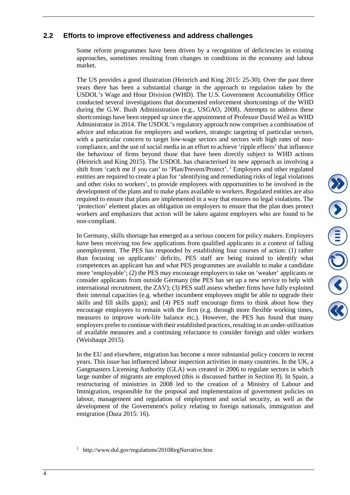# C III C

# **2.2 Efforts to improve effectiveness and address challenges**

Some reform programmes have been driven by a recognition of deficiencies in existing approaches, sometimes resulting from changes in conditions in the economy and labour market.

The US provides a good illustration (Heinrich and King 2015: 25-30). Over the past three years there has been a substantial change in the approach to regulation taken by the USDOL's Wage and Hour Division (WHD). The U.S. Government Accountability Office conducted several investigations that documented enforcement shortcomings of the WHD during the G.W. Bush Administration (e.g., USGAO, 2008). Attempts to address these shortcomings have been stepped up since the appointment of Professor David Weil as WHD Administrator in 2014. The USDOL's regulatory approach now comprises a combination of advice and education for employers and workers, strategic targeting of particular sectors, with a particular concern to target low-wage sectors and sectors with high rates of noncompliance, and the use of social media in an effort to achieve 'ripple effects' that influence the behaviour of firms beyond those that have been directly subject to WHD actions (Heinrich and King 2015). The USDOL has characterised its new approach as involving a shift from 'catch me if you can' to 'Plan/Prevent/Protect'.<sup>1</sup> Employers and other regulated entities are required to create a plan for 'identifying and remediating risks of legal violations and other risks to workers', to provide employees with opportunities to be involved in the development of the plans and to make plans available to workers. Regulated entities are also required to ensure that plans are implemented in a way that ensures no legal violations. The 'protection' element places an obligation on employers to ensure that the plan does protect workers and emphasizes that action will be taken against employers who are found to be non-compliant.

In Germany, skills shortage has emerged as a serious concern for policy makers. Employers have been receiving too few applications from qualified applicants in a context of falling unemployment. The PES has responded by establishing four courses of action: (1) rather than focusing on applicants' deficits, PES staff are being trained to identify what competences an applicant has and what PES programmes are available to make a candidate more 'employable'; (2) the PES may encourage employers to take on 'weaker' applicants or consider applicants from outside Germany (the PES has set up a new service to help with international recruitment, the ZAV); (3) PES staff assess whether firms have fully exploited their internal capacities (e.g. whether incumbent employees might be able to upgrade their skills and fill skills gaps); and (4) PES staff encourage firms to think about how they encourage employees to remain with the firm (e.g. through more flexible working times, measures to improve work-life balance etc.). However, the PES has found that many employers prefer to continue with their established practices, resulting in an under-utilization of available measures and a continuing reluctance to consider foreign and older workers (Weishaupt 2015).

In the EU and elsewhere, migration has become a more substantial policy concern in recent years. This issue has influenced labour inspection activities in many countries. In the UK, a Gangmasters Licensing Authority (GLA) was created in 2006 to regulate sectors in which large number of migrants are employed (this is discussed further in Section 8). In Spain, a restructuring of ministries in 2008 led to the creation of a Ministry of Labour and Immigration, responsible for the proposal and implementation of government policies on labour, management and regulation of employment and social security, as well as the development of the Government's policy relating to foreign nationals, immigration and emigration (Daza 2015: 16).

<sup>1</sup> http://www.dol.gov/regulations/2010RegNarrative.htm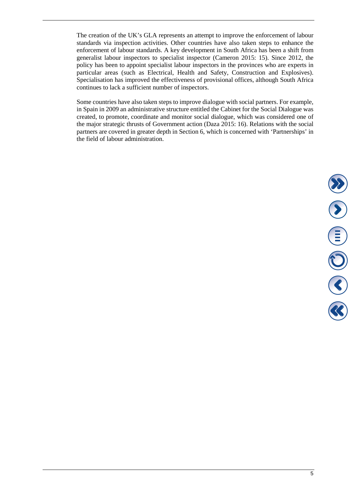The creation of the UK's GLA represents an attempt to improve the enforcement of labour standards via inspection activities. Other countries have also taken steps to enhance the enforcement of labour standards. A key development in South Africa has been a shift from generalist labour inspectors to specialist inspector (Cameron 2015: 15). Since 2012, the policy has been to appoint specialist labour inspectors in the provinces who are experts in particular areas (such as Electrical, Health and Safety, Construction and Explosives). Specialisation has improved the effectiveness of provisional offices, although South Africa continues to lack a sufficient number of inspectors.

Some countries have also taken steps to improve dialogue with social partners. For example, in Spain in 2009 an administrative structure entitled the Cabinet for the Social Dialogue was created, to promote, coordinate and monitor social dialogue, which was considered one of the major strategic thrusts of Government action (Daza 2015: 16). Relations with the social partners are covered in greater depth in Section 6, which is concerned with 'Partnerships' in the field of labour administration.

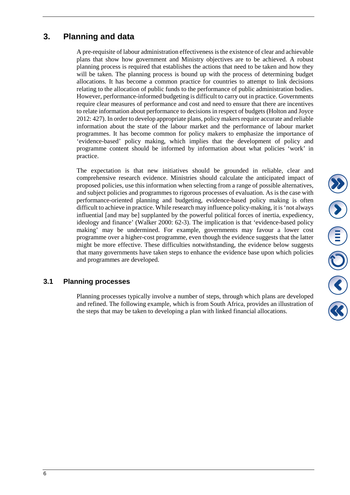# **3. Planning and data**

A pre-requisite of labour administration effectiveness is the existence of clear and achievable plans that show how government and Ministry objectives are to be achieved. A robust planning process is required that establishes the actions that need to be taken and how they will be taken. The planning process is bound up with the process of determining budget allocations. It has become a common practice for countries to attempt to link decisions relating to the allocation of public funds to the performance of public administration bodies. However, performance-informed budgeting is difficult to carry out in practice. Governments require clear measures of performance and cost and need to ensure that there are incentives to relate information about performance to decisions in respect of budgets (Holton and Joyce 2012: 427). In order to develop appropriate plans, policy makers require accurate and reliable information about the state of the labour market and the performance of labour market programmes. It has become common for policy makers to emphasize the importance of 'evidence-based' policy making, which implies that the development of policy and programme content should be informed by information about what policies 'work' in practice.

The expectation is that new initiatives should be grounded in reliable, clear and comprehensive research evidence. Ministries should calculate the anticipated impact of proposed policies, use this information when selecting from a range of possible alternatives, and subject policies and programmes to rigorous processes of evaluation. As is the case with performance-oriented planning and budgeting, evidence-based policy making is often difficult to achieve in practice. While research may influence policy-making, it is 'not always influential [and may be] supplanted by the powerful political forces of inertia, expediency, ideology and finance' (Walker 2000: 62-3). The implication is that 'evidence-based policy making' may be undermined. For example, governments may favour a lower cost programme over a higher-cost programme, even though the evidence suggests that the latter might be more effective. These difficulties notwithstanding, the evidence below suggests that many governments have taken steps to enhance the evidence base upon which policies and programmes are developed.

# **3.1 Planning processes**

Planning processes typically involve a number of steps, through which plans are developed and refined. The following example, which is from South Africa, provides an illustration of the steps that may be taken to developing a plan with linked financial allocations.

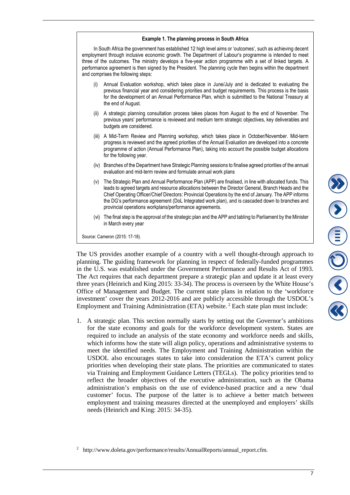### **Example 1. The planning process in South Africa**

In South Africa the government has established 12 high level aims or 'outcomes', such as achieving decent employment through inclusive economic growth. The Department of Labour's programme is intended to meet three of the outcomes. The ministry develops a five-year action programme with a set of linked targets. A performance agreement is then signed by the President. The planning cycle then begins within the department and comprises the following steps:

- (i) Annual Evaluation workshop, which takes place in June/July and is dedicated to evaluating the previous financial year and considering priorities and budget requirements. This process is the basis for the development of an Annual Performance Plan, which is submitted to the National Treasury at the end of August.
- (ii) A strategic planning consultation process takes places from August to the end of November. The previous years' performance is reviewed and medium term strategic objectives, key deliverables and budgets are considered.
- (iii) A Mid-Term Review and Planning workshop, which takes place in October/November. Mid-term progress is reviewed and the agreed priorities of the Annual Evaluation are developed into a concrete programme of action (Annual Performance Plan), taking into account the possible budget allocations for the following year.
- (iv) Branches of the Department have Strategic Planning sessions to finalise agreed priorities of the annual evaluation and mid-term review and formulate annual work plans
- (v) The Strategic Plan and Annual Performance Plan (APP) are finalised, in line with allocated funds. This leads to agreed targets and resource allocations between the Director General, Branch Heads and the Chief Operating Officer/Chief Directors: Provincial Operations by the end of January. The APP informs the DG's performance agreement (DoL Integrated work plan), and is cascaded down to branches and provincial operations workplans/performance agreements.
- (vi) The final step is the approval of the strategic plan and the APP and tabling to Parliament by the Minister in March every year

Source: Cameron (2015: 17-18).

The US provides another example of a country with a well thought-through approach to planning. The guiding framework for planning in respect of federally-funded programmes in the U.S. was established under the Government Performance and Results Act of 1993. The Act requires that each department prepare a strategic plan and update it at least every three years (Heinrich and King 2015: 33-34). The process is overseen by the White House's Office of Management and Budget. The current state plans in relation to the 'workforce investment' cover the years 2012-2016 and are publicly accessible through the USDOL's Employment and Training Administration  $(ETA)$  website.<sup>2</sup> Each state plan must include:

1. A strategic plan. This section normally starts by setting out the Governor's ambitions for the state economy and goals for the workforce development system. States are required to include an analysis of the state economy and workforce needs and skills, which informs how the state will align policy, operations and administrative systems to meet the identified needs. The Employment and Training Administration within the USDOL also encourages states to take into consideration the ETA's current policy priorities when developing their state plans. The priorities are communicated to states via Training and Employment Guidance Letters (TEGLs). The policy priorities tend to reflect the broader objectives of the executive administration, such as the Obama administration's emphasis on the use of evidence-based practice and a new 'dual customer' focus. The purpose of the latter is to achieve a better match between employment and training measures directed at the unemployed and employers' skills needs (Heinrich and King: 2015: 34-35).

2 http://www.doleta.gov/performance/results/AnnualReports/annual\_report.cfm. ECCES

7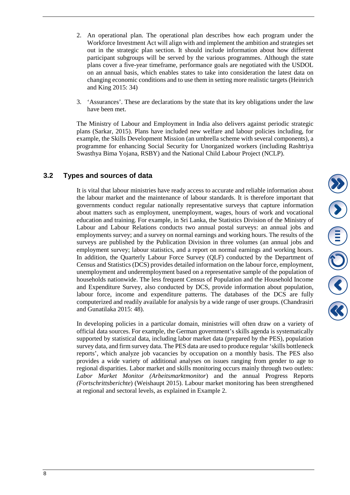- 2. An operational plan. The operational plan describes how each program under the Workforce Investment Act will align with and implement the ambition and strategies set out in the strategic plan section. It should include information about how different participant subgroups will be served by the various programmes. Although the state plans cover a five-year timeframe, performance goals are negotiated with the USDOL on an annual basis, which enables states to take into consideration the latest data on changing economic conditions and to use them in setting more realistic targets (Heinrich and King 2015: 34)
- 3. 'Assurances'. These are declarations by the state that its key obligations under the law have been met.

The Ministry of Labour and Employment in India also delivers against periodic strategic plans (Sarkar, 2015). Plans have included new welfare and labour policies including, for example, the Skills Development Mission (an umbrella scheme with several components), a programme for enhancing Social Security for Unorganized workers (including Rashtriya Swasthya Bima Yojana, RSBY) and the National Child Labour Project (NCLP).

### **3.2 Types and sources of data**

It is vital that labour ministries have ready access to accurate and reliable information about the labour market and the maintenance of labour standards. It is therefore important that governments conduct regular nationally representative surveys that capture information about matters such as employment, unemployment, wages, hours of work and vocational education and training. For example, in Sri Lanka, the Statistics Division of the Ministry of Labour and Labour Relations conducts two annual postal surveys: an annual jobs and employments survey; and a survey on normal earnings and working hours. The results of the surveys are published by the Publication Division in three volumes (an annual jobs and employment survey; labour statistics, and a report on normal earnings and working hours. In addition, the Quarterly Labour Force Survey (QLF) conducted by the Department of Census and Statistics (DCS) provides detailed information on the labour force, employment, unemployment and underemployment based on a representative sample of the population of households nationwide. The less frequent Census of Population and the Household Income and Expenditure Survey, also conducted by DCS, provide information about population, labour force, income and expenditure patterns. The databases of the DCS are fully computerized and readily available for analysis by a wide range of user groups. (Chandrasiri and Gunatilaka 2015: 48).

In developing policies in a particular domain, ministries will often draw on a variety of official data sources. For example, the German government's skills agenda is systematically supported by statistical data, including labor market data (prepared by the PES), population survey data, and firm survey data. The PES data are used to produce regular 'skills bottleneck reports', which analyze job vacancies by occupation on a monthly basis. The PES also provides a wide variety of additional analyses on issues ranging from gender to age to regional disparities. Labor market and skills monitoring occurs mainly through two outlets: *Labor Market Monitor (Arbeitsmarktmonitor*) and the annual Progress Reports *(Fortschrittsberichte*) (Weishaupt 2015). Labour market monitoring has been strengthened at regional and sectoral levels, as explained in Example 2.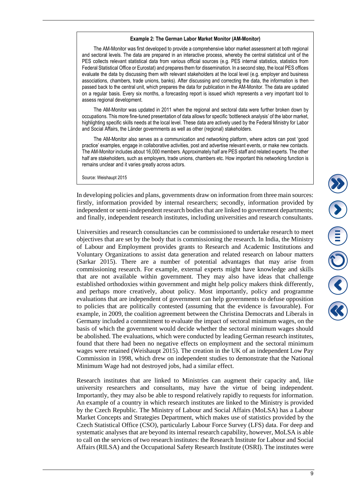### **Example 2: The German Labor Market Monitor (AM-Monitor)**

The AM-Monitor was first developed to provide a comprehensive labor market assessment at both regional and sectoral levels. The data are prepared in an interactive process, whereby the central statistical unit of the PES collects relevant statistical data from various official sources (e.g. PES internal statistics, statistics from Federal Statistical Office or Eurostat) and prepares them for dissemination. In a second step, the local PES offices evaluate the data by discussing them with relevant stakeholders at the local level (e.g. employer and business associations, chambers, trade unions, banks). After discussing and correcting the data, the information is then passed back to the central unit, which prepares the data for publication in the AM-Monitor. The data are updated on a regular basis. Every six months, a forecasting report is issued which represents a very important tool to assess regional development.

The AM-Monitor was updated in 2011 when the regional and sectoral data were further broken down by occupations. This more fine-tuned presentation of data allows for specific 'bottleneck analysis' of the labor market, highlighting specific skills needs at the local level. These data are actively used by the Federal Ministry for Labor and Social Affairs, the Länder governments as well as other (regional) stakeholders.

The AM-Monitor also serves as a communication and networking platform, where actors can post 'good practice' examples, engage in collaborative activities, post and advertise relevant events, or make new contacts. The AM-Monitor includes about 16,000 members. Approximately half are PES staff and related experts. The other half are stakeholders, such as employers, trade unions, chambers etc. How important this networking function is remains unclear and it varies greatly across actors.

Source: Weishaupt 2015

In developing policies and plans, governments draw on information from three main sources: firstly, information provided by internal researchers; secondly, information provided by independent or semi-independent research bodies that are linked to government departments; and finally, independent research institutes, including universities and research consultants.

Universities and research consultancies can be commissioned to undertake research to meet objectives that are set by the body that is commissioning the research. In India, the Ministry of Labour and Employment provides grants to Research and Academic Institutions and Voluntary Organizations to assist data generation and related research on labour matters (Sarkar 2015). There are a number of potential advantages that may arise from commissioning research. For example, external experts might have knowledge and skills that are not available within government. They may also have ideas that challenge established orthodoxies within government and might help policy makers think differently, and perhaps more creatively, about policy. Most importantly, policy and programme evaluations that are independent of government can help governments to defuse opposition to policies that are politically contested (assuming that the evidence is favourable). For example, in 2009, the coalition agreement between the Christina Democrats and Liberals in Germany included a commitment to evaluate the impact of sectoral minimum wages, on the basis of which the government would decide whether the sectoral minimum wages should be abolished. The evaluations, which were conducted by leading German research institutes, found that there had been no negative effects on employment and the sectoral minimum wages were retained (Weishaupt 2015). The creation in the UK of an independent Low Pay Commission in 1998, which drew on independent studies to demonstrate that the National Minimum Wage had not destroyed jobs, had a similar effect.

Research institutes that are linked to Ministries can augment their capacity and, like university researchers and consultants, may have the virtue of being independent. Importantly, they may also be able to respond relatively rapidly to requests for information. An example of a country in which research institutes are linked to the Ministry is provided by the Czech Republic. The Ministry of Labour and Social Affairs (MoLSA) has a Labour Market Concepts and Strategies Department, which makes use of statistics provided by the Czech Statistical Office (CSO), particularly Labour Force Survey (LFS) data. For deep and systematic analyses that are beyond its internal research capability, however, MoLSA is able to call on the services of two research institutes: the Research Institute for Labour and Social Affairs (RILSA) and the Occupational Safety Research Institute (OSRI). The institutes were ECCION

9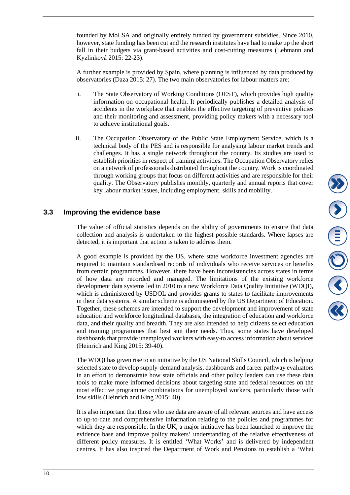ECCINES

founded by MoLSA and originally entirely funded by government subsidies. Since 2010, however, state funding has been cut and the research institutes have had to make up the short fall in their budgets via grant-based activities and cost-cutting measures (Lehmann and Kyzlinková 2015: 22-23).

A further example is provided by Spain, where planning is influenced by data produced by observatories (Daza 2015: 27). The two main observatories for labour matters are:

- i. The State Observatory of Working Conditions (OEST), which provides high quality information on occupational health. It periodically publishes a detailed analysis of accidents in the workplace that enables the effective targeting of preventive policies and their monitoring and assessment, providing policy makers with a necessary tool to achieve institutional goals.
- ii. The Occupation Observatory of the Public State Employment Service, which is a technical body of the PES and is responsible for analysing labour market trends and challenges. It has a single network throughout the country. Its studies are used to establish priorities in respect of training activities. The Occupation Observatory relies on a network of professionals distributed throughout the country. Work is coordinated through working groups that focus on different activities and are responsible for their quality. The Observatory publishes monthly, quarterly and annual reports that cover key labour market issues, including employment, skills and mobility.

### **3.3 Improving the evidence base**

The value of official statistics depends on the ability of governments to ensure that data collection and analysis is undertaken to the highest possible standards. Where lapses are detected, it is important that action is taken to address them.

A good example is provided by the US, where state workforce investment agencies are required to maintain standardised records of individuals who receive services or benefits from certain programmes. However, there have been inconsistencies across states in terms of how data are recorded and managed. The limitations of the existing workforce development data systems led in 2010 to a new Workforce Data Quality Initiative (WDQI), which is administered by USDOL and provides grants to states to facilitate improvements in their data systems. A similar scheme is administered by the US Department of Education. Together, these schemes are intended to support the development and improvement of state education and workforce longitudinal databases, the integration of education and workforce data, and their quality and breadth. They are also intended to help citizens select education and training programmes that best suit their needs. Thus, some states have developed dashboards that provide unemployed workers with easy-to access information about services (Heinrich and King 2015: 39-40).

The WDQI has given rise to an initiative by the US National Skills Council, which is helping selected state to develop supply-demand analysis, dashboards and career pathway evaluators in an effort to demonstrate how state officials and other policy leaders can use these data tools to make more informed decisions about targeting state and federal resources on the most effective programme combinations for unemployed workers, particularly those with low skills (Heinrich and King 2015: 40).

It is also important that those who use data are aware of all relevant sources and have access to up-to-date and comprehensive information relating to the policies and programmes for which they are responsible. In the UK, a major initiative has been launched to improve the evidence base and improve policy makers' understanding of the relative effectiveness of different policy measures. It is entitled 'What Works' and is delivered by independent centres. It has also inspired the Department of Work and Pensions to establish a 'What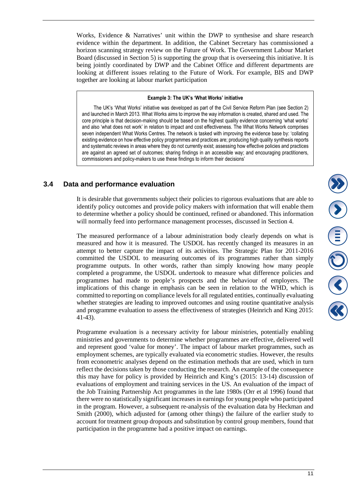Works, Evidence & Narratives' unit within the DWP to synthesise and share research evidence within the department. In addition, the Cabinet Secretary has commissioned a horizon scanning strategy review on the Future of Work. The Government Labour Market Board (discussed in Section 5) is supporting the group that is overseeing this initiative. It is being jointly coordinated by DWP and the Cabinet Office and different departments are looking at different issues relating to the Future of Work. For example, BIS and DWP together are looking at labour market participation

### **Example 3: The UK's 'What Works' initiative**

The UK's 'What Works' initiative was developed as part of the Civil Service Reform Plan (see Section 2) and launched in March 2013. What Works aims to improve the way information is created, shared and used. The core principle is that decision-making should be based on the highest quality evidence concerning 'what works' and also 'what does not work' in relation to impact and cost effectiveness. The What Works Network comprises seven independent What Works Centres. The network is tasked with improving the evidence base by: 'collating existing evidence on how effective policy programmes and practices are; producing high quality synthesis reports and systematic reviews in areas where they do not currently exist; assessing how effective policies and practices are against an agreed set of outcomes; sharing findings in an accessible way; and encouraging practitioners, commissioners and policy-makers to use these findings to inform their decisions'

# **3.4 Data and performance evaluation**

It is desirable that governments subject their policies to rigorous evaluations that are able to identify policy outcomes and provide policy makers with information that will enable them to determine whether a policy should be continued, refined or abandoned. This information will normally feed into performance management processes, discussed in Section 4.

The measured performance of a labour administration body clearly depends on what is measured and how it is measured. The USDOL has recently changed its measures in an attempt to better capture the impact of its activities. The Strategic Plan for 2011-2016 committed the USDOL to measuring outcomes of its programmes rather than simply programme outputs. In other words, rather than simply knowing how many people completed a programme, the USDOL undertook to measure what difference policies and programmes had made to people's prospects and the behaviour of employers. The implications of this change in emphasis can be seen in relation to the WHD, which is committed to reporting on compliance levels for all regulated entities, continually evaluating whether strategies are leading to improved outcomes and using routine quantitative analysis and programme evaluation to assess the effectiveness of strategies (Heinrich and King 2015: 41-43).

Programme evaluation is a necessary activity for labour ministries, potentially enabling ministries and governments to determine whether programmes are effective, delivered well and represent good 'value for money'. The impact of labour market programmes, such as employment schemes, are typically evaluated via econometric studies. However, the results from econometric analyses depend on the estimation methods that are used, which in turn reflect the decisions taken by those conducting the research. An example of the consequence this may have for policy is provided by Heinrich and King's (2015: 13-14) discussion of evaluations of employment and training services in the US. An evaluation of the impact of the Job Training Partnership Act programmes in the late 1980s (Orr et al 1996) found that there were no statistically significant increases in earnings for young people who participated in the program. However, a subsequent re-analysis of the evaluation data by Heckman and Smith (2000), which adjusted for (among other things) the failure of the earlier study to account for treatment group dropouts and substitution by control group members, found that participation in the programme had a positive impact on earnings.

ECCIONS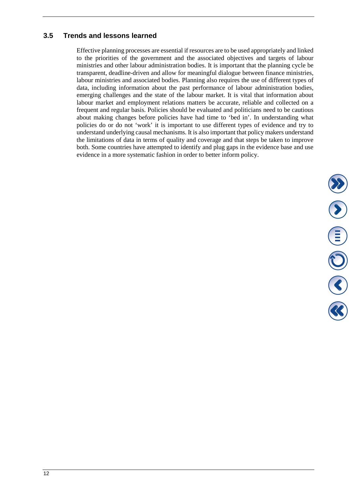# **3.5 Trends and lessons learned**

Effective planning processes are essential if resources are to be used appropriately and linked to the priorities of the government and the associated objectives and targets of labour ministries and other labour administration bodies. It is important that the planning cycle be transparent, deadline-driven and allow for meaningful dialogue between finance ministries, labour ministries and associated bodies. Planning also requires the use of different types of data, including information about the past performance of labour administration bodies, emerging challenges and the state of the labour market. It is vital that information about labour market and employment relations matters be accurate, reliable and collected on a frequent and regular basis. Policies should be evaluated and politicians need to be cautious about making changes before policies have had time to 'bed in'. In understanding what policies do or do not 'work' it is important to use different types of evidence and try to understand underlying causal mechanisms. It is also important that policy makers understand the limitations of data in terms of quality and coverage and that steps be taken to improve both. Some countries have attempted to identify and plug gaps in the evidence base and use evidence in a more systematic fashion in order to better inform policy.

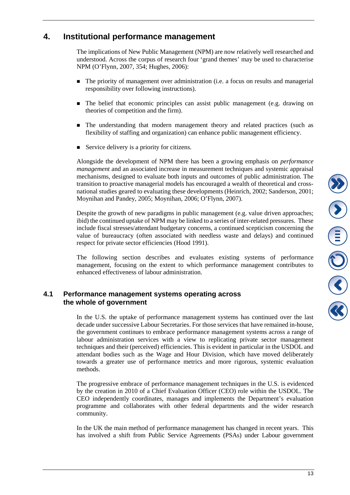ECCES

# **4. Institutional performance management**

The implications of New Public Management (NPM) are now relatively well researched and understood. Across the corpus of research four 'grand themes' may be used to characterise NPM (O'Flynn, 2007, 354; Hughes, 2006):

- The priority of management over administration (i.e. a focus on results and managerial responsibility over following instructions).
- The belief that economic principles can assist public management (e.g. drawing on theories of competition and the firm).
- The understanding that modern management theory and related practices (such as flexibility of staffing and organization) can enhance public management efficiency.
- Service delivery is a priority for citizens.

Alongside the development of NPM there has been a growing emphasis on *performance management* and an associated increase in measurement techniques and systemic appraisal mechanisms, designed to evaluate both inputs and outcomes of public administration. The transition to proactive managerial models has encouraged a wealth of theoretical and crossnational studies geared to evaluating these developments (Heinrich, 2002; Sanderson, 2001; Moynihan and Pandey, 2005; Moynihan, 2006; O'Flynn, 2007).

Despite the growth of new paradigms in public management (e.g. value driven approaches; ibid) the continued uptake of NPM may be linked to a series of inter-related pressures. These include fiscal stresses/attendant budgetary concerns, a continued scepticism concerning the value of bureaucracy (often associated with needless waste and delays) and continued respect for private sector efficiencies (Hood 1991).

The following section describes and evaluates existing systems of performance management, focusing on the extent to which performance management contributes to enhanced effectiveness of labour administration.

### **4.1 Performance management systems operating across the whole of government**

In the U.S. the uptake of performance management systems has continued over the last decade under successive Labour Secretaries. For those services that have remained in-house, the government continues to embrace performance management systems across a range of labour administration services with a view to replicating private sector management techniques and their (perceived) efficiencies. This is evident in particular in the USDOL and attendant bodies such as the Wage and Hour Division, which have moved deliberately towards a greater use of performance metrics and more rigorous, systemic evaluation methods.

The progressive embrace of performance management techniques in the U.S. is evidenced by the creation in 2010 of a Chief Evaluation Officer (CEO) role within the USDOL. The CEO independently coordinates, manages and implements the Department's evaluation programme and collaborates with other federal departments and the wider research community.

In the UK the main method of performance management has changed in recent years. This has involved a shift from Public Service Agreements (PSAs) under Labour government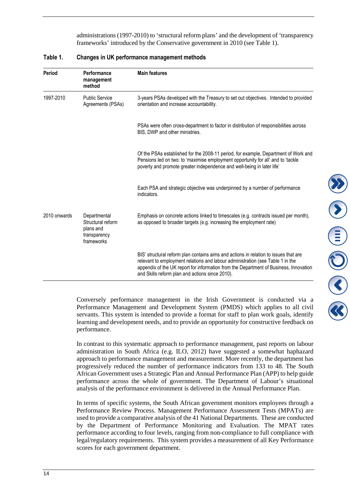administrations (1997-2010) to 'structural reform plans' and the development of 'transparency frameworks' introduced by the Conservative government in 2010 (see Table 1).

| Period       | Performance<br>management<br>method                                          | <b>Main features</b>                                                                                                                                                                                                                                                                                               |
|--------------|------------------------------------------------------------------------------|--------------------------------------------------------------------------------------------------------------------------------------------------------------------------------------------------------------------------------------------------------------------------------------------------------------------|
| 1997-2010    | <b>Public Service</b><br>Agreements (PSAs)                                   | 3-years PSAs developed with the Treasury to set out objectives. Intended to provided<br>orientation and increase accountability.                                                                                                                                                                                   |
|              |                                                                              | PSAs were often cross-department to factor in distribution of responsibilities across<br>BIS, DWP and other ministries.                                                                                                                                                                                            |
|              |                                                                              | Of the PSAs established for the 2008-11 period, for example, Department of Work and<br>Pensions led on two: to 'maximise employment opportunity for all' and to 'tackle<br>poverty and promote greater independence and well-being in later life'                                                                  |
|              |                                                                              | Each PSA and strategic objective was underpinned by a number of performance<br>indicators.                                                                                                                                                                                                                         |
| 2010 onwards | Departmental<br>Structural reform<br>plans and<br>transparency<br>frameworks | Emphasis on concrete actions linked to timescales (e.g. contracts issued per month),<br>as opposed to broader targets (e.g. increasing the employment rate)                                                                                                                                                        |
|              |                                                                              | BIS' structural reform plan contains aims and actions in relation to issues that are<br>relevant to employment relations and labour administration (see Table 1 in the<br>appendix of the UK report for information from the Department of Business, Innovation<br>and Skills reform plan and actions since 2010). |

**Table 1. Changes in UK performance management methods** 

Conversely performance management in the Irish Government is conducted via a Performance Management and Development System (PMDS) which applies to all civil servants. This system is intended to provide a format for staff to plan work goals, identify learning and development needs, and to provide an opportunity for constructive feedback on performance.

C C C

In contrast to this systematic approach to performance management, past reports on labour administration in South Africa (e.g. ILO, 2012) have suggested a somewhat haphazard approach to performance management and measurement. More recently, the department has progressively reduced the number of performance indicators from 133 to 48. The South African Government uses a Strategic Plan and Annual Performance Plan (APP) to help guide performance across the whole of government. The Department of Labour's situational analysis of the performance environment is delivered in the Annual Performance Plan.

In terms of specific systems, the South African government monitors employees through a Performance Review Process. Management Performance Assessment Tests (MPATs) are used to provide a comparative analysis of the 41 National Departments. These are conducted by the Department of Performance Monitoring and Evaluation. The MPAT rates performance according to four levels, ranging from non-compliance to full compliance with legal/regulatory requirements. This system provides a measurement of all Key Performance scores for each government department.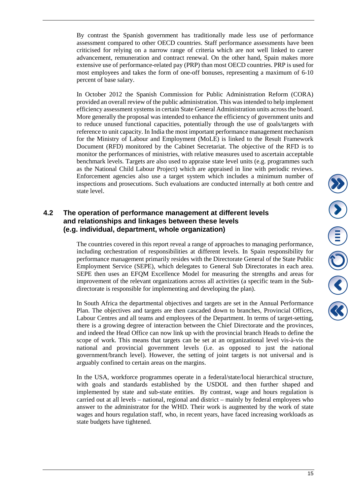By contrast the Spanish government has traditionally made less use of performance assessment compared to other OECD countries. Staff performance assessments have been criticised for relying on a narrow range of criteria which are not well linked to career advancement, remuneration and contract renewal. On the other hand, Spain makes more extensive use of performance-related pay (PRP) than most OECD countries. PRP is used for most employees and takes the form of one-off bonuses, representing a maximum of 6-10 percent of base salary.

In October 2012 the Spanish Commission for Public Administration Reform (CORA) provided an overall review of the public administration. This was intended to help implement efficiency assessment systems in certain State General Administration units across the board. More generally the proposal was intended to enhance the efficiency of government units and to reduce unused functional capacities, potentially through the use of goals/targets with reference to unit capacity. In India the most important performance management mechanism for the Ministry of Labour and Employment (MoLE) is linked to the Result Framework Document (RFD) monitored by the Cabinet Secretariat. The objective of the RFD is to monitor the performances of ministries, with relative measures used to ascertain acceptable benchmark levels. Targets are also used to appraise state level units (e.g. programmes such as the National Child Labour Project) which are appraised in line with periodic reviews. Enforcement agencies also use a target system which includes a minimum number of inspections and prosecutions. Such evaluations are conducted internally at both centre and state level.

# **4.2 The operation of performance management at different levels and relationships and linkages between these levels (e.g. individual, department, whole organization)**

The countries covered in this report reveal a range of approaches to managing performance, including orchestration of responsibilities at different levels. In Spain responsibility for performance management primarily resides with the Directorate General of the State Public Employment Service (SEPE), which delegates to General Sub Directorates in each area. SEPE then uses an EFQM Excellence Model for measuring the strengths and areas for improvement of the relevant organizations across all activities (a specific team in the Subdirectorate is responsible for implementing and developing the plan).

In South Africa the departmental objectives and targets are set in the Annual Performance Plan. The objectives and targets are then cascaded down to branches, Provincial Offices, Labour Centres and all teams and employees of the Department. In terms of target-setting, there is a growing degree of interaction between the Chief Directorate and the provinces, and indeed the Head Office can now link up with the provincial branch Heads to define the scope of work. This means that targets can be set at an organizational level vis-à-vis the national and provincial government levels (i.e. as opposed to just the national government/branch level). However, the setting of joint targets is not universal and is arguably confined to certain areas on the margins.

In the USA, workforce programmes operate in a federal/state/local hierarchical structure, with goals and standards established by the USDOL and then further shaped and implemented by state and sub-state entities. By contrast, wage and hours regulation is carried out at all levels – national, regional and district – mainly by federal employees who answer to the administrator for the WHD. Their work is augmented by the work of state wages and hours regulation staff, who, in recent years, have faced increasing workloads as state budgets have tightened.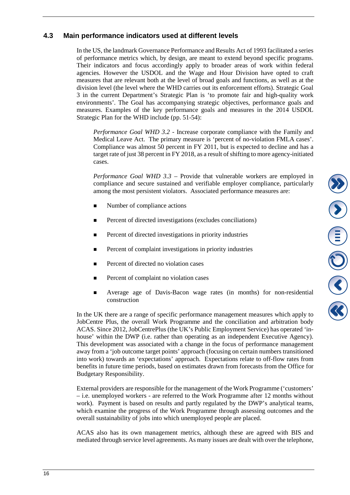# **4.3 Main performance indicators used at different levels**

In the US, the landmark Governance Performance and Results Act of 1993 facilitated a series of performance metrics which, by design, are meant to extend beyond specific programs. Their indicators and focus accordingly apply to broader areas of work within federal agencies. However the USDOL and the Wage and Hour Division have opted to craft measures that are relevant both at the level of broad goals and functions, as well as at the division level (the level where the WHD carries out its enforcement efforts). Strategic Goal 3 in the current Department's Strategic Plan is 'to promote fair and high-quality work environments'. The Goal has accompanying strategic objectives, performance goals and measures. Examples of the key performance goals and measures in the 2014 USDOL Strategic Plan for the WHD include (pp. 51-54):

*Performance Goal WHD 3.2* - Increase corporate compliance with the Family and Medical Leave Act. The primary measure is 'percent of no-violation FMLA cases'. Compliance was almost 50 percent in FY 2011, but is expected to decline and has a target rate of just 38 percent in FY 2018, as a result of shifting to more agency-initiated cases.

*Performance Goal WHD 3.3* – Provide that vulnerable workers are employed in compliance and secure sustained and verifiable employer compliance, particularly among the most persistent violators. Associated performance measures are:

- Number of compliance actions
- **Percent of directed investigations (excludes conciliations)**
- **Percent of directed investigations in priority industries**
- Percent of complaint investigations in priority industries
- Percent of directed no violation cases
- **Percent of complaint no violation cases**
- Average age of Davis-Bacon wage rates (in months) for non-residential construction

In the UK there are a range of specific performance management measures which apply to JobCentre Plus, the overall Work Programme and the conciliation and arbitration body ACAS. Since 2012, JobCentrePlus (the UK's Public Employment Service) has operated 'inhouse' within the DWP (i.e. rather than operating as an independent Executive Agency). This development was associated with a change in the focus of performance management away from a 'job outcome target points' approach (focusing on certain numbers transitioned into work) towards an 'expectations' approach. Expectations relate to off-flow rates from benefits in future time periods, based on estimates drawn from forecasts from the Office for Budgetary Responsibility.

External providers are responsible for the management of the Work Programme ('customers' – i.e. unemployed workers - are referred to the Work Programme after 12 months without work). Payment is based on results and partly regulated by the DWP's analytical teams, which examine the progress of the Work Programme through assessing outcomes and the overall sustainability of jobs into which unemployed people are placed.

ACAS also has its own management metrics, although these are agreed with BIS and mediated through service level agreements. As many issues are dealt with over the telephone,

16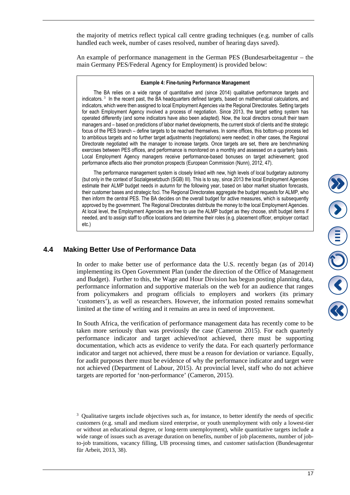the majority of metrics reflect typical call centre grading techniques (e.g. number of calls handled each week, number of cases resolved, number of hearing days saved).

An example of performance management in the German PES (Bundesarbeitagentur – the main Germany PES/Federal Agency for Employment) is provided below:

### **Example 4: Fine-tuning Performance Management**

The BA relies on a wide range of quantitative and (since 2014) qualitative performance targets and indicators.<sup>3</sup> In the recent past, the BA headquarters defined targets, based on mathematical calculations, and indicators, which were then assigned to local Employment Agencies via the Regional Directorates. Setting targets for each Employment Agency involved a process of negotiation. Since 2013, the target setting system has operated differently (and some indicators have also been adapted). Now, the local directors consult their team managers and – based on predictions of labor market developments, the current stock of clients and the strategic focus of the PES branch – define targets to be reached themselves. In some offices, this bottom-up process led to ambitious targets and no further target adjustments (negotiations) were needed; in other cases, the Regional Directorate negotiated with the manager to increase targets. Once targets are set, there are benchmarking exercises between PES offices, and performance is monitored on a monthly and assessed on a quarterly basis. Local Employment Agency managers receive performance-based bonuses on target achievement; good performance affects also their promotion prospects (European Commission (Nunn), 2012, 47).

The performance management system is closely linked with new, high levels of local budgetary autonomy (but only in the context of Sozialgesetzbuch (SGB) III). This is to say, since 2013 the local Employment Agencies estimate their ALMP budget needs in autumn for the following year, based on labor market situation forecasts, their customer bases and strategic foci. The Regional Directorates aggregate the budget requests for ALMP, who then inform the central PES. The BA decides on the overall budget for active measures, which is subsequently approved by the government. The Regional Directorates distribute the money to the local Employment Agencies. At local level, the Employment Agencies are free to use the ALMP budget as they choose, shift budget items if needed, and to assign staff to office locations and determine their roles (e.g. placement officer, employer contact etc.)

# **4.4 Making Better Use of Performance Data**

In order to make better use of performance data the U.S. recently began (as of 2014) implementing its Open Government Plan (under the direction of the Office of Management and Budget). Further to this, the Wage and Hour Division has begun posting planning data, performance information and supportive materials on the web for an audience that ranges from policymakers and program officials to employers and workers (its primary 'customers'), as well as researchers. However, the information posted remains somewhat limited at the time of writing and it remains an area in need of improvement.

In South Africa, the verification of performance management data has recently come to be taken more seriously than was previously the case (Cameron 2015). For each quarterly performance indicator and target achieved/not achieved, there must be supporting documentation, which acts as evidence to verify the data. For each quarterly performance indicator and target not achieved, there must be a reason for deviation or variance. Equally, for audit purposes there must be evidence of why the performance indicator and target were not achieved (Department of Labour, 2015). At provincial level, staff who do not achieve targets are reported for 'non-performance' (Cameron, 2015).

 $3$  Qualitative targets include objectives such as, for instance, to better identify the needs of specific customers (e.g. small and medium sized enterprise, or youth unemployment with only a lowest-tier or without an educational degree, or long-term unemployment), while quantitative targets include a wide range of issues such as average duration on benefits, number of job placements, number of jobto-job transitions, vacancy filling, UB processing times, and customer satisfaction (Bundesagentur für Arbeit, 2013, 38).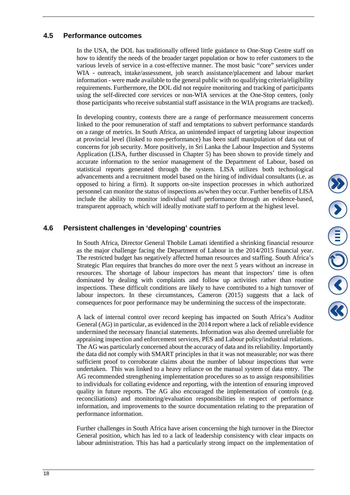# **4.5 Performance outcomes**

In the USA, the DOL has traditionally offered little guidance to One-Stop Centre staff on how to identify the needs of the broader target population or how to refer customers to the various levels of service in a cost-effective manner. The most basic "core" services under WIA - outreach, intake/assessment, job search assistance/placement and labour market information - were made available to the general public with no qualifying criteria/eligibility requirements. Furthermore, the DOL did not require monitoring and tracking of participants using the self-directed core services or non-WIA services at the One-Stop centers, (only those participants who receive substantial staff assistance in the WIA programs are tracked).

In developing country, contexts there are a range of performance measurement concerns linked to the poor remuneration of staff and temptations to subvert performance standards on a range of metrics. In South Africa, an unintended impact of targeting labour inspection at provincial level (linked to non-performance) has been staff manipulation of data out of concerns for job security. More positively, in Sri Lanka the Labour Inspection and Systems Application (LISA, further discussed in Chapter 5) has been shown to provide timely and accurate information to the senior management of the Department of Labour, based on statistical reports generated through the system. LISA utilizes both technological advancements and a recruitment model based on the hiring of individual consultants (i.e. as opposed to hiring a firm). It supports on-site inspection processes in which authorized personnel can monitor the status of inspections as/when they occur. Further benefits of LISA include the ability to monitor individual staff performance through an evidence-based, transparent approach, which will ideally motivate staff to perform at the highest level.

# **4.6 Persistent challenges in 'developing' countries**

In South Africa, Director General Thobile Lamati identified a shrinking financial resource as the major challenge facing the Department of Labour in the 2014/2015 financial year. The restricted budget has negatively affected human resources and staffing. South Africa's Strategic Plan requires that branches do more over the next 5 years without an increase in resources. The shortage of labour inspectors has meant that inspectors' time is often dominated by dealing with complaints and follow up activities rather than routine inspections. These difficult conditions are likely to have contributed to a high turnover of labour inspectors. In these circumstances, Cameron (2015) suggests that a lack of consequences for poor performance may be undermining the success of the inspectorate.

A lack of internal control over record keeping has impacted on South Africa's Auditor General (AG) in particular, as evidenced in the 2014 report where a lack of reliable evidence undermined the necessary financial statements. Information was also deemed unreliable for appraising inspection and enforcement services, PES and Labour policy/industrial relations. The AG was particularly concerned about the accuracy of data and its reliability. Importantly the data did not comply with SMART principles in that it was not measurable; nor was there sufficient proof to corroborate claims about the number of labour inspections that were undertaken. This was linked to a heavy reliance on the manual system of data entry. The AG recommended strengthening implementation procedures so as to assign responsibilities to individuals for collating evidence and reporting, with the intention of ensuring improved quality in future reports. The AG also encouraged the implementation of controls (e.g. reconciliations) and monitoring/evaluation responsibilities in respect of performance information, and improvements to the source documentation relating to the preparation of performance information.

Further challenges in South Africa have arisen concerning the high turnover in the Director General position, which has led to a lack of leadership consistency with clear impacts on labour administration. This has had a particularly strong impact on the implementation of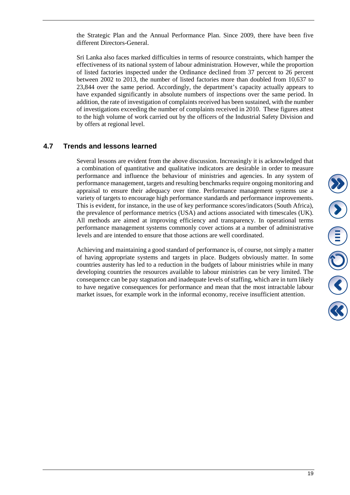the Strategic Plan and the Annual Performance Plan. Since 2009, there have been five different Directors-General.

Sri Lanka also faces marked difficulties in terms of resource constraints, which hamper the effectiveness of its national system of labour administration. However, while the proportion of listed factories inspected under the Ordinance declined from 37 percent to 26 percent between 2002 to 2013, the number of listed factories more than doubled from 10,637 to 23,844 over the same period. Accordingly, the department's capacity actually appears to have expanded significantly in absolute numbers of inspections over the same period. In addition, the rate of investigation of complaints received has been sustained, with the number of investigations exceeding the number of complaints received in 2010. These figures attest to the high volume of work carried out by the officers of the Industrial Safety Division and by offers at regional level.

# **4.7 Trends and lessons learned**

Several lessons are evident from the above discussion. Increasingly it is acknowledged that a combination of quantitative and qualitative indicators are desirable in order to measure performance and influence the behaviour of ministries and agencies. In any system of performance management, targets and resulting benchmarks require ongoing monitoring and appraisal to ensure their adequacy over time. Performance management systems use a variety of targets to encourage high performance standards and performance improvements. This is evident, for instance, in the use of key performance scores/indicators (South Africa), the prevalence of performance metrics (USA) and actions associated with timescales (UK). All methods are aimed at improving efficiency and transparency. In operational terms performance management systems commonly cover actions at a number of administrative levels and are intended to ensure that those actions are well coordinated.

Achieving and maintaining a good standard of performance is, of course, not simply a matter of having appropriate systems and targets in place. Budgets obviously matter. In some countries austerity has led to a reduction in the budgets of labour ministries while in many developing countries the resources available to labour ministries can be very limited. The consequence can be pay stagnation and inadequate levels of staffing, which are in turn likely to have negative consequences for performance and mean that the most intractable labour market issues, for example work in the informal economy, receive insufficient attention.

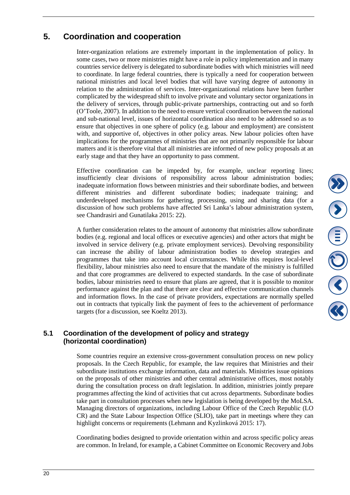# **5. Coordination and cooperation**

Inter-organization relations are extremely important in the implementation of policy. In some cases, two or more ministries might have a role in policy implementation and in many countries service delivery is delegated to subordinate bodies with which ministries will need to coordinate. In large federal countries, there is typically a need for cooperation between national ministries and local level bodies that will have varying degree of autonomy in relation to the administration of services. Inter-organizational relations have been further complicated by the widespread shift to involve private and voluntary sector organizations in the delivery of services, through public-private partnerships, contracting out and so forth (O'Toole, 2007). In addition to the need to ensure vertical coordination between the national and sub-national level, issues of horizontal coordination also need to be addressed so as to ensure that objectives in one sphere of policy (e.g. labour and employment) are consistent with, and supportive of, objectives in other policy areas. New labour policies often have implications for the programmes of ministries that are not primarily responsible for labour matters and it is therefore vital that all ministries are informed of new policy proposals at an early stage and that they have an opportunity to pass comment.

Effective coordination can be impeded by, for example, unclear reporting lines; insufficiently clear divisions of responsibility across labour administration bodies; inadequate information flows between ministries and their subordinate bodies, and between different ministries and different subordinate bodies; inadequate training; and underdeveloped mechanisms for gathering, processing, using and sharing data (for a discussion of how such problems have affected Sri Lanka's labour administration system, see Chandrasiri and Gunatilaka 2015: 22).

A further consideration relates to the amount of autonomy that ministries allow subordinate bodies (e.g. regional and local offices or executive agencies) and other actors that might be involved in service delivery (e.g. private employment services). Devolving responsibility can increase the ability of labour administration bodies to develop strategies and programmes that take into account local circumstances. While this requires local-level flexibility, labour ministries also need to ensure that the mandate of the ministry is fulfilled and that core programmes are delivered to expected standards. In the case of subordinate bodies, labour ministries need to ensure that plans are agreed, that it is possible to monitor performance against the plan and that there are clear and effective communication channels and information flows. In the case of private providers, expectations are normally spelled out in contracts that typically link the payment of fees to the achievement of performance targets (for a discussion, see Koeltz 2013).

O J C

# **5.1 Coordination of the development of policy and strategy (horizontal coordination)**

Some countries require an extensive cross-government consultation process on new policy proposals. In the Czech Republic, for example, the law requires that Ministries and their subordinate institutions exchange information, data and materials. Ministries issue opinions on the proposals of other ministries and other central administrative offices, most notably during the consultation process on draft legislation. In addition, ministries jointly prepare programmes affecting the kind of activities that cut across departments. Subordinate bodies take part in consultation processes when new legislation is being developed by the MoLSA. Managing directors of organizations, including Labour Office of the Czech Republic (LO CR) and the State Labour Inspection Office (SLIO), take part in meetings where they can highlight concerns or requirements (Lehmann and Kyzlinková 2015: 17).

Coordinating bodies designed to provide orientation within and across specific policy areas are common. In Ireland, for example, a Cabinet Committee on Economic Recovery and Jobs

20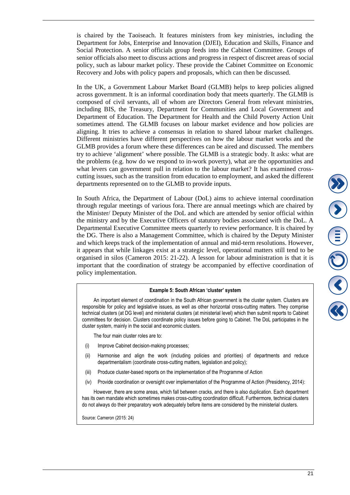is chaired by the Taoiseach. It features ministers from key ministries, including the Department for Jobs, Enterprise and Innovation (DJEI), Education and Skills, Finance and Social Protection. A senior officials group feeds into the Cabinet Committee. Groups of senior officials also meet to discuss actions and progress in respect of discreet areas of social policy, such as labour market policy. These provide the Cabinet Committee on Economic Recovery and Jobs with policy papers and proposals, which can then be discussed.

In the UK, a Government Labour Market Board (GLMB) helps to keep policies aligned across government. It is an informal coordination body that meets quarterly. The GLMB is composed of civil servants, all of whom are Directors General from relevant ministries, including BIS, the Treasury, Department for Communities and Local Government and Department of Education. The Department for Health and the Child Poverty Action Unit sometimes attend. The GLMB focuses on labour market evidence and how policies are aligning. It tries to achieve a consensus in relation to shared labour market challenges. Different ministries have different perspectives on how the labour market works and the GLMB provides a forum where these differences can be aired and discussed. The members try to achieve 'alignment' where possible. The GLMB is a strategic body. It asks: what are the problems (e.g. how do we respond to in-work poverty), what are the opportunities and what levers can government pull in relation to the labour market? It has examined crosscutting issues, such as the transition from education to employment, and asked the different departments represented on to the GLMB to provide inputs.

In South Africa, the Department of Labour (DoL) aims to achieve internal coordination through regular meetings of various fora. There are annual meetings which are chaired by the Minister/ Deputy Minister of the DoL and which are attended by senior official within the ministry and by the Executive Officers of statutory bodies associated with the DoL. A Departmental Executive Committee meets quarterly to review performance. It is chaired by the DG. There is also a Management Committee, which is chaired by the Deputy Minister and which keeps track of the implementation of annual and mid-term resolutions. However, it appears that while linkages exist at a strategic level, operational matters still tend to be organised in silos (Cameron 2015: 21-22). A lesson for labour administration is that it is important that the coordination of strategy be accompanied by effective coordination of policy implementation.

### **Example 5: South African 'cluster' system**

An important element of coordination in the South African government is the cluster system. Clusters are responsible for policy and legislative issues, as well as other horizontal cross-cutting matters. They comprise technical clusters (at DG level) and ministerial clusters (at ministerial level) which then submit reports to Cabinet committees for decision. Clusters coordinate policy issues before going to Cabinet. The DoL participates in the cluster system, mainly in the social and economic clusters.

The four main cluster roles are to:

- (i) Improve Cabinet decision-making processes;
- (ii) Harmonise and align the work (including policies and priorities) of departments and reduce departmentalism (coordinate cross-cutting matters, legislation and policy);
- (iii) Produce cluster-based reports on the implementation of the Programme of Action
- (iv) Provide coordination or oversight over implementation of the Programme of Action (Presidency, 2014):

However, there are some areas, which fall between cracks, and there is also duplication. Each department has its own mandate which sometimes makes cross-cutting coordination difficult. Furthermore, technical clusters do not always do their preparatory work adequately before items are considered by the ministerial clusters.

Source: Cameron (2015: 24)

COCO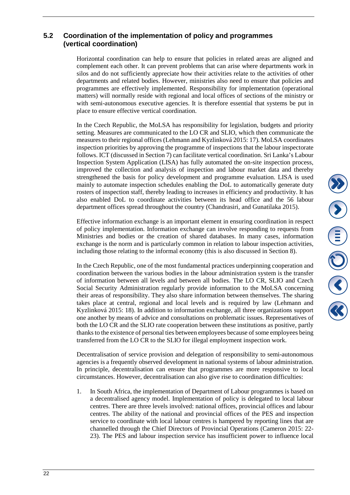# **5.2 Coordination of the implementation of policy and programmes (vertical coordination)**

Horizontal coordination can help to ensure that policies in related areas are aligned and complement each other. It can prevent problems that can arise where departments work in silos and do not sufficiently appreciate how their activities relate to the activities of other departments and related bodies. However, ministries also need to ensure that policies and programmes are effectively implemented. Responsibility for implementation (operational matters) will normally reside with regional and local offices of sections of the ministry or with semi-autonomous executive agencies. It is therefore essential that systems be put in place to ensure effective vertical coordination.

In the Czech Republic, the MoLSA has responsibility for legislation, budgets and priority setting. Measures are communicated to the LO CR and SLIO, which then communicate the measures to their regional offices (Lehmann and Kyzlinková 2015: 17). MoLSA coordinates inspection priorities by approving the programme of inspections that the labour inspectorate follows. ICT (discussed in Section 7) can facilitate vertical coordination. Sri Lanka's Labour Inspection System Application (LISA) has fully automated the on-site inspection process, improved the collection and analysis of inspection and labour market data and thereby strengthened the basis for policy development and programme evaluation. LISA is used mainly to automate inspection schedules enabling the DoL to automatically generate duty rosters of inspection staff, thereby leading to increases in efficiency and productivity. It has also enabled DoL to coordinate activities between its head office and the 56 labour department offices spread throughout the country (Chandrasiri, and Gunatilaka 2015).

Effective information exchange is an important element in ensuring coordination in respect of policy implementation. Information exchange can involve responding to requests from Ministries and bodies or the creation of shared databases. In many cases, information exchange is the norm and is particularly common in relation to labour inspection activities, including those relating to the informal economy (this is also discussed in Section 8).

COCI

In the Czech Republic, one of the most fundamental practices underpinning cooperation and coordination between the various bodies in the labour administration system is the transfer of information between all levels and between all bodies. The LO CR, SLIO and Czech Social Security Administration regularly provide information to the MoLSA concerning their areas of responsibility. They also share information between themselves. The sharing takes place at central, regional and local levels and is required by law (Lehmann and Kyzlinková 2015: 18). In addition to information exchange, all three organizations support one another by means of advice and consultations on problematic issues. Representatives of both the LO CR and the SLIO rate cooperation between these institutions as positive, partly thanks to the existence of personal ties between employees because of some employees being transferred from the LO CR to the SLIO for illegal employment inspection work.

Decentralisation of service provision and delegation of responsibility to semi-autonomous agencies is a frequently observed development in national systems of labour administration. In principle, decentralisation can ensure that programmes are more responsive to local circumstances. However, decentralisation can also give rise to coordination difficulties:

1. In South Africa, the implementation of Department of Labour programmes is based on a decentralised agency model. Implementation of policy is delegated to local labour centres. There are three levels involved: national offices, provincial offices and labour centres. The ability of the national and provincial offices of the PES and inspection service to coordinate with local labour centres is hampered by reporting lines that are channelled through the Chief Directors of Provincial Operations (Cameron 2015: 22- 23). The PES and labour inspection service has insufficient power to influence local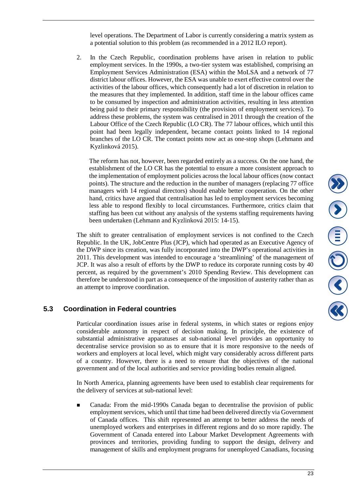level operations. The Department of Labor is currently considering a matrix system as a potential solution to this problem (as recommended in a 2012 ILO report).

2. In the Czech Republic, coordination problems have arisen in relation to public employment services. In the 1990s, a two-tier system was established, comprising an Employment Services Administration (ESA) within the MoLSA and a network of 77 district labour offices. However, the ESA was unable to exert effective control over the activities of the labour offices, which consequently had a lot of discretion in relation to the measures that they implemented. In addition, staff time in the labour offices came to be consumed by inspection and administration activities, resulting in less attention being paid to their primary responsibility (the provision of employment services). To address these problems, the system was centralised in 2011 through the creation of the Labour Office of the Czech Republic (LO CR). The 77 labour offices, which until this point had been legally independent, became contact points linked to 14 regional branches of the LO CR. The contact points now act as one-stop shops (Lehmann and Kyzlinková 2015).

The reform has not, however, been regarded entirely as a success. On the one hand, the establishment of the LO CR has the potential to ensure a more consistent approach to the implementation of employment policies across the local labour offices (now contact points). The structure and the reduction in the number of managers (replacing 77 office managers with 14 regional directors) should enable better cooperation. On the other hand, critics have argued that centralisation has led to employment services becoming less able to respond flexibly to local circumstances. Furthermore, critics claim that staffing has been cut without any analysis of the systems staffing requirements having been undertaken (Lehmann and Kyzlinková 2015: 14-15).

The shift to greater centralisation of employment services is not confined to the Czech Republic. In the UK, JobCentre Plus (JCP), which had operated as an Executive Agency of the DWP since its creation, was fully incorporated into the DWP's operational activities in 2011. This development was intended to encourage a 'streamlining' of the management of JCP. It was also a result of efforts by the DWP to reduce its corporate running costs by 40 percent, as required by the government's 2010 Spending Review. This development can therefore be understood in part as a consequence of the imposition of austerity rather than as an attempt to improve coordination.

# **5.3 Coordination in Federal countries**

Particular coordination issues arise in federal systems, in which states or regions enjoy considerable autonomy in respect of decision making. In principle, the existence of substantial administrative apparatuses at sub-national level provides an opportunity to decentralise service provision so as to ensure that it is more responsive to the needs of workers and employers at local level, which might vary considerably across different parts of a country. However, there is a need to ensure that the objectives of the national government and of the local authorities and service providing bodies remain aligned.

In North America, planning agreements have been used to establish clear requirements for the delivery of services at sub-national level:

 Canada: From the mid-1990s Canada began to decentralise the provision of public employment services, which until that time had been delivered directly via Government of Canada offices. This shift represented an attempt to better address the needs of unemployed workers and enterprises in different regions and do so more rapidly. The Government of Canada entered into Labour Market Development Agreements with provinces and territories, providing funding to support the design, delivery and management of skills and employment programs for unemployed Canadians, focusing C C C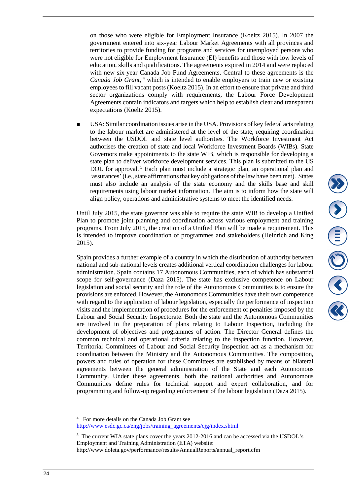on those who were eligible for Employment Insurance (Koeltz 2015). In 2007 the government entered into six-year Labour Market Agreements with all provinces and territories to provide funding for programs and services for unemployed persons who were not eligible for Employment Insurance (EI) benefits and those with low levels of education, skills and qualifications. The agreements expired in 2014 and were replaced with new six-year Canada Job Fund Agreements. Central to these agreements is the *Canada Job Grant*, <sup>4</sup> which is intended to enable employers to train new or existing employees to fill vacant posts (Koeltz 2015). In an effort to ensure that private and third sector organizations comply with requirements, the Labour Force Development Agreements contain indicators and targets which help to establish clear and transparent expectations (Koeltz 2015).

 USA: Similar coordination issues arise in the USA. Provisions of key federal acts relating to the labour market are administered at the level of the state, requiring coordination between the USDOL and state level authorities. The Workforce Investment Act authorises the creation of state and local Workforce Investment Boards (WIBs). State Governors make appointments to the state WIB, which is responsible for developing a state plan to deliver workforce development services. This plan is submitted to the US DOL for approval.<sup>5</sup> Each plan must include a strategic plan, an operational plan and 'assurances' (i.e., state affirmations that key obligations of the law have been met). States must also include an analysis of the state economy and the skills base and skill requirements using labour market information. The aim is to inform how the state will align policy, operations and administrative systems to meet the identified needs.

Until July 2015, the state governor was able to require the state WIB to develop a Unified Plan to promote joint planning and coordination across various employment and training programs. From July 2015, the creation of a Unified Plan will be made a requirement. This is intended to improve coordination of programmes and stakeholders (Heinrich and King 2015).

Spain provides a further example of a country in which the distribution of authority between national and sub-national levels creates additional vertical coordination challenges for labour administration. Spain contains 17 Autonomous Communities, each of which has substantial scope for self-governance (Daza 2015). The state has exclusive competence on Labour legislation and social security and the role of the Autonomous Communities is to ensure the provisions are enforced. However, the Autonomous Communities have their own competence with regard to the application of labour legislation, especially the performance of inspection visits and the implementation of procedures for the enforcement of penalties imposed by the Labour and Social Security Inspectorate. Both the state and the Autonomous Communities are involved in the preparation of plans relating to Labour Inspection, including the development of objectives and programmes of action. The Director General defines the common technical and operational criteria relating to the inspection function. However, Territorial Committees of Labour and Social Security Inspection act as a mechanism for coordination between the Ministry and the Autonomous Communities. The composition, powers and rules of operation for these Committees are established by means of bilateral agreements between the general administration of the State and each Autonomous Community. Under these agreements, both the national authorities and Autonomous Communities define rules for technical support and expert collaboration, and for programming and follow-up regarding enforcement of the labour legislation (Daza 2015).

4 For more details on the Canada Job Grant see http://www.esdc.gc.ca/eng/jobs/training\_agreements/cjg/index.shtml

<sup>&</sup>lt;sup>5</sup> The current WIA state plans cover the years 2012-2016 and can be accessed via the USDOL's Employment and Training Administration (ETA) website: http://www.doleta.gov/performance/results/AnnualReports/annual\_report.cfm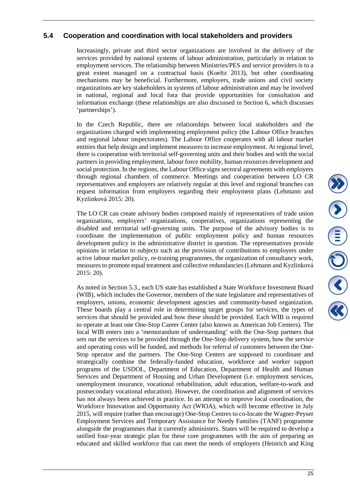# **5.4 Cooperation and coordination with local stakeholders and providers**

Increasingly, private and third sector organizations are involved in the delivery of the services provided by national systems of labour administration, particularly in relation to employment services. The relationship between Ministries/PES and service providers is to a great extent managed on a contractual basis (Koeltz 2013), but other coordinating mechanisms may be beneficial. Furthermore, employers, trade unions and civil society organizations are key stakeholders in systems of labour administration and may be involved in national, regional and local fora that provide opportunities for consultation and information exchange (these relationships are also discussed in Section 6, which discusses 'partnerships').

In the Czech Republic, there are relationships between local stakeholders and the organizations charged with implementing employment policy (the Labour Office branches and regional labour inspectorates). The Labour Office cooperates with all labour market entities that help design and implement measures to increase employment. At regional level, there is cooperation with territorial self-governing units and their bodies and with the social partners in providing employment, labour force mobility, human resources development and social protection. In the regions, the Labour Office signs sectoral agreements with employers through regional chambers of commerce. Meetings and cooperation between LO CR representatives and employers are relatively regular at this level and regional branches can request information from employers regarding their employment plans (Lehmann and Kyzlinková 2015: 20).

The LO CR can create advisory bodies composed mainly of representatives of trade union organizations, employers' organizations, cooperatives, organizations representing the disabled and territorial self-governing units. The purpose of the advisory bodies is to coordinate the implementation of public employment policy and human resources development policy in the administrative district in question. The representatives provide opinions in relation to subjects such as the provision of contributions to employers under active labour market policy, re-training programmes, the organization of consultancy work, measures to promote equal treatment and collective redundancies (Lehmann and Kyzlinková 2015: 20).

As noted in Section 5.3., each US state has established a State Workforce Investment Board (WIB), which includes the Governor, members of the state legislature and representatives of employers, unions, economic development agencies and community-based organization. These boards play a central role in determining target groups for services, the types of services that should be provided and how these should be provided. Each WIB is required to operate at least one One-Stop Career Center (also known as American Job Centers). The local WIB enters into a 'memorandum of understanding' with the One-Stop partners that sets out the services to be provided through the One-Stop delivery system, how the service and operating costs will be funded, and methods for referral of customers between the One-Stop operator and the partners. The One-Stop Centers are supposed to coordinate and strategically combine the federally-funded education, workforce and worker support programs of the USDOL, Department of Education, Department of Health and Human Services and Department of Housing and Urban Development (i.e. employment services, unemployment insurance, vocational rehabilitation, adult education, welfare-to-work and postsecondary vocational education). However, the coordination and alignment of services has not always been achieved in practice. In an attempt to improve local coordination, the Workforce Innovation and Opportunity Act (WIOA), which will become effective in July 2015, will require (rather than encourage) One-Stop Centres to co-locate the Wagner-Peyser Employment Services and Temporary Assistance for Needy Families (TANF) programme alongside the programmes that it currently administers. States will be required to develop a unified four-year strategic plan for these core programmes with the aim of preparing an educated and skilled workforce that can meet the needs of employers (Heinrich and King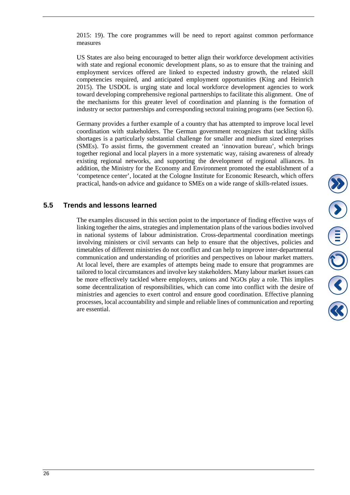COCO

2015: 19). The core programmes will be need to report against common performance measures

US States are also being encouraged to better align their workforce development activities with state and regional economic development plans, so as to ensure that the training and employment services offered are linked to expected industry growth, the related skill competencies required, and anticipated employment opportunities (King and Heinrich 2015). The USDOL is urging state and local workforce development agencies to work toward developing comprehensive regional partnerships to facilitate this alignment. One of the mechanisms for this greater level of coordination and planning is the formation of industry or sector partnerships and corresponding sectoral training programs (see Section 6).

Germany provides a further example of a country that has attempted to improve local level coordination with stakeholders. The German government recognizes that tackling skills shortages is a particularly substantial challenge for smaller and medium sized enterprises (SMEs). To assist firms, the government created an 'innovation bureau', which brings together regional and local players in a more systematic way, raising awareness of already existing regional networks, and supporting the development of regional alliances. In addition, the Ministry for the Economy and Environment promoted the establishment of a 'competence center', located at the Cologne Institute for Economic Research, which offers practical, hands-on advice and guidance to SMEs on a wide range of skills-related issues.

#### **5.5 Trends and lessons learned**

The examples discussed in this section point to the importance of finding effective ways of linking together the aims, strategies and implementation plans of the various bodies involved in national systems of labour administration. Cross-departmental coordination meetings involving ministers or civil servants can help to ensure that the objectives, policies and timetables of different ministries do not conflict and can help to improve inter-departmental communication and understanding of priorities and perspectives on labour market matters. At local level, there are examples of attempts being made to ensure that programmes are tailored to local circumstances and involve key stakeholders. Many labour market issues can be more effectively tackled where employers, unions and NGOs play a role. This implies some decentralization of responsibilities, which can come into conflict with the desire of ministries and agencies to exert control and ensure good coordination. Effective planning processes, local accountability and simple and reliable lines of communication and reporting are essential.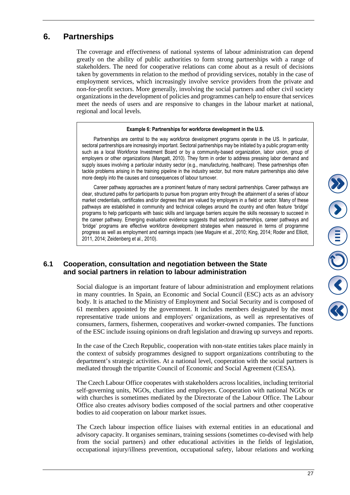# **6. Partnerships**

The coverage and effectiveness of national systems of labour administration can depend greatly on the ability of public authorities to form strong partnerships with a range of stakeholders. The need for cooperative relations can come about as a result of decisions taken by governments in relation to the method of providing services, notably in the case of employment services, which increasingly involve service providers from the private and non-for-profit sectors. More generally, involving the social partners and other civil society organizations in the development of policies and programmes can help to ensure that services meet the needs of users and are responsive to changes in the labour market at national, regional and local levels.

#### **Example 6: Partnerships for workforce development in the U.S.**

Partnerships are central to the way workforce development programs operate in the US. In particular, sectoral partnerships are increasingly important. Sectoral partnerships may be initiated by a public program entity such as a local Workforce Investment Board or by a community-based organization, labor union, group of employers or other organizations (Mangatt, 2010). They form in order to address pressing labor demand and supply issues involving a particular industry sector (e.g., manufacturing, healthcare). These partnerships often tackle problems arising in the training pipeline in the industry sector, but more mature partnerships also delve more deeply into the causes and consequences of labour turnover.

Career pathway approaches are a prominent feature of many sectoral partnerships. Career pathways are clear, structured paths for participants to pursue from program entry through the attainment of a series of labour market credentials, certificates and/or degrees that are valued by employers in a field or sector. Many of these pathways are established in community and technical colleges around the country and often feature 'bridge' programs to help participants with basic skills and language barriers acquire the skills necessary to succeed in the career pathway. Emerging evaluation evidence suggests that sectoral partnerships, career pathways and 'bridge' programs are effective workforce development strategies when measured in terms of programme progress as well as employment and earnings impacts (see Maguire et al., 2010; King, 2014; Roder and Elliott, 2011, 2014; Zeidenberg et al., 2010).

#### **6.1 Cooperation, consultation and negotiation between the State and social partners in relation to labour administration**

Social dialogue is an important feature of labour administration and employment relations in many countries. In Spain, an Economic and Social Council (ESC) acts as an advisory body. It is attached to the Ministry of Employment and Social Security and is composed of 61 members appointed by the government. It includes members designated by the most representative trade unions and employers' organizations, as well as representatives of consumers, farmers, fishermen, cooperatives and worker-owned companies. The functions of the ESC include issuing opinions on draft legislation and drawing up surveys and reports.

In the case of the Czech Republic, cooperation with non-state entities takes place mainly in the context of subsidy programmes designed to support organizations contributing to the department's strategic activities. At a national level, cooperation with the social partners is mediated through the tripartite Council of Economic and Social Agreement (CESA).

The Czech Labour Office cooperates with stakeholders across localities, including territorial self-governing units, NGOs, charities and employers. Cooperation with national NGOs or with churches is sometimes mediated by the Directorate of the Labour Office. The Labour Office also creates advisory bodies composed of the social partners and other cooperative bodies to aid cooperation on labour market issues.

The Czech labour inspection office liaises with external entities in an educational and advisory capacity. It organises seminars, training sessions (sometimes co-devised with help from the social partners) and other educational activities in the fields of legislation, occupational injury/illness prevention, occupational safety, labour relations and working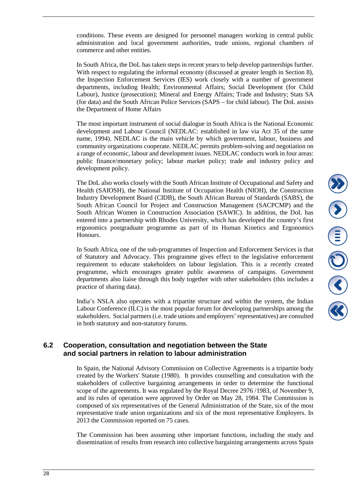conditions. These events are designed for personnel managers working in central public administration and local government authorities, trade unions, regional chambers of commerce and other entities.

In South Africa, the DoL has taken steps in recent years to help develop partnerships further. With respect to regulating the informal economy (discussed at greater length in Section 8), the Inspection Enforcement Services (IES) work closely with a number of government departments, including Health; Environmental Affairs; Social Development (for Child Labour), Justice (prosecution); Mineral and Energy Affairs; Trade and Industry; Stats SA (for data) and the South African Police Services (SAPS – for child labour). The DoL assists the Department of Home Affairs

The most important instrument of social dialogue in South Africa is the National Economic development and Labour Council (NEDLAC: established in law via Act 35 of the same name, 1994). NEDLAC is the main vehicle by which government, labour, business and community organizations cooperate. NEDLAC permits problem-solving and negotiation on a range of economic, labour and development issues. NEDLAC conducts work in four areas: public finance/monetary policy; labour market policy; trade and industry policy and development policy.

The DoL also works closely with the South African Institute of Occupational and Safety and Health (SAIOSH), the National Institute of Occupation Health (NIOH), the Construction Industry Development Board (CIDB), the South African Bureau of Standards (SABS), the South African Council for Project and Construction Management (SACPCMP) and the South African Women in Construction Association (SAWIC). In addition, the DoL has entered into a partnership with Rhodes University, which has developed the country's first ergonomics postgraduate programme as part of its Human Kinetics and Ergonomics Honours.

In South Africa, one of the sub-programmes of Inspection and Enforcement Services is that of Statutory and Advocacy. This programme gives effect to the legislative enforcement requirement to educate stakeholders on labour legislation. This is a recently created programme, which encourages greater public awareness of campaigns. Government departments also liaise through this body together with other stakeholders (this includes a practice of sharing data).

India's NSLA also operates with a tripartite structure and within the system, the Indian Labour Conference (ILC) is the most popular forum for developing partnerships among the stakeholders. Social partners (i.e. trade unions and employers' representatives) are consulted in both statutory and non-statutory forums.

#### **6.2 Cooperation, consultation and negotiation between the State and social partners in relation to labour administration**

In Spain, the National Advisory Commission on Collective Agreements is a tripartite body created by the Workers' Statute (1980). It provides counselling and consultation with the stakeholders of collective bargaining arrangements in order to determine the functional scope of the agreements. It was regulated by the Royal Decree 2976 /1983, of November 9, and its rules of operation were approved by Order on May 28, 1984. The Commission is composed of six representatives of the General Administration of the State, six of the most representative trade union organizations and six of the most representative Employers. In 2013 the Commission reported on 75 cases.

The Commission has been assuming other important functions, including the study and dissemination of results from research into collective bargaining arrangements across Spain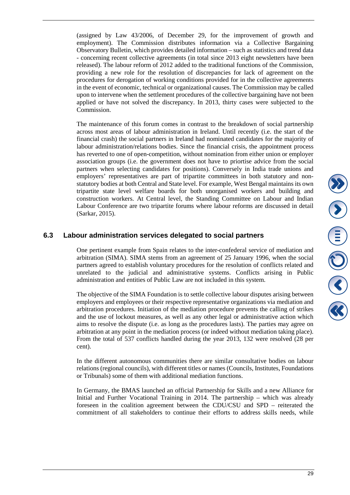(assigned by Law 43/2006, of December 29, for the improvement of growth and employment). The Commission distributes information via a Collective Bargaining Observatory Bulletin, which provides detailed information – such as statistics and trend data - concerning recent collective agreements (in total since 2013 eight newsletters have been released). The labour reform of 2012 added to the traditional functions of the Commission, providing a new role for the resolution of discrepancies for lack of agreement on the procedures for derogation of working conditions provided for in the collective agreements in the event of economic, technical or organizational causes. The Commission may be called upon to intervene when the settlement procedures of the collective bargaining have not been applied or have not solved the discrepancy. In 2013, thirty cases were subjected to the Commission.

The maintenance of this forum comes in contrast to the breakdown of social partnership across most areas of labour administration in Ireland. Until recently (i.e. the start of the financial crash) the social partners in Ireland had nominated candidates for the majority of labour administration/relations bodies. Since the financial crisis, the appointment process has reverted to one of open-competition, without nomination from either union or employer association groups (i.e. the government does not have to priortise advice from the social partners when selecting candidates for positions). Conversely in India trade unions and employers' representatives are part of tripartite committees in both statutory and nonstatutory bodies at both Central and State level. For example, West Bengal maintains its own tripartite state level welfare boards for both unorganised workers and building and construction workers. At Central level, the Standing Committee on Labour and Indian Labour Conference are two tripartite forums where labour reforms are discussed in detail (Sarkar, 2015).

#### **6.3 Labour administration services delegated to social partners**

One pertinent example from Spain relates to the inter-confederal service of mediation and arbitration (SIMA). SIMA stems from an agreement of 25 January 1996, when the social partners agreed to establish voluntary procedures for the resolution of conflicts related and unrelated to the judicial and administrative systems. Conflicts arising in Public administration and entities of Public Law are not included in this system.

The objective of the SIMA Foundation is to settle collective labour disputes arising between employers and employees or their respective representative organizations via mediation and arbitration procedures. Initiation of the mediation procedure prevents the calling of strikes and the use of lockout measures, as well as any other legal or administrative action which aims to resolve the dispute (i.e. as long as the procedures lasts). The parties may agree on arbitration at any point in the mediation process (or indeed without mediation taking place). From the total of 537 conflicts handled during the year 2013, 132 were resolved (28 per cent).

In the different autonomous communities there are similar consultative bodies on labour relations (regional councils), with different titles or names (Councils, Institutes, Foundations or Tribunals) some of them with additional mediation functions.

In Germany, the BMAS launched an official Partnership for Skills and a new Alliance for Initial and Further Vocational Training in 2014. The partnership – which was already foreseen in the coalition agreement between the CDU/CSU and SPD – reiterated the commitment of all stakeholders to continue their efforts to address skills needs, while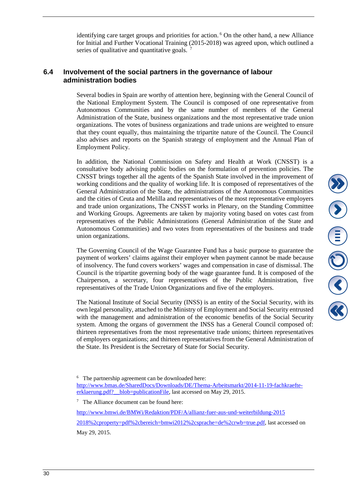identifying care target groups and priorities for action.<sup>6</sup> On the other hand, a new Alliance for Initial and Further Vocational Training (2015-2018) was agreed upon, which outlined a series of qualitative and quantitative goals.  $7$ 

### **6.4 Involvement of the social partners in the governance of labour administration bodies**

Several bodies in Spain are worthy of attention here, beginning with the General Council of the National Employment System. The Council is composed of one representative from Autonomous Communities and by the same number of members of the General Administration of the State, business organizations and the most representative trade union organizations. The votes of business organizations and trade unions are weighted to ensure that they count equally, thus maintaining the tripartite nature of the Council. The Council also advises and reports on the Spanish strategy of employment and the Annual Plan of Employment Policy.

In addition, the National Commission on Safety and Health at Work (CNSST) is a consultative body advising public bodies on the formulation of prevention policies. The CNSST brings together all the agents of the Spanish State involved in the improvement of working conditions and the quality of working life. It is composed of representatives of the General Administration of the State, the administrations of the Autonomous Communities and the cities of Ceuta and Melilla and representatives of the most representative employers and trade union organizations, The CNSST works in Plenary, on the Standing Committee and Working Groups. Agreements are taken by majority voting based on votes cast from representatives of the Public Administrations (General Administration of the State and Autonomous Communities) and two votes from representatives of the business and trade union organizations.

The Governing Council of the Wage Guarantee Fund has a basic purpose to guarantee the payment of workers' claims against their employer when payment cannot be made because of insolvency. The fund covers workers' wages and compensation in case of dismissal. The Council is the tripartite governing body of the wage guarantee fund. It is composed of the Chairperson, a secretary, four representatives of the Public Administration, five representatives of the Trade Union Organizations and five of the employers.

The National Institute of Social Security (INSS) is an entity of the Social Security, with its own legal personality, attached to the Ministry of Employment and Social Security entrusted with the management and administration of the economic benefits of the Social Security system. Among the organs of government the INSS has a General Council composed of: thirteen representatives from the most representative trade unions; thirteen representatives of employers organizations; and thirteen representatives from the General Administration of the State. Its President is the Secretary of State for Social Security.

<sup>6</sup> The partnership agreement can be downloaded here:

http://www.bmas.de/SharedDocs/Downloads/DE/Thema-Arbeitsmarkt/2014-11-19-fachkraefteerklaerung.pdf?\_blob=publicationFile, last accessed on May 29, 2015.

<sup>&</sup>lt;sup>7</sup> The Alliance document can be found here:

http://www.bmwi.de/BMWi/Redaktion/PDF/A/allianz-fuer-aus-und-weiterbildung-2015

<sup>2018%2</sup>cproperty=pdf%2cbereich=bmwi2012%2csprache=de%2crwb=true.pdf, last accessed on May 29, 2015.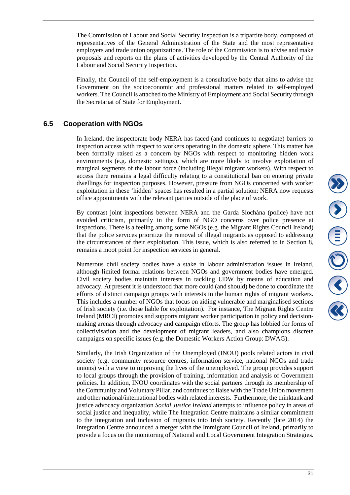O U D

The Commission of Labour and Social Security Inspection is a tripartite body, composed of representatives of the General Administration of the State and the most representative employers and trade union organizations. The role of the Commission is to advise and make proposals and reports on the plans of activities developed by the Central Authority of the Labour and Social Security Inspection.

Finally, the Council of the self-employment is a consultative body that aims to advise the Government on the socioeconomic and professional matters related to self-employed workers. The Council is attached to the Ministry of Employment and Social Security through the Secretariat of State for Employment.

# **6.5 Cooperation with NGOs**

In Ireland, the inspectorate body NERA has faced (and continues to negotiate) barriers to inspection access with respect to workers operating in the domestic sphere. This matter has been formally raised as a concern by NGOs with respect to monitoring hidden work environments (e.g. domestic settings), which are more likely to involve exploitation of marginal segments of the labour force (including illegal migrant workers). With respect to access there remains a legal difficulty relating to a constitutional ban on entering private dwellings for inspection purposes. However, pressure from NGOs concerned with worker exploitation in these 'hidden' spaces has resulted in a partial solution: NERA now requests office appointments with the relevant parties outside of the place of work.

By contrast joint inspections between NERA and the Garda Síochána (police) have not avoided criticism, primarily in the form of NGO concerns over police presence at inspections. There is a feeling among some NGOs (e.g. the Migrant Rights Council Ireland) that the police services prioritize the removal of illegal migrants as opposed to addressing the circumstances of their exploitation. This issue, which is also referred to in Section 8, remains a moot point for inspection services in general.

Numerous civil society bodies have a stake in labour administration issues in Ireland, although limited formal relations between NGOs and government bodies have emerged. Civil society bodies maintain interests in tackling UDW by means of education and advocacy. At present it is understood that more could (and should) be done to coordinate the efforts of distinct campaign groups with interests in the human rights of migrant workers. This includes a number of NGOs that focus on aiding vulnerable and marginalised sections of Irish society (i.e. those liable for exploitation). For instance, The Migrant Rights Centre Ireland (MRCI) promotes and supports migrant worker participation in policy and decisionmaking arenas through advocacy and campaign efforts. The group has lobbied for forms of collectivisation and the development of migrant leaders, and also champions discrete campaigns on specific issues (e.g. the Domestic Workers Action Group: DWAG).

Similarly, the Irish Organization of the Unemployed (INOU) pools related actors in civil society (e.g. community resource centres, information service, national NGOs and trade unions) with a view to improving the lives of the unemployed. The group provides support to local groups through the provision of training, information and analysis of Government policies. In addition, INOU coordinates with the social partners through its membership of the Community and Voluntary Pillar, and continues to liaise with the Trade Union movement and other national/international bodies with related interests. Furthermore, the thinktank and justice advocacy organization *Social Justice Ireland* attempts to influence policy in areas of social justice and inequality, while The Integration Centre maintains a similar commitment to the integration and inclusion of migrants into Irish society. Recently (late 2014) the Integration Centre announced a merger with the Immigrant Council of Ireland, primarily to provide a focus on the monitoring of National and Local Government Integration Strategies.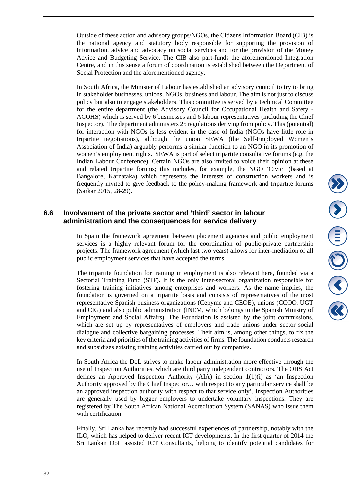Outside of these action and advisory groups/NGOs, the Citizens Information Board (CIB) is the national agency and statutory body responsible for supporting the provision of information, advice and advocacy on social services and for the provision of the Money Advice and Budgeting Service. The CIB also part-funds the aforementioned Integration Centre, and in this sense a forum of coordination is established between the Department of Social Protection and the aforementioned agency.

In South Africa, the Minister of Labour has established an advisory council to try to bring in stakeholder businesses, unions, NGOs, business and labour. The aim is not just to discuss policy but also to engage stakeholders. This committee is served by a technical Committee for the entire department (the Advisory Council for Occupational Health and Safety - ACOHS) which is served by 6 businesses and 6 labour representatives (including the Chief Inspector). The department administers 25 regulations deriving from policy. This (potential) for interaction with NGOs is less evident in the case of India (NGOs have little role in tripartite negotiations), although the union SEWA (the Self-Employed Women's Association of India) arguably performs a similar function to an NGO in its promotion of women's employment rights. SEWA is part of select tripartite consultative forums (e.g. the Indian Labour Conference). Certain NGOs are also invited to voice their opinion at these and related tripartite forums; this includes, for example, the NGO 'Civic' (based at Bangalore, Karnataka) which represents the interests of construction workers and is frequently invited to give feedback to the policy-making framework and tripartite forums (Sarkar 2015, 28-29).

#### **6.6 Involvement of the private sector and 'third' sector in labour administration and the consequences for service delivery**

In Spain the framework agreement between placement agencies and public employment services is a highly relevant forum for the coordination of public-private partnership projects. The framework agreement (which last two years) allows for inter-mediation of all public employment services that have accepted the terms.

The tripartite foundation for training in employment is also relevant here, founded via a Sectorial Training Fund (STF). It is the only inter-sectoral organization responsible for fostering training initiatives among enterprises and workers. As the name implies, the foundation is governed on a tripartite basis and consists of representatives of the most representative Spanish business organizations (Cepyme and CEOE), unions (CCOO, UGT and CIG) and also public administration (INEM, which belongs to the Spanish Ministry of Employment and Social Affairs). The Foundation is assisted by the joint commissions, which are set up by representatives of employers and trade unions under sector social dialogue and collective bargaining processes. Their aim is, among other things, to fix the key criteria and priorities of the training activities of firms. The foundation conducts research and subsidises existing training activities carried out by companies.

In South Africa the DoL strives to make labour administration more effective through the use of Inspection Authorities, which are third party independent contractors. The OHS Act defines an Approved Inspection Authority (AIA) in section 1(1)(i) as 'an Inspection Authority approved by the Chief Inspector… with respect to any particular service shall be an approved inspection authority with respect to that service only'. Inspection Authorities are generally used by bigger employers to undertake voluntary inspections. They are registered by The South African National Accreditation System (SANAS) who issue them with certification.

Finally, Sri Lanka has recently had successful experiences of partnership, notably with the ILO, which has helped to deliver recent ICT developments. In the first quarter of 2014 the Sri Lankan DoL assisted ICT Consultants, helping to identify potential candidates for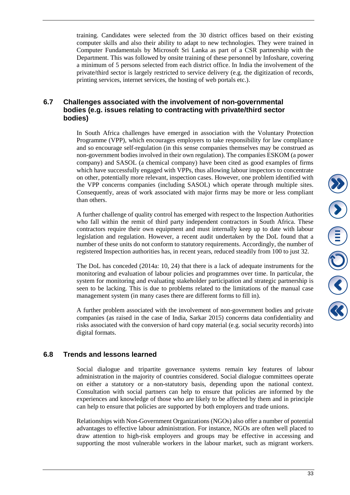training. Candidates were selected from the 30 district offices based on their existing computer skills and also their ability to adapt to new technologies. They were trained in Computer Fundamentals by Microsoft Sri Lanka as part of a CSR partnership with the Department. This was followed by onsite training of these personnel by Infoshare, covering a minimum of 5 persons selected from each district office. In India the involvement of the private/third sector is largely restricted to service delivery (e.g. the digitization of records, printing services, internet services, the hosting of web portals etc.).

#### **6.7 Challenges associated with the involvement of non-governmental bodies (e.g. issues relating to contracting with private/third sector bodies)**

In South Africa challenges have emerged in association with the Voluntary Protection Programme (VPP), which encourages employers to take responsibility for law compliance and so encourage self-regulation (in this sense companies themselves may be construed as non-government bodies involved in their own regulation). The companies ESKOM (a power company) and SASOL (a chemical company) have been cited as good examples of firms which have successfully engaged with VPPs, thus allowing labour inspectors to concentrate on other, potentially more relevant, inspection cases. However, one problem identified with the VPP concerns companies (including SASOL) which operate through multiple sites. Consequently, areas of work associated with major firms may be more or less compliant than others.

A further challenge of quality control has emerged with respect to the Inspection Authorities who fall within the remit of third party independent contractors in South Africa. These contractors require their own equipment and must internally keep up to date with labour legislation and regulation. However, a recent audit undertaken by the DoL found that a number of these units do not conform to statutory requirements. Accordingly, the number of registered Inspection authorities has, in recent years, reduced steadily from 100 to just 32.

The DoL has conceded (2014a: 10, 24) that there is a lack of adequate instruments for the monitoring and evaluation of labour policies and programmes over time. In particular, the system for monitoring and evaluating stakeholder participation and strategic partnership is seen to be lacking. This is due to problems related to the limitations of the manual case management system (in many cases there are different forms to fill in).

A further problem associated with the involvement of non-government bodies and private companies (as raised in the case of India, Sarkar 2015) concerns data confidentiality and risks associated with the conversion of hard copy material (e.g. social security records) into digital formats.

#### **6.8 Trends and lessons learned**

Social dialogue and tripartite governance systems remain key features of labour administration in the majority of countries considered. Social dialogue committees operate on either a statutory or a non-statutory basis, depending upon the national context. Consultation with social partners can help to ensure that policies are informed by the experiences and knowledge of those who are likely to be affected by them and in principle can help to ensure that policies are supported by both employers and trade unions.

Relationships with Non-Government Organizations (NGOs) also offer a number of potential advantages to effective labour administration. For instance, NGOs are often well placed to draw attention to high-risk employers and groups may be effective in accessing and supporting the most vulnerable workers in the labour market, such as migrant workers.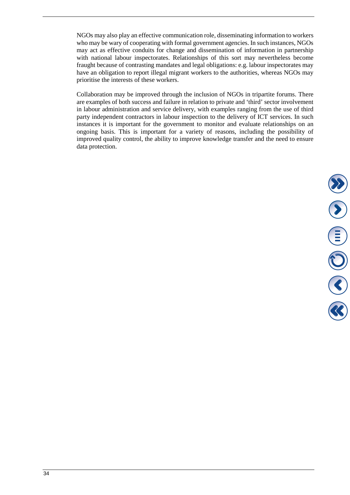NGOs may also play an effective communication role, disseminating information to workers who may be wary of cooperating with formal government agencies. In such instances, NGOs may act as effective conduits for change and dissemination of information in partnership with national labour inspectorates. Relationships of this sort may nevertheless become fraught because of contrasting mandates and legal obligations: e.g. labour inspectorates may have an obligation to report illegal migrant workers to the authorities, whereas NGOs may prioritise the interests of these workers.

Collaboration may be improved through the inclusion of NGOs in tripartite forums. There are examples of both success and failure in relation to private and 'third' sector involvement in labour administration and service delivery, with examples ranging from the use of third party independent contractors in labour inspection to the delivery of ICT services. In such instances it is important for the government to monitor and evaluate relationships on an ongoing basis. This is important for a variety of reasons, including the possibility of improved quality control, the ability to improve knowledge transfer and the need to ensure data protection.

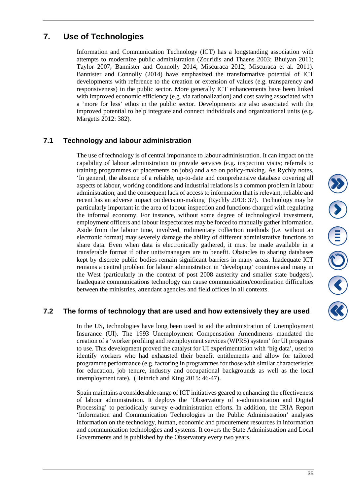# **7. Use of Technologies**

Information and Communication Technology (ICT) has a longstanding association with attempts to modernize public administration (Zouridis and Thaens 2003; Bhuiyan 2011; Taylor 2007; Bannister and Connolly 2014; Miscuraca 2012; Miscuraca et al. 2011). Bannister and Connolly (2014) have emphasized the transformative potential of ICT developments with reference to the creation or extension of values (e.g. transparency and responsiveness) in the public sector. More generally ICT enhancements have been linked with improved economic efficiency (e.g. via rationalization) and cost saving associated with a 'more for less' ethos in the public sector. Developments are also associated with the improved potential to help integrate and connect individuals and organizational units (e.g. Margetts 2012: 382).

#### **7.1 Technology and labour administration**

The use of technology is of central importance to labour administration. It can impact on the capability of labour administration to provide services (e.g. inspection visits; referrals to training programmes or placements on jobs) and also on policy-making. As Rychly notes, 'In general, the absence of a reliable, up-to-date and comprehensive database covering all aspects of labour, working conditions and industrial relations is a common problem in labour administration; and the consequent lack of access to information that is relevant, reliable and recent has an adverse impact on decision-making' (Rychly 2013: 37). Technology may be particularly important in the area of labour inspection and functions charged with regulating the informal economy. For instance, without some degree of technological investment, employment officers and labour inspectorates may be forced to manually gather information. Aside from the labour time, involved, rudimentary collection methods (i.e. without an electronic format) may severely damage the ability of different administrative functions to share data. Even when data is electronically gathered, it must be made available in a transferable format if other units/managers are to benefit. Obstacles to sharing databases kept by discrete public bodies remain significant barriers in many areas. Inadequate ICT remains a central problem for labour administration in 'developing' countries and many in the West (particularly in the context of post 2008 austerity and smaller state budgets). Inadequate communications technology can cause communication/coordination difficulties between the ministries, attendant agencies and field offices in all contexts.

#### **7.2 The forms of technology that are used and how extensively they are used**

In the US, technologies have long been used to aid the administration of Unemployment Insurance (UI). The 1993 Unemployment Compensation Amendments mandated the creation of a 'worker profiling and reemployment services (WPRS) system' for UI programs to use. This development proved the catalyst for UI experimentation with 'big data', used to identify workers who had exhausted their benefit entitlements and allow for tailored programme performance (e.g. factoring in programmes for those with similar characteristics for education, job tenure, industry and occupational backgrounds as well as the local unemployment rate). (Heinrich and King 2015: 46-47).

Spain maintains a considerable range of ICT initiatives geared to enhancing the effectiveness of labour administration. It deploys the 'Observatory of e-administration and Digital Processing' to periodically survey e-administration efforts. In addition, the IRIA Report 'Information and Communication Technologies in the Public Administration' analyses information on the technology, human, economic and procurement resources in information and communication technologies and systems. It covers the State Administration and Local Governments and is published by the Observatory every two years.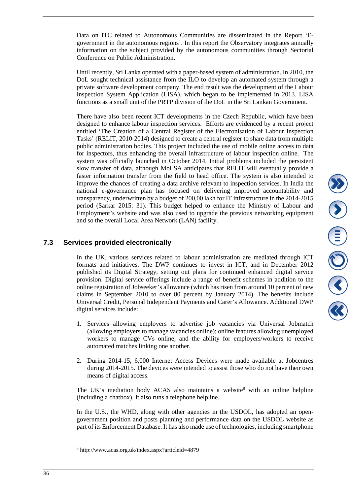Data on ITC related to Autonomous Communities are disseminated in the Report 'Egovernment in the autonomous regions'. In this report the Observatory integrates annually information on the subject provided by the autonomous communities through Sectorial Conference on Public Administration.

Until recently, Sri Lanka operated with a paper-based system of administration. In 2010, the DoL sought technical assistance from the ILO to develop an automated system through a private software development company. The end result was the development of the Labour Inspection System Application (LISA), which began to be implemented in 2013. LISA functions as a small unit of the PRTP division of the DoL in the Sri Lankan Government.

There have also been recent ICT developments in the Czech Republic, which have been designed to enhance labour inspection services. Efforts are evidenced by a recent project entitled 'The Creation of a Central Register of the Electronisation of Labour Inspection Tasks' (RELIT, 2010-2014) designed to create a central register to share data from multiple public administration bodies. This project included the use of mobile online access to data for inspectors, thus enhancing the overall infrastructure of labour inspection online. The system was officially launched in October 2014. Initial problems included the persistent slow transfer of data, although MoLSA anticipates that RELIT will eventually provide a faster information transfer from the field to head office. The system is also intended to improve the chances of creating a data archive relevant to inspection services. In India the national e-governance plan has focused on delivering improved accountability and transparency, underwritten by a budget of 200,00 lakh for IT infrastructure in the 2014-2015 period (Sarkar 2015: 31). This budget helped to enhance the Ministry of Labour and Employment's website and was also used to upgrade the previous networking equipment and so the overall Local Area Network (LAN) facility.

#### **7.3 Services provided electronically**

In the UK, various services related to labour administration are mediated through ICT formats and initiatives. The DWP continues to invest in ICT, and in December 2012 published its Digital Strategy, setting out plans for continued enhanced digital service provision. Digital service offerings include a range of benefit schemes in addition to the online registration of Jobseeker's allowance (which has risen from around 10 percent of new claims in September 2010 to over 80 percent by January 2014). The benefits include Universal Credit, Personal Independent Payments and Carer's Allowance. Additional DWP digital services include:

- 1. Services allowing employers to advertise job vacancies via Universal Jobmatch (allowing employers to manage vacancies online); online features allowing unemployed workers to manage CVs online; and the ability for employers/workers to receive automated matches linking one another.
- 2. During 2014-15, 6,000 Internet Access Devices were made available at Jobcentres during 2014-2015. The devices were intended to assist those who do not have their own means of digital access.

The UK's mediation body  $ACAS$  also maintains a website<sup>8</sup> with an online helpline (including a chatbox). It also runs a telephone helpline.

In the U.S., the WHD, along with other agencies in the USDOL, has adopted an opengovernment position and posts planning and performance data on the USDOL website as part of its Enforcement Database. It has also made use of technologies, including smartphone

<sup>8</sup> http://www.acas.org.uk/index.aspx?articleid=4879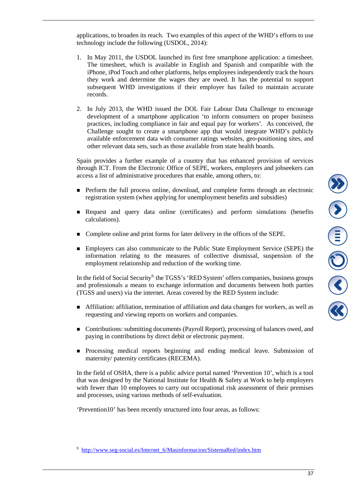applications, to broaden its reach. Two examples of this aspect of the WHD's efforts to use technology include the following (USDOL, 2014):

- 1. In May 2011, the USDOL launched its first free smartphone application: a timesheet. The timesheet, which is available in English and Spanish and compatible with the iPhone, iPod Touch and other platforms, helps employees independently track the hours they work and determine the wages they are owed. It has the potential to support subsequent WHD investigations if their employer has failed to maintain accurate records.
- 2. In July 2013, the WHD issued the DOL Fair Labour Data Challenge to encourage development of a smartphone application 'to inform consumers on proper business practices, including compliance in fair and equal pay for workers'. As conceived, the Challenge sought to create a smartphone app that would integrate WHD's publicly available enforcement data with consumer ratings websites, geo-positioning sites, and other relevant data sets, such as those available from state health boards.

Spain provides a further example of a country that has enhanced provision of services through ICT. From the Electronic Office of SEPE, workers, employers and jobseekers can access a list of administrative procedures that enable, among others, to:

- **Perform the full process online, download, and complete forms through an electronic** registration system (when applying for unemployment benefits and subsidies)
- Request and query data online (certificates) and perform simulations (benefits calculations).
- Complete online and print forms for later delivery in the offices of the SEPE.
- Employers can also communicate to the Public State Employment Service (SEPE) the information relating to the measures of collective dismissal, suspension of the employment relationship and reduction of the working time.

In the field of Social Security<sup>9,</sup> the TGSS's 'RED System' offers companies, business groups and professionals a means to exchange information and documents between both parties (TGSS and users) via the internet. Areas covered by the RED System include:

- Affiliation: affiliation, termination of affiliation and data changes for workers, as well as requesting and viewing reports on workers and companies.
- Contributions: submitting documents (Payroll Report), processing of balances owed, and paying in contributions by direct debit or electronic payment.
- **Processing medical reports beginning and ending medical leave. Submission of** maternity/ paternity certificates (RECEMA).

In the field of OSHA, there is a public advice portal named 'Prevention 10', which is a tool that was designed by the National Institute for Health & Safety at Work to help employers with fewer than 10 employees to carry out occupational risk assessment of their premises and processes, using various methods of self-evaluation.

'Prevention10' has been recently structured into four areas, as follows:

<sup>9</sup> http://www.seg-social.es/Internet\_6/Masinformacion/SistemaRed/index.htm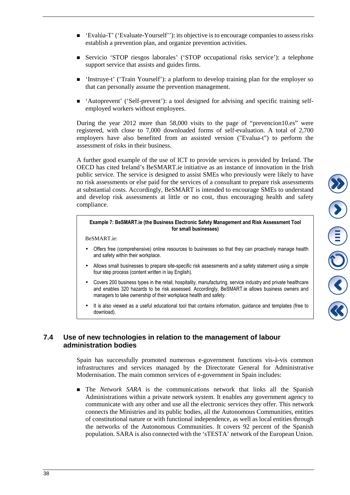ECCES

- 'Evalúa-T' ('Evaluate-Yourself''): its objective is to encourage companies to assess risks establish a prevention plan, and organize prevention activities.
- Servicio 'STOP riesgos laborales' ('STOP occupational risks service'): a telephone support service that assists and guides firms.
- 'Instruye-t' ('Train Yourself'): a platform to develop training plan for the employer so that can personally assume the prevention management.
- 'Autoprevent' ('Self-prevent'): a tool designed for advising and specific training selfemployed workers without employees.

During the year 2012 more than 58,000 visits to the page of "prevencion10.es" were registered, with close to 7,000 downloaded forms of self-evaluation. A total of 2,700 employers have also benefited from an assisted version ("Evalua-t") to perform the assessment of risks in their business.

A further good example of the use of ICT to provide services is provided by Ireland. The OECD has cited Ireland's BeSMART.ie initiative as an instance of innovation in the Irish public service. The service is designed to assist SMEs who previously were likely to have no risk assessments or else paid for the services of a consultant to prepare risk assessments at substantial costs. Accordingly, BeSMART is intended to encourage SMEs to understand and develop risk assessments at little or no cost, thus encouraging health and safety compliance.

#### **Example 7: BeSMART.ie (the Business Electronic Safety Management and Risk Assessment Tool for small businesses)**

BeSMART.ie:

- Offers free (comprehensive) online resources to businesses so that they can proactively manage health and safety within their workplace.
- Allows small businesses to prepare site-specific risk assessments and a safety statement using a simple four step process (content written in lay English).
- Covers 200 business types in the retail, hospitality, manufacturing, service industry and private healthcare and enables 320 hazards to be risk assessed. Accordingly, BeSMART.ie allows business owners and managers to take ownership of their workplace health and safety.
- It is also viewed as a useful educational tool that contains information, guidance and templates (free to download).

# **7.4 Use of new technologies in relation to the management of labour administration bodies**

Spain has successfully promoted numerous e-government functions vis-à-vis common infrastructures and services managed by the Directorate General for Administrative Modernisation. The main common services of e-government in Spain includes:

 The *Network SARA* is the communications network that links all the Spanish Administrations within a private network system. It enables any government agency to communicate with any other and use all the electronic services they offer. This network connects the Ministries and its public bodies, all the Autonomous Communities, entities of constitutional nature or with functional independence, as well as local entities through the networks of the Autonomous Communities. It covers 92 percent of the Spanish population. SARA is also connected with the 'sTESTA' network of the European Union.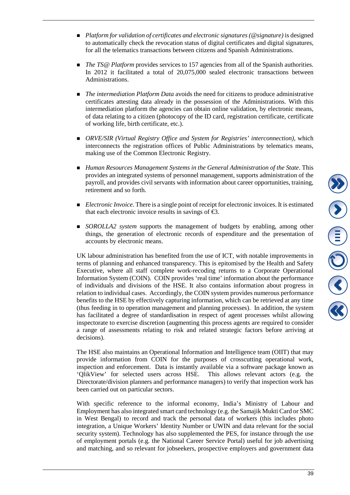SCIED CO

- *Platform for validation of certificates and electronic signatures (@signature)* is designed to automatically check the revocation status of digital certificates and digital signatures, for all the telematics transactions between citizens and Spanish Administrations.
- *The TS@ Platform* provides services to 157 agencies from all of the Spanish authorities. In 2012 it facilitated a total of 20,075,000 sealed electronic transactions between Administrations.
- *The intermediation Platform Data* avoids the need for citizens to produce administrative certificates attesting data already in the possession of the Administrations. With this intermediation platform the agencies can obtain online validation, by electronic means, of data relating to a citizen (photocopy of the ID card, registration certificate, certificate of working life, birth certificate, etc.).
- *ORVE/SIR (Virtual Registry Office and System for Registries' interconnection),* which interconnects the registration offices of Public Administrations by telematics means, making use of the Common Electronic Registry.
- *Human Resources Management Systems in the General Administration of the State*. This provides an integrated systems of personnel management, supports administration of the payroll, and provides civil servants with information about career opportunities, training, retirement and so forth.
- *Electronic Invoice*. There is a single point of receipt for electronic invoices. It is estimated that each electronic invoice results in savings of  $\epsilon$ 3.
- **SOROLLA2** system supports the management of budgets by enabling, among other things, the generation of electronic records of expenditure and the presentation of accounts by electronic means.

UK labour administration has benefited from the use of ICT, with notable improvements in terms of planning and enhanced transparency. This is epitomised by the Health and Safety Executive, where all staff complete work-recoding returns to a Corporate Operational Information System (COIN). COIN provides 'real time' information about the performance of individuals and divisions of the HSE. It also contains information about progress in relation to individual cases. Accordingly, the COIN system provides numerous performance benefits to the HSE by effectively capturing information, which can be retrieved at any time (thus feeding in to operation management and planning processes). In addition, the system has facilitated a degree of standardisation in respect of agent processes whilst allowing inspectorate to exercise discretion (augmenting this process agents are required to consider a range of assessments relating to risk and related strategic factors before arriving at decisions).

The HSE also maintains an Operational Information and Intelligence team (OIIT) that may provide information from COIN for the purposes of crosscutting operational work, inspection and enforcement. Data is instantly available via a software package known as 'QlikView' for selected users across HSE. This allows relevant actors (e.g. the Directorate/division planners and performance managers) to verify that inspection work has been carried out on particular sectors.

With specific reference to the informal economy, India's Ministry of Labour and Employment has also integrated smart card technology (e.g. the Samajik Mukti Card or SMC in West Bengal) to record and track the personal data of workers (this includes photo integration, a Unique Workers' Identity Number or UWIN and data relevant for the social security system). Technology has also supplemented the PES, for instance through the use of employment portals (e.g. the National Career Service Portal) useful for job advertising and matching, and so relevant for jobseekers, prospective employers and government data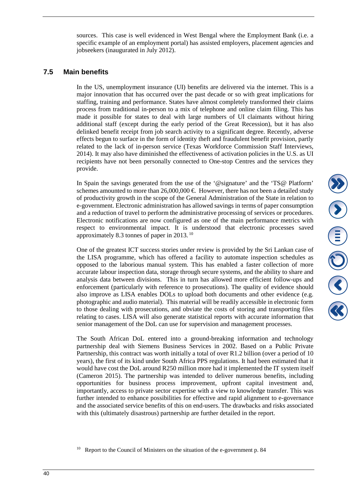sources. This case is well evidenced in West Bengal where the Employment Bank (i.e. a specific example of an employment portal) has assisted employers, placement agencies and jobseekers (inaugurated in July 2012).

#### **7.5 Main benefits**

In the US, unemployment insurance (UI) benefits are delivered via the internet. This is a major innovation that has occurred over the past decade or so with great implications for staffing, training and performance. States have almost completely transformed their claims process from traditional in-person to a mix of telephone and online claim filing. This has made it possible for states to deal with large numbers of UI claimants without hiring additional staff (except during the early period of the Great Recession), but it has also delinked benefit receipt from job search activity to a significant degree. Recently, adverse effects begun to surface in the form of identity theft and fraudulent benefit provision, partly related to the lack of in-person service (Texas Workforce Commission Staff Interviews, 2014). It may also have diminished the effectiveness of activation policies in the U.S. as UI recipients have not been personally connected to One-stop Centres and the services they provide.

In Spain the savings generated from the use of the '@signature' and the 'TS@ Platform' schemes amounted to more than 26,000,000  $\epsilon$ . However, there has not been a detailed study of productivity growth in the scope of the General Administration of the State in relation to e-government. Electronic administration has allowed savings in terms of paper consumption and a reduction of travel to perform the administrative processing of services or procedures. Electronic notifications are now configured as one of the main performance metrics with respect to environmental impact. It is understood that electronic processes saved approximately 8.3 tonnes of paper in 2013.<sup>10</sup>

One of the greatest ICT success stories under review is provided by the Sri Lankan case of the LISA programme, which has offered a facility to automate inspection schedules as opposed to the laborious manual system. This has enabled a faster collection of more accurate labour inspection data, storage through secure systems, and the ability to share and analysis data between divisions. This in turn has allowed more efficient follow-ups and enforcement (particularly with reference to prosecutions). The quality of evidence should also improve as LISA enables DOLs to upload both documents and other evidence (e.g. photographic and audio material). This material will be readily accessible in electronic form to those dealing with prosecutions, and obviate the costs of storing and transporting files relating to cases. LISA will also generate statistical reports with accurate information that senior management of the DoL can use for supervision and management processes.

The South African DoL entered into a ground-breaking information and technology partnership deal with Siemens Business Services in 2002. Based on a Public Private Partnership, this contract was worth initially a total of over R1.2 billion (over a period of 10 years), the first of its kind under South Africa PPS regulations. It had been estimated that it would have cost the DoL around R250 million more had it implemented the IT system itself (Cameron 2015). The partnership was intended to deliver numerous benefits, including opportunities for business process improvement, upfront capital investment and, importantly, access to private sector expertise with a view to knowledge transfer. This was further intended to enhance possibilities for effective and rapid alignment to e-governance and the associated service benefits of this on end-users. The drawbacks and risks associated with this (ultimately disastrous) partnership are further detailed in the report.

Report to the Council of Ministers on the situation of the e-government p. 84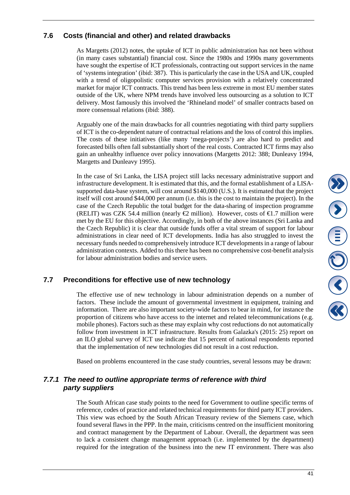# **7.6 Costs (financial and other) and related drawbacks**

As Margetts (2012) notes, the uptake of ICT in public administration has not been without (in many cases substantial) financial cost. Since the 1980s and 1990s many governments have sought the expertise of ICT professionals, contracting out support services in the name of 'systems integration' (ibid: 387). This is particularly the case in the USA and UK, coupled with a trend of oligopolistic computer services provision with a relatively concentrated market for major ICT contracts. This trend has been less extreme in most EU member states outside of the UK, where NPM trends have involved less outsourcing as a solution to ICT delivery. Most famously this involved the 'Rhineland model' of smaller contracts based on more consensual relations (ibid: 388).

Arguably one of the main drawbacks for all countries negotiating with third party suppliers of ICT is the co-dependent nature of contractual relations and the loss of control this implies. The costs of these initiatives (like many 'mega-projects') are also hard to predict and forecasted bills often fall substantially short of the real costs. Contracted ICT firms may also gain an unhealthy influence over policy innovations (Margetts 2012: 388; Dunleavy 1994, Margetts and Dunleavy 1995).

In the case of Sri Lanka, the LISA project still lacks necessary administrative support and infrastructure development. It is estimated that this, and the formal establishment of a LISAsupported data-base system, will cost around \$140,000 (U.S.). It is estimated that the project itself will cost around \$44,000 per annum (i.e. this is the cost to maintain the project). In the case of the Czech Republic the total budget for the data-sharing of inspection programme (RELIT) was CZK 54.4 million (nearly  $\epsilon$ 2 million). However, costs of  $\epsilon$ 1.7 million were met by the EU for this objective. Accordingly, in both of the above instances (Sri Lanka and the Czech Republic) it is clear that outside funds offer a vital stream of support for labour administrations in clear need of ICT developments. India has also struggled to invest the necessary funds needed to comprehensively introduce ICT developments in a range of labour administration contexts. Added to this there has been no comprehensive cost-benefit analysis for labour administration bodies and service users.

#### **7.7 Preconditions for effective use of new technology**

The effective use of new technology in labour administration depends on a number of factors. These include the amount of governmental investment in equipment, training and information. There are also important society-wide factors to bear in mind, for instance the proportion of citizens who have access to the internet and related telecommunications (e.g. mobile phones). Factors such as these may explain why cost reductions do not automatically follow from investment in ICT infrastructure. Results from Galazka's (2015: 25) report on an ILO global survey of ICT use indicate that 15 percent of national respondents reported that the implementation of new technologies did not result in a cost reduction.

Based on problems encountered in the case study countries, several lessons may be drawn:

#### **7.7.1 The need to outline appropriate terms of reference with third party suppliers**

The South African case study points to the need for Government to outline specific terms of reference, codes of practice and related technical requirements for third party ICT providers. This view was echoed by the South African Treasury review of the Siemens case, which found several flaws in the PPP. In the main, criticisms centred on the insufficient monitoring and contract management by the Department of Labour. Overall, the department was seen to lack a consistent change management approach (i.e. implemented by the department) required for the integration of the business into the new IT environment. There was also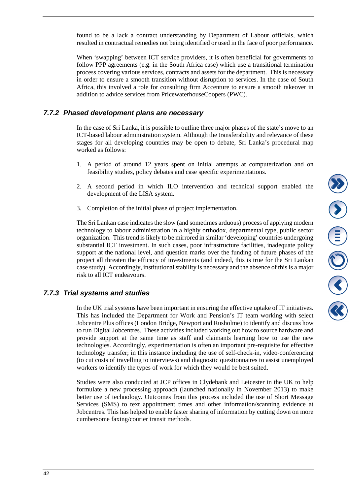found to be a lack a contract understanding by Department of Labour officials, which resulted in contractual remedies not being identified or used in the face of poor performance.

When 'swapping' between ICT service providers, it is often beneficial for governments to follow PPP agreements (e.g. in the South Africa case) which use a transitional termination process covering various services, contracts and assets for the department. This is necessary in order to ensure a smooth transition without disruption to services. In the case of South Africa, this involved a role for consulting firm Accenture to ensure a smooth takeover in addition to advice services from PricewaterhouseCoopers (PWC).

#### **7.7.2 Phased development plans are necessary**

In the case of Sri Lanka, it is possible to outline three major phases of the state's move to an ICT-based labour administration system. Although the transferability and relevance of these stages for all developing countries may be open to debate, Sri Lanka's procedural map worked as follows:

- 1. A period of around 12 years spent on initial attempts at computerization and on feasibility studies, policy debates and case specific experimentations.
- 2. A second period in which ILO intervention and technical support enabled the development of the LISA system.
- 3. Completion of the initial phase of project implementation.

The Sri Lankan case indicates the slow (and sometimes arduous) process of applying modern technology to labour administration in a highly orthodox, departmental type, public sector organization. This trend is likely to be mirrored in similar 'developing' countries undergoing substantial ICT investment. In such cases, poor infrastructure facilities, inadequate policy support at the national level, and question marks over the funding of future phases of the project all threaten the efficacy of investments (and indeed, this is true for the Sri Lankan case study). Accordingly, institutional stability is necessary and the absence of this is a major risk to all ICT endeavours.

#### **7.7.3 Trial systems and studies**

In the UK trial systems have been important in ensuring the effective uptake of IT initiatives. This has included the Department for Work and Pension's IT team working with select Jobcentre Plus offices (London Bridge, Newport and Rusholme) to identify and discuss how to run Digital Jobcentres. These activities included working out how to source hardware and provide support at the same time as staff and claimants learning how to use the new technologies. Accordingly, experimentation is often an important pre-requisite for effective technology transfer; in this instance including the use of self-check-in, video-conferencing (to cut costs of travelling to interviews) and diagnostic questionnaires to assist unemployed workers to identify the types of work for which they would be best suited.

Studies were also conducted at JCP offices in Clydebank and Leicester in the UK to help formulate a new processing approach (launched nationally in November 2013) to make better use of technology. Outcomes from this process included the use of Short Message Services (SMS) to text appointment times and other information/scanning evidence at Jobcentres. This has helped to enable faster sharing of information by cutting down on more cumbersome faxing/courier transit methods.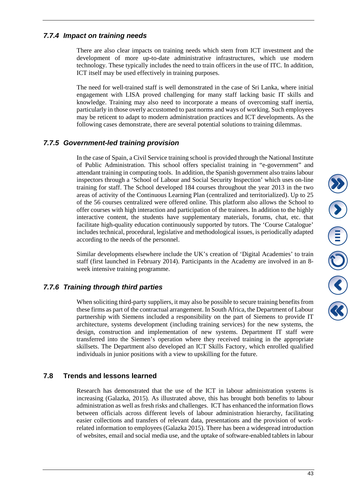#### **7.7.4 Impact on training needs**

There are also clear impacts on training needs which stem from ICT investment and the development of more up-to-date administrative infrastructures, which use modern technology. These typically includes the need to train officers in the use of ITC. In addition, ICT itself may be used effectively in training purposes.

The need for well-trained staff is well demonstrated in the case of Sri Lanka, where initial engagement with LISA proved challenging for many staff lacking basic IT skills and knowledge. Training may also need to incorporate a means of overcoming staff inertia, particularly in those overly accustomed to past norms and ways of working. Such employees may be reticent to adapt to modern administration practices and ICT developments. As the following cases demonstrate, there are several potential solutions to training dilemmas.

#### **7.7.5 Government-led training provision**

In the case of Spain, a Civil Service training school is provided through the National Institute of Public Administration. This school offers specialist training in "e-government" and attendant training in computing tools. In addition, the Spanish government also trains labour inspectors through a 'School of Labour and Social Security Inspection' which uses on-line training for staff. The School developed 184 courses throughout the year 2013 in the two areas of activity of the Continuous Learning Plan (centralized and territorialized). Up to 25 of the 56 courses centralized were offered online. This platform also allows the School to offer courses with high interaction and participation of the trainees. In addition to the highly interactive content, the students have supplementary materials, forums, chat, etc. that facilitate high-quality education continuously supported by tutors. The 'Course Catalogue' includes technical, procedural, legislative and methodological issues, is periodically adapted according to the needs of the personnel.

Similar developments elsewhere include the UK's creation of 'Digital Academies' to train staff (first launched in February 2014). Participants in the Academy are involved in an 8 week intensive training programme.

#### **7.7.6 Training through third parties**

When soliciting third-party suppliers, it may also be possible to secure training benefits from these firms as part of the contractual arrangement. In South Africa, the Department of Labour partnership with Siemens included a responsibility on the part of Siemens to provide IT architecture, systems development (including training services) for the new systems, the design, construction and implementation of new systems. Department IT staff were transferred into the Siemen's operation where they received training in the appropriate skillsets. The Department also developed an ICT Skills Factory, which enrolled qualified individuals in junior positions with a view to upskilling for the future.

#### **7.8 Trends and lessons learned**

Research has demonstrated that the use of the ICT in labour administration systems is increasing (Galazka, 2015). As illustrated above, this has brought both benefits to labour administration as well as fresh risks and challenges. ICT has enhanced the information flows between officials across different levels of labour administration hierarchy, facilitating easier collections and transfers of relevant data, presentations and the provision of workrelated information to employees (Galazka 2015). There has been a widespread introduction of websites, email and social media use, and the uptake of software-enabled tablets in labour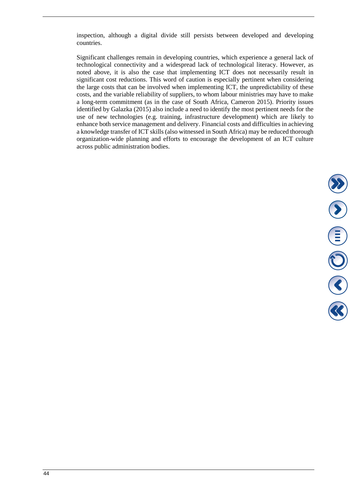inspection, although a digital divide still persists between developed and developing countries.

Significant challenges remain in developing countries, which experience a general lack of technological connectivity and a widespread lack of technological literacy. However, as noted above, it is also the case that implementing ICT does not necessarily result in significant cost reductions. This word of caution is especially pertinent when considering the large costs that can be involved when implementing ICT, the unpredictability of these costs, and the variable reliability of suppliers, to whom labour ministries may have to make a long-term commitment (as in the case of South Africa, Cameron 2015). Priority issues identified by Galazka (2015) also include a need to identify the most pertinent needs for the use of new technologies (e.g. training, infrastructure development) which are likely to enhance both service management and delivery. Financial costs and difficulties in achieving a knowledge transfer of ICT skills (also witnessed in South Africa) may be reduced thorough organization-wide planning and efforts to encourage the development of an ICT culture across public administration bodies.

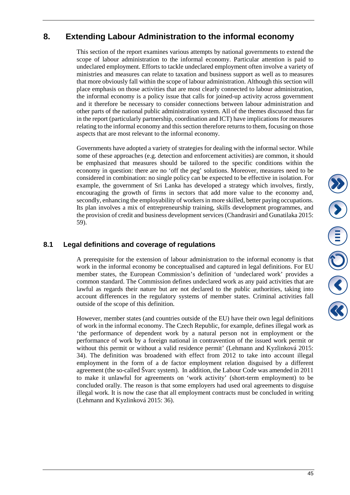# **8. Extending Labour Administration to the informal economy**

This section of the report examines various attempts by national governments to extend the scope of labour administration to the informal economy. Particular attention is paid to undeclared employment. Efforts to tackle undeclared employment often involve a variety of ministries and measures can relate to taxation and business support as well as to measures that more obviously fall within the scope of labour administration. Although this section will place emphasis on those activities that are most clearly connected to labour administration, the informal economy is a policy issue that calls for joined-up activity across government and it therefore be necessary to consider connections between labour administration and other parts of the national public administration system. All of the themes discussed thus far in the report (particularly partnership, coordination and ICT) have implications for measures relating to the informal economy and this section therefore returns to them, focusing on those aspects that are most relevant to the informal economy.

Governments have adopted a variety of strategies for dealing with the informal sector. While some of these approaches (e.g. detection and enforcement activities) are common, it should be emphasized that measures should be tailored to the specific conditions within the economy in question: there are no 'off the peg' solutions. Moreover, measures need to be considered in combination: no single policy can be expected to be effective in isolation. For example, the government of Sri Lanka has developed a strategy which involves, firstly, encouraging the growth of firms in sectors that add more value to the economy and, secondly, enhancing the employability of workers in more skilled, better paying occupations. Its plan involves a mix of entrepreneurship training, skills development programmes, and the provision of credit and business development services (Chandrasiri and Gunatilaka 2015: 59).

# **8.1 Legal definitions and coverage of regulations**

A prerequisite for the extension of labour administration to the informal economy is that work in the informal economy be conceptualised and captured in legal definitions. For EU member states, the European Commission's definition of 'undeclared work' provides a common standard. The Commission defines undeclared work as any paid activities that are lawful as regards their nature but are not declared to the public authorities, taking into account differences in the regulatory systems of member states. Criminal activities fall outside of the scope of this definition.

However, member states (and countries outside of the EU) have their own legal definitions of work in the informal economy. The Czech Republic, for example, defines illegal work as 'the performance of dependent work by a natural person not in employment or the performance of work by a foreign national in contravention of the issued work permit or without this permit or without a valid residence permit' (Lehmann and Kyzlinková 2015: 34). The definition was broadened with effect from 2012 to take into account illegal employment in the form of a de factor employment relation disguised by a different agreement (the so-called Švarc system). In addition, the Labour Code was amended in 2011 to make it unlawful for agreements on 'work activity' (short-term employment) to be concluded orally. The reason is that some employers had used oral agreements to disguise illegal work. It is now the case that all employment contracts must be concluded in writing (Lehmann and Kyzlinková 2015: 36).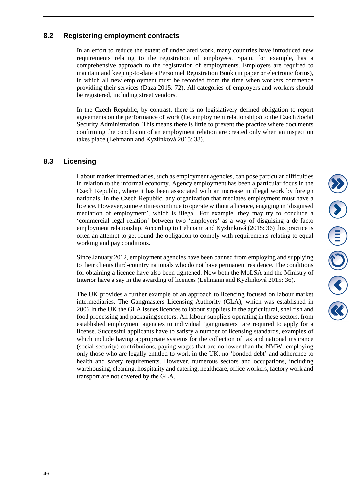# **8.2 Registering employment contracts**

In an effort to reduce the extent of undeclared work, many countries have introduced new requirements relating to the registration of employees. Spain, for example, has a comprehensive approach to the registration of employments. Employers are required to maintain and keep up-to-date a Personnel Registration Book (in paper or electronic forms), in which all new employment must be recorded from the time when workers commence providing their services (Daza 2015: 72). All categories of employers and workers should be registered, including street vendors.

In the Czech Republic, by contrast, there is no legislatively defined obligation to report agreements on the performance of work (i.e. employment relationships) to the Czech Social Security Administration. This means there is little to prevent the practice where documents confirming the conclusion of an employment relation are created only when an inspection takes place (Lehmann and Kyzlinková 2015: 38).

#### **8.3 Licensing**

Labour market intermediaries, such as employment agencies, can pose particular difficulties in relation to the informal economy. Agency employment has been a particular focus in the Czech Republic, where it has been associated with an increase in illegal work by foreign nationals. In the Czech Republic, any organization that mediates employment must have a licence. However, some entities continue to operate without a licence, engaging in 'disguised mediation of employment', which is illegal. For example, they may try to conclude a 'commercial legal relation' between two 'employers' as a way of disguising a de facto employment relationship. According to Lehmann and Kyzlinková (2015: 36) this practice is often an attempt to get round the obligation to comply with requirements relating to equal working and pay conditions.

Since January 2012, employment agencies have been banned from employing and supplying to their clients third-country nationals who do not have permanent residence. The conditions for obtaining a licence have also been tightened. Now both the MoLSA and the Ministry of Interior have a say in the awarding of licences (Lehmann and Kyzlinková 2015: 36).

The UK provides a further example of an approach to licencing focused on labour market intermediaries. The Gangmasters Licensing Authority (GLA), which was established in 2006 In the UK the GLA issues licences to labour suppliers in the agricultural, shellfish and food processing and packaging sectors. All labour suppliers operating in these sectors, from established employment agencies to individual 'gangmasters' are required to apply for a license. Successful applicants have to satisfy a number of licensing standards, examples of which include having appropriate systems for the collection of tax and national insurance (social security) contributions, paying wages that are no lower than the NMW, employing only those who are legally entitled to work in the UK, no 'bonded debt' and adherence to health and safety requirements. However, numerous sectors and occupations, including warehousing, cleaning, hospitality and catering, healthcare, office workers, factory work and transport are not covered by the GLA.

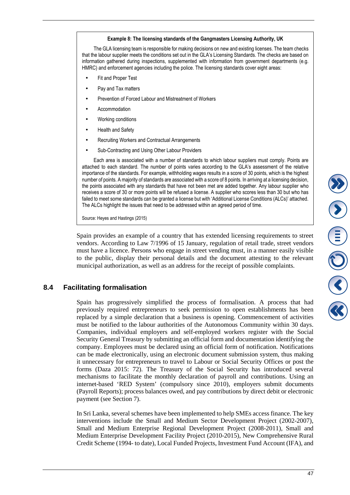#### **Example 8: The licensing standards of the Gangmasters Licensing Authority, UK**

The GLA licensing team is responsible for making decisions on new and existing licenses. The team checks that the labour supplier meets the conditions set out in the GLA's Licensing Standards. The checks are based on information gathered during inspections, supplemented with information from government departments (e.g. HMRC) and enforcement agencies including the police. The licensing standards cover eight areas:

- Fit and Proper Test
- Pay and Tax matters
- Prevention of Forced Labour and Mistreatment of Workers
- **Accommodation**
- Working conditions
- Health and Safety
- Recruiting Workers and Contractual Arrangements
- Sub-Contracting and Using Other Labour Providers

Each area is associated with a number of standards to which labour suppliers must comply. Points are attached to each standard. The number of points varies according to the GLA's assessment of the relative importance of the standards. For example, withholding wages results in a score of 30 points, which is the highest number of points. A majority of standards are associated with a score of 8 points. In arriving at a licensing decision, the points associated with any standards that have not been met are added together. Any labour supplier who receives a score of 30 or more points will be refused a license. A supplier who scores less than 30 but who has failed to meet some standards can be granted a license but with 'Additional License Conditions (ALCs)' attached. The ALCs highlight the issues that need to be addressed within an agreed period of time.

Source: Heyes and Hastings (2015)

Spain provides an example of a country that has extended licensing requirements to street vendors. According to Law 7/1996 of 15 January, regulation of retail trade, street vendors must have a licence. Persons who engage in street vending must, in a manner easily visible to the public, display their personal details and the document attesting to the relevant municipal authorization, as well as an address for the receipt of possible complaints.

#### **8.4 Facilitating formalisation**

Spain has progressively simplified the process of formalisation. A process that had previously required entrepreneurs to seek permission to open establishments has been replaced by a simple declaration that a business is opening. Commencement of activities must be notified to the labour authorities of the Autonomous Community within 30 days. Companies, individual employers and self-employed workers register with the Social Security General Treasury by submitting an official form and documentation identifying the company. Employees must be declared using an official form of notification. Notifications can be made electronically, using an electronic document submission system, thus making it unnecessary for entrepreneurs to travel to Labour or Social Security Offices or post the forms (Daza 2015: 72). The Treasury of the Social Security has introduced several mechanisms to facilitate the monthly declaration of payroll and contributions. Using an internet-based 'RED System' (compulsory since 2010), employers submit documents (Payroll Reports); process balances owed, and pay contributions by direct debit or electronic payment (see Section 7).

In Sri Lanka, several schemes have been implemented to help SMEs access finance. The key interventions include the Small and Medium Sector Development Project (2002-2007), Small and Medium Enterprise Regional Development Project (2008-2011), Small and Medium Enterprise Development Facility Project (2010-2015), New Comprehensive Rural Credit Scheme (1994- to date), Local Funded Projects, Investment Fund Account (IFA), and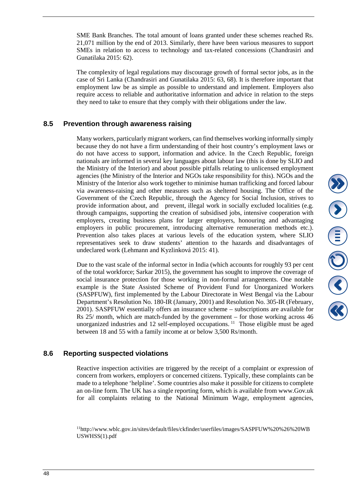SME Bank Branches. The total amount of loans granted under these schemes reached Rs. 21,071 million by the end of 2013. Similarly, there have been various measures to support SMEs in relation to access to technology and tax-related concessions (Chandrasiri and Gunatilaka 2015: 62).

The complexity of legal regulations may discourage growth of formal sector jobs, as in the case of Sri Lanka (Chandrasiri and Gunatilaka 2015: 63, 68). It is therefore important that employment law be as simple as possible to understand and implement. Employers also require access to reliable and authoritative information and advice in relation to the steps they need to take to ensure that they comply with their obligations under the law.

#### **8.5 Prevention through awareness raising**

Many workers, particularly migrant workers, can find themselves working informally simply because they do not have a firm understanding of their host country's employment laws or do not have access to support, information and advice. In the Czech Republic, foreign nationals are informed in several key languages about labour law (this is done by SLIO and the Ministry of the Interior) and about possible pitfalls relating to unlicensed employment agencies (the Ministry of the Interior and NGOs take responsibility for this). NGOs and the Ministry of the Interior also work together to minimise human trafficking and forced labour via awareness-raising and other measures such as sheltered housing. The Office of the Government of the Czech Republic, through the Agency for Social Inclusion, strives to provide information about, and prevent, illegal work in socially excluded localities (e.g. through campaigns, supporting the creation of subsidised jobs, intensive cooperation with employers, creating business plans for larger employers, honouring and advantaging employers in public procurement, introducing alternative remuneration methods etc.). Prevention also takes places at various levels of the education system, where SLIO representatives seek to draw students' attention to the hazards and disadvantages of undeclared work (Lehmann and Kyzlinková 2015: 41).

Due to the vast scale of the informal sector in India (which accounts for roughly 93 per cent of the total workforce; Sarkar 2015), the government has sought to improve the coverage of social insurance protection for those working in non-formal arrangements. One notable example is the State Assisted Scheme of Provident Fund for Unorganized Workers (SASPFUW), first implemented by the Labour Directorate in West Bengal via the Labour Department's Resolution No. 180-IR (January, 2001) and Resolution No. 305-IR (February, 2001). SASPFUW essentially offers an insurance scheme – subscriptions are available for Rs 25/ month, which are match-funded by the government – for those working across 46 unorganized industries and 12 self-employed occupations.<sup>11</sup> Those eligible must be aged between 18 and 55 with a family income at or below 3,500 Rs/month.

#### **8.6 Reporting suspected violations**

Reactive inspection activities are triggered by the receipt of a complaint or expression of concern from workers, employers or concerned citizens. Typically, these complaints can be made to a telephone 'helpline'. Some countries also make it possible for citizens to complete an on-line form. The UK has a single reporting form, which is available from www.Gov.uk for all complaints relating to the National Minimum Wage, employment agencies,

<sup>11</sup>http://www.wblc.gov.in/sites/default/files/ckfinder/userfiles/images/SASPFUW%20%26%20WB USWHSS(1).pdf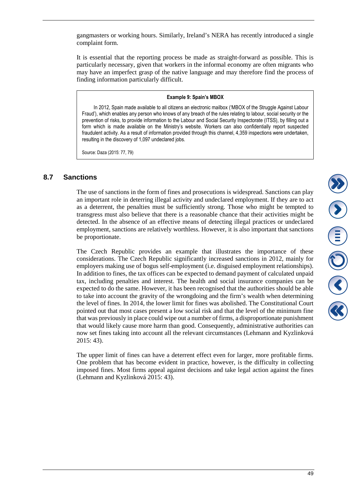gangmasters or working hours. Similarly, Ireland's NERA has recently introduced a single complaint form.

It is essential that the reporting process be made as straight-forward as possible. This is particularly necessary, given that workers in the informal economy are often migrants who may have an imperfect grasp of the native language and may therefore find the process of finding information particularly difficult.

#### **Example 9: Spain's MBOX**

In 2012, Spain made available to all citizens an electronic mailbox ('MBOX of the Struggle Against Labour Fraud'), which enables any person who knows of any breach of the rules relating to labour, social security or the prevention of risks, to provide information to the Labour and Social Security Inspectorate (ITSS), by filling out a form which is made available on the Ministry's website. Workers can also confidentially report suspected fraudulent activity. As a result of information provided through this channel, 4,359 inspections were undertaken, resulting in the discovery of 1,097 undeclared jobs.

Source: Daza (2015: 77, 79)

#### **8.7 Sanctions**

The use of sanctions in the form of fines and prosecutions is widespread. Sanctions can play an important role in deterring illegal activity and undeclared employment. If they are to act as a deterrent, the penalties must be sufficiently strong. Those who might be tempted to transgress must also believe that there is a reasonable chance that their activities might be detected. In the absence of an effective means of detecting illegal practices or undeclared employment, sanctions are relatively worthless. However, it is also important that sanctions be proportionate.

The Czech Republic provides an example that illustrates the importance of these considerations. The Czech Republic significantly increased sanctions in 2012, mainly for employers making use of bogus self-employment (i.e. disguised employment relationships). In addition to fines, the tax offices can be expected to demand payment of calculated unpaid tax, including penalties and interest. The health and social insurance companies can be expected to do the same. However, it has been recognised that the authorities should be able to take into account the gravity of the wrongdoing and the firm's wealth when determining the level of fines. In 2014, the lower limit for fines was abolished. The Constitutional Court pointed out that most cases present a low social risk and that the level of the minimum fine that was previously in place could wipe out a number of firms, a disproportionate punishment that would likely cause more harm than good. Consequently, administrative authorities can now set fines taking into account all the relevant circumstances (Lehmann and Kyzlinková 2015: 43).

The upper limit of fines can have a deterrent effect even for larger, more profitable firms. One problem that has become evident in practice, however, is the difficulty in collecting imposed fines. Most firms appeal against decisions and take legal action against the fines (Lehmann and Kyzlinková 2015: 43).

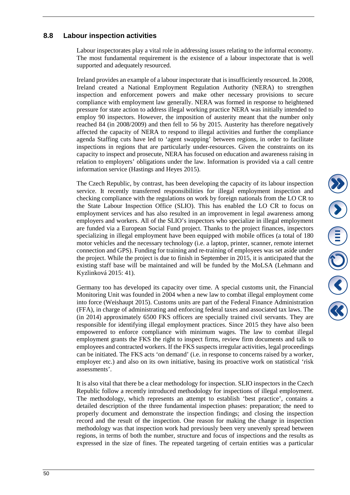# SCIENCI

# **8.8 Labour inspection activities**

Labour inspectorates play a vital role in addressing issues relating to the informal economy. The most fundamental requirement is the existence of a labour inspectorate that is well supported and adequately resourced.

Ireland provides an example of a labour inspectorate that is insufficiently resourced. In 2008, Ireland created a National Employment Regulation Authority (NERA) to strengthen inspection and enforcement powers and make other necessary provisions to secure compliance with employment law generally. NERA was formed in response to heightened pressure for state action to address illegal working practice NERA was initially intended to employ 90 inspectors. However, the imposition of austerity meant that the number only reached 84 (in 2008/2009) and then fell to 56 by 2015. Austerity has therefore negatively affected the capacity of NERA to respond to illegal activities and further the compliance agenda Staffing cuts have led to 'agent swapping' between regions, in order to facilitate inspections in regions that are particularly under-resources. Given the constraints on its capacity to inspect and prosecute, NERA has focused on education and awareness raising in relation to employers' obligations under the law. Information is provided via a call centre information service (Hastings and Heyes 2015).

The Czech Republic, by contrast, has been developing the capacity of its labour inspection service. It recently transferred responsibilities for illegal employment inspection and checking compliance with the regulations on work by foreign nationals from the LO CR to the State Labour Inspection Office (SLIO). This has enabled the LO CR to focus on employment services and has also resulted in an improvement in legal awareness among employers and workers. All of the SLIO's inspectors who specialize in illegal employment are funded via a European Social Fund project. Thanks to the project finances, inspectors specializing in illegal employment have been equipped with mobile offices (a total of 180 motor vehicles and the necessary technology (i.e. a laptop, printer, scanner, remote internet connection and GPS). Funding for training and re-training of employees was set aside under the project. While the project is due to finish in September in 2015, it is anticipated that the existing staff base will be maintained and will be funded by the MoLSA (Lehmann and Kyzlinková 2015: 41).

Germany too has developed its capacity over time. A special customs unit, the Financial Monitoring Unit was founded in 2004 when a new law to combat illegal employment come into force (Weishaupt 2015). Customs units are part of the Federal Finance Administration (FFA), in charge of administrating and enforcing federal taxes and associated tax laws. The (in 2014) approximately 6500 FKS officers are specially trained civil servants. They are responsible for identifying illegal employment practices. Since 2015 they have also been empowered to enforce compliance with minimum wages. The law to combat illegal employment grants the FKS the right to inspect firms, review firm documents and talk to employees and contracted workers. If the FKS suspects irregular activities, legal proceedings can be initiated. The FKS acts 'on demand' (i.e. in response to concerns raised by a worker, employer etc.) and also on its own initiative, basing its proactive work on statistical 'risk assessments'.

It is also vital that there be a clear methodology for inspection. SLIO inspectors in the Czech Republic follow a recently introduced methodology for inspections of illegal employment. The methodology, which represents an attempt to establish 'best practice', contains a detailed description of the three fundamental inspection phases: preparation; the need to properly document and demonstrate the inspection findings; and closing the inspection record and the result of the inspection. One reason for making the change in inspection methodology was that inspection work had previously been very unevenly spread between regions, in terms of both the number, structure and focus of inspections and the results as expressed in the size of fines. The repeated targeting of certain entities was a particular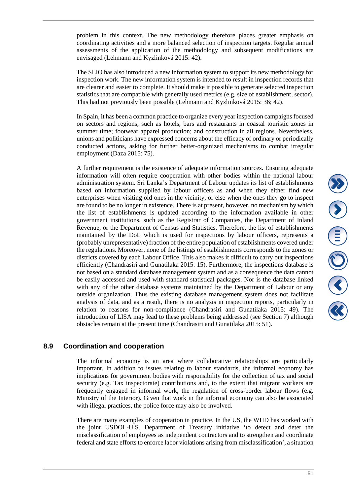problem in this context. The new methodology therefore places greater emphasis on coordinating activities and a more balanced selection of inspection targets. Regular annual assessments of the application of the methodology and subsequent modifications are envisaged (Lehmann and Kyzlinková 2015: 42).

The SLIO has also introduced a new information system to support its new methodology for inspection work. The new information system is intended to result in inspection records that are clearer and easier to complete. It should make it possible to generate selected inspection statistics that are compatible with generally used metrics (e.g. size of establishment, sector). This had not previously been possible (Lehmann and Kyzlinková 2015: 36; 42).

In Spain, it has been a common practice to organize every year inspection campaigns focused on sectors and regions, such as hotels, bars and restaurants in coastal touristic zones in summer time; footwear apparel production; and construction in all regions. Nevertheless, unions and politicians have expressed concerns about the efficacy of ordinary or periodically conducted actions, asking for further better-organized mechanisms to combat irregular employment (Daza 2015: 75).

A further requirement is the existence of adequate information sources. Ensuring adequate information will often require cooperation with other bodies within the national labour administration system. Sri Lanka's Department of Labour updates its list of establishments based on information supplied by labour officers as and when they either find new enterprises when visiting old ones in the vicinity, or else when the ones they go to inspect are found to be no longer in existence. There is at present, however, no mechanism by which the list of establishments is updated according to the information available in other government institutions, such as the Registrar of Companies, the Department of Inland Revenue, or the Department of Census and Statistics. Therefore, the list of establishments maintained by the DoL which is used for inspections by labour officers, represents a (probably unrepresentative) fraction of the entire population of establishments covered under the regulations. Moreover, none of the listings of establishments corresponds to the zones or districts covered by each Labour Office. This also makes it difficult to carry out inspections efficiently (Chandrasiri and Gunatilaka 2015: 15). Furthermore, the inspections database is not based on a standard database management system and as a consequence the data cannot be easily accessed and used with standard statistical packages. Nor is the database linked with any of the other database systems maintained by the Department of Labour or any outside organization. Thus the existing database management system does not facilitate analysis of data, and as a result, there is no analysis in inspection reports, particularly in relation to reasons for non-compliance (Chandrasiri and Gunatilaka 2015: 49). The introduction of LISA may lead to these problems being addressed (see Section 7) although obstacles remain at the present time (Chandrasiri and Gunatilaka 2015: 51).

#### **8.9 Coordination and cooperation**

The informal economy is an area where collaborative relationships are particularly important. In addition to issues relating to labour standards, the informal economy has implications for government bodies with responsibility for the collection of tax and social security (e.g. Tax inspectorate) contributions and, to the extent that migrant workers are frequently engaged in informal work, the regulation of cross-border labour flows (e.g. Ministry of the Interior). Given that work in the informal economy can also be associated with illegal practices, the police force may also be involved.

There are many examples of cooperation in practice. In the US, the WHD has worked with the joint USDOL-U.S. Department of Treasury initiative 'to detect and deter the misclassification of employees as independent contractors and to strengthen and coordinate federal and state efforts to enforce labor violations arising from misclassification', a situation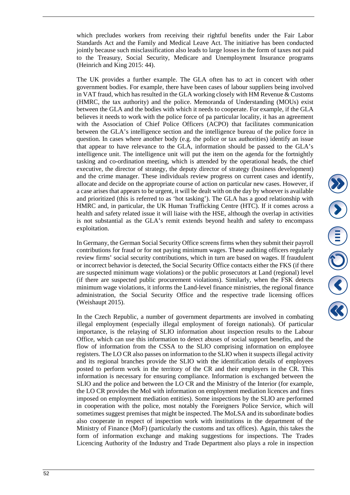which precludes workers from receiving their rightful benefits under the Fair Labor Standards Act and the Family and Medical Leave Act. The initiative has been conducted jointly because such misclassification also leads to large losses in the form of taxes not paid to the Treasury, Social Security, Medicare and Unemployment Insurance programs (Heinrich and King 2015: 44).

The UK provides a further example. The GLA often has to act in concert with other government bodies. For example, there have been cases of labour suppliers being involved in VAT fraud, which has resulted in the GLA working closely with HM Revenue & Customs (HMRC, the tax authority) and the police. Memoranda of Understanding (MOUs) exist between the GLA and the bodies with which it needs to cooperate. For example, if the GLA believes it needs to work with the police force of pa particular locality, it has an agreement with the Association of Chief Police Officers (ACPO) that facilitates communication between the GLA's intelligence section and the intelligence bureau of the police force in question. In cases where another body (e.g. the police or tax authorities) identify an issue that appear to have relevance to the GLA, information should be passed to the GLA's intelligence unit. The intelligence unit will put the item on the agenda for the fortnightly tasking and co-ordination meeting, which is attended by the operational heads, the chief executive, the director of strategy, the deputy director of strategy (business development) and the crime manager. These individuals review progress on current cases and identify, allocate and decide on the appropriate course of action on particular new cases. However, if a case arises that appears to be urgent, it will be dealt with on the day by whoever is available and prioritized (this is referred to as 'hot tasking'). The GLA has a good relationship with HMRC and, in particular, the UK Human Trafficking Centre (HTC). If it comes across a health and safety related issue it will liaise with the HSE, although the overlap in activities is not substantial as the GLA's remit extends beyond health and safety to encompass exploitation.

In Germany, the German Social Security Office screens firms when they submit their payroll contributions for fraud or for not paying minimum wages. These auditing officers regularly review firms' social security contributions, which in turn are based on wages. If fraudulent or incorrect behavior is detected, the Social Security Office contacts either the FKS (if there are suspected minimum wage violations) or the public prosecutors at Land (regional) level (if there are suspected public procurement violations). Similarly, when the FSK detects minimum wage violations, it informs the Land-level finance ministries, the regional finance administration, the Social Security Office and the respective trade licensing offices (Weishaupt 2015).

In the Czech Republic, a number of government departments are involved in combating illegal employment (especially illegal employment of foreign nationals). Of particular importance, is the relaying of SLIO information about inspection results to the Labour Office, which can use this information to detect abuses of social support benefits, and the flow of information from the CSSA to the SLIO comprising information on employee registers. The LO CR also passes on information to the SLIO when it suspects illegal activity and its regional branches provide the SLIO with the identification details of employees posted to perform work in the territory of the CR and their employers in the CR. This information is necessary for ensuring compliance. Information is exchanged between the SLIO and the police and between the LO CR and the Ministry of the Interior (for example, the LO CR provides the MoI with information on employment mediation licences and fines imposed on employment mediation entities). Some inspections by the SLIO are performed in cooperation with the police, most notably the Foreigners Police Service, which will sometimes suggest premises that might be inspected. The MoLSA and its subordinate bodies also cooperate in respect of inspection work with institutions in the department of the Ministry of Finance (MoF) (particularly the customs and tax offices). Again, this takes the form of information exchange and making suggestions for inspections. The Trades Licencing Authority of the Industry and Trade Department also plays a role in inspection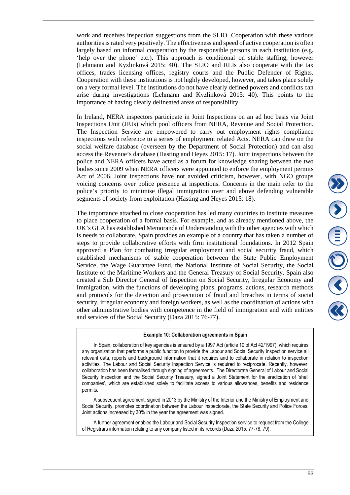work and receives inspection suggestions from the SLIO. Cooperation with these various authorities is rated very positively. The effectiveness and speed of active cooperation is often largely based on informal cooperation by the responsible persons in each institution (e.g. 'help over the phone' etc.). This approach is conditional on stable staffing, however (Lehmann and Kyzlinková 2015: 40). The SLIO and RLIs also cooperate with the tax offices, trades licensing offices, registry courts and the Public Defender of Rights. Cooperation with these institutions is not highly developed, however, and takes place solely on a very formal level. The institutions do not have clearly defined powers and conflicts can arise during investigations (Lehmann and Kyzlinková 2015: 40). This points to the importance of having clearly delineated areas of responsibility.

In Ireland, NERA inspectors participate in Joint Inspections on an ad hoc basis via Joint Inspections Unit (JIUs) which pool officers from NERA, Revenue and Social Protection. The Inspection Service are empowered to carry out employment rights compliance inspections with reference to a series of employment related Acts. NERA can draw on the social welfare database (overseen by the Department of Social Protection) and can also access the Revenue's database (Hasting and Heyes 2015: 17). Joint inspections between the police and NERA officers have acted as a forum for knowledge sharing between the two bodies since 2009 when NERA officers were appointed to enforce the employment permits Act of 2006. Joint inspections have not avoided criticism, however, with NGO groups voicing concerns over police presence at inspections. Concerns in the main refer to the police's priority to minimise illegal immigration over and above defending vulnerable segments of society from exploitation (Hasting and Heyes 2015: 18).

The importance attached to close cooperation has led many countries to institute measures to place cooperation of a formal basis. For example, and as already mentioned above, the UK's GLA has established Memoranda of Understanding with the other agencies with which is needs to collaborate. Spain provides an example of a country that has taken a number of steps to provide collaborative efforts with firm institutional foundations. In 2012 Spain approved a Plan for combating irregular employment and social security fraud, which established mechanisms of stable cooperation between the State Public Employment Service, the Wage Guarantee Fund, the National Institute of Social Security, the Social Institute of the Maritime Workers and the General Treasury of Social Security. Spain also created a Sub Director General of Inspection on Social Security, Irregular Economy and Immigration, with the functions of developing plans, programs, actions, research methods and protocols for the detection and prosecution of fraud and breaches in terms of social security, irregular economy and foreign workers, as well as the coordination of actions with other administrative bodies with competence in the field of immigration and with entities and services of the Social Security (Daza 2015: 76-77).

#### **Example 10: Collaboration agreements in Spain**

In Spain, collaboration of key agencies is ensured by a 1997 Act (article 10 of Act 42/1997), which requires any organization that performs a public function to provide the Labour and Social Security Inspection service all relevant data, reports and background information that it requires and to collaborate in relation to inspection activities. The Labour and Social Security Inspection Service is required to reciprocate. Recently, however, collaboration has been formalised through signing of agreements. The Directorate General of Labour and Social Security Inspection and the Social Security Treasury, signed a Joint Statement for the eradication of 'shell companies', which are established solely to facilitate access to various allowances, benefits and residence permits.

A subsequent agreement, signed in 2013 by the Ministry of the Interior and the Ministry of Employment and Social Security, promotes coordination between the Labour Inspectorate, the State Security and Police Forces. Joint actions increased by 30% in the year the agreement was signed.

A further agreement enables the Labour and Social Security Inspection service to request from the College of Registrars information relating to any company listed in its records (Daza 2015: 77-78, 79).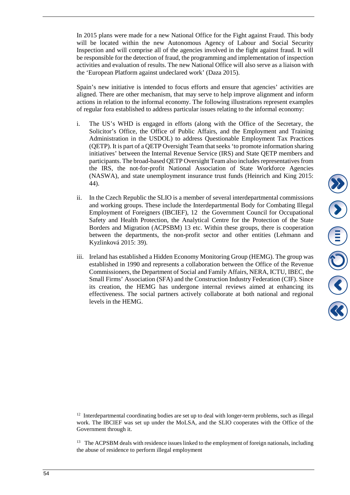N J E O C

In 2015 plans were made for a new National Office for the Fight against Fraud. This body will be located within the new Autonomous Agency of Labour and Social Security Inspection and will comprise all of the agencies involved in the fight against fraud. It will be responsible for the detection of fraud, the programming and implementation of inspection activities and evaluation of results. The new National Office will also serve as a liaison with the 'European Platform against undeclared work' (Daza 2015).

Spain's new initiative is intended to focus efforts and ensure that agencies' activities are aligned. There are other mechanism, that may serve to help improve alignment and inform actions in relation to the informal economy. The following illustrations represent examples of regular fora established to address particular issues relating to the informal economy:

- i. The US's WHD is engaged in efforts (along with the Office of the Secretary, the Solicitor's Office, the Office of Public Affairs, and the Employment and Training Administration in the USDOL) to address Questionable Employment Tax Practices (QETP). It is part of a QETP Oversight Team that seeks 'to promote information sharing initiatives' between the Internal Revenue Service (IRS) and State QETP members and participants. The broad-based QETP Oversight Team also includes representatives from the IRS, the not-for-profit National Association of State Workforce Agencies (NASWA), and state unemployment insurance trust funds (Heinrich and King 2015: 44).
- ii. In the Czech Republic the SLIO is a member of several interdepartmental commissions and working groups. These include the Interdepartmental Body for Combating Illegal Employment of Foreigners (IBCIEF), 12 the Government Council for Occupational Safety and Health Protection, the Analytical Centre for the Protection of the State Borders and Migration (ACPSBM) 13 etc. Within these groups, there is cooperation between the departments, the non-profit sector and other entities (Lehmann and Kyzlinková 2015: 39).
- iii. Ireland has established a Hidden Economy Monitoring Group (HEMG). The group was established in 1990 and represents a collaboration between the Office of the Revenue Commissioners, the Department of Social and Family Affairs, NERA, ICTU, IBEC, the Small Firms' Association (SFA) and the Construction Industry Federation (CIF). Since its creation, the HEMG has undergone internal reviews aimed at enhancing its effectiveness. The social partners actively collaborate at both national and regional levels in the HEMG.

 $12$  Interdepartmental coordinating bodies are set up to deal with longer-term problems, such as illegal work. The IBCIEF was set up under the MoLSA, and the SLIO cooperates with the Office of the Government through it.

<sup>13</sup> The ACPSBM deals with residence issues linked to the employment of foreign nationals, including the abuse of residence to perform illegal employment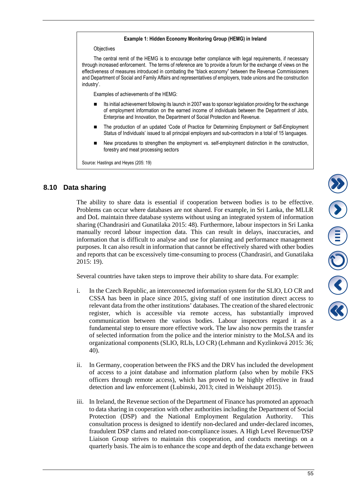#### **Example 1: Hidden Economy Monitoring Group (HEMG) in Ireland**

**Objectives** 

The central remit of the HEMG is to encourage better compliance with legal requirements, if necessary through increased enforcement. The terms of reference are 'to provide a forum for the exchange of views on the effectiveness of measures introduced in combating the "black economy" between the Revenue Commissioners and Department of Social and Family Affairs and representatives of employers, trade unions and the construction industry'.

Examples of achievements of the HEMG:

- Its initial achievement following its launch in 2007 was to sponsor legislation providing for the exchange of employment information on the earned income of individuals between the Department of Jobs, Enterprise and Innovation, the Department of Social Protection and Revenue.
- The production of an updated 'Code of Practice for Determining Employment or Self-Employment Status of Individuals' issued to all principal employers and sub-contractors in a total of 15 languages.
- New procedures to strengthen the employment vs. self-employment distinction in the construction, forestry and meat processing sectors

Source: Hastings and Heyes (205: 19)

# **8.10 Data sharing**

The ability to share data is essential if cooperation between bodies is to be effective. Problems can occur where databases are not shared. For example, in Sri Lanka, the MLLR and DoL maintain three database systems without using an integrated system of information sharing (Chandrasiri and Gunatilaka 2015: 48). Furthermore, labour inspectors in Sri Lanka manually record labour inspection data. This can result in delays, inaccuracies, and information that is difficult to analyse and use for planning and performance management purposes. It can also result in information that cannot be effectively shared with other bodies and reports that can be excessively time-consuming to process (Chandrasiri, and Gunatilaka 2015: 19).

Several countries have taken steps to improve their ability to share data. For example:

- i. In the Czech Republic, an interconnected information system for the SLIO, LO CR and CSSA has been in place since 2015, giving staff of one institution direct access to relevant data from the other institutions' databases. The creation of the shared electronic register, which is accessible via remote access, has substantially improved communication between the various bodies. Labour inspectors regard it as a fundamental step to ensure more effective work. The law also now permits the transfer of selected information from the police and the interior ministry to the MoLSA and its organizational components (SLIO, RLIs, LO CR) (Lehmann and Kyzlinková 2015: 36; 40).
- ii. In Germany, cooperation between the FKS and the DRV has included the development of access to a joint database and information platform (also when by mobile FKS officers through remote access), which has proved to be highly effective in fraud detection and law enforcement (Lubinski, 2013; cited in Weishaupt 2015).
- iii. In Ireland, the Revenue section of the Department of Finance has promoted an approach to data sharing in cooperation with other authorities including the Department of Social Protection (DSP) and the National Employment Regulation Authority. This consultation process is designed to identify non-declared and under-declared incomes, fraudulent DSP clams and related non-compliance issues. A High Level Revenue/DSP Liaison Group strives to maintain this cooperation, and conducts meetings on a quarterly basis. The aim is to enhance the scope and depth of the data exchange between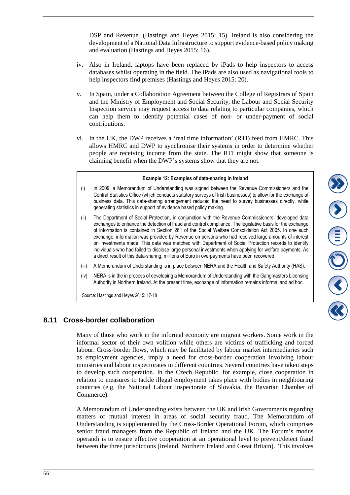DSP and Revenue. (Hastings and Heyes 2015: 15). Ireland is also considering the development of a National Data Infrastructure to support evidence-based policy making and evaluation (Hastings and Heyes 2015: 16).

- iv. Also in Ireland, laptops have been replaced by iPads to help inspectors to access databases whilst operating in the field. The iPads are also used as navigational tools to help inspectors find premises (Hastings and Heyes 2015: 20).
- v. In Spain, under a Collaboration Agreement between the College of Registrars of Spain and the Ministry of Employment and Social Security, the Labour and Social Security Inspection service may request access to data relating to particular companies, which can help them to identify potential cases of non- or under-payment of social contributions.
- vi. In the UK, the DWP receives a 'real time information' (RTI) feed from HMRC. This allows HMRC and DWP to synchronise their systems in order to determine whether people are receiving income from the state. The RTI might show that someone is claiming benefit when the DWP's systems show that they are not.

#### **Example 12: Examples of data-sharing in Ireland**

- (i) In 2009, a Memorandum of Understanding was signed between the Revenue Commissioners and the Central Statistics Office (which conducts statutory surveys of Irish businesses) to allow for the exchange of business data. This data-sharing arrangement reduced the need to survey businesses directly, while generating statistics in support of evidence based policy making.
- (ii) The Department of Social Protection, in conjunction with the Revenue Commissioners, developed data exchanges to enhance the detection of fraud and control compliance. The legislative basis for the exchange of information is contained in Section 261 of the Social Welfare Consolidation Act 2005. In one such exchange, information was provided by Revenue on persons who had received large amounts of interest on investments made. This data was matched with Department of Social Protection records to identify individuals who had failed to disclose large personal investments when applying for welfare payments. As a direct result of this data-sharing, millions of Euro in overpayments have been recovered.

ECCES

- (iii) A Memorandum of Understanding is in place between NERA and the Health and Safety Authority (HAS).
- (iv) NERA is in the in process of developing a Memorandum of Understanding with the Gangmasters Licensing Authority in Northern Ireland. At the present time, exchange of information remains informal and ad hoc.

Source: Hastings and Heyes 2015: 17-18

#### **8.11 Cross-border collaboration**

Many of those who work in the informal economy are migrant workers. Some work in the informal sector of their own volition while others are victims of trafficking and forced labour. Cross-border flows, which may be facilitated by labour market intermediaries such as employment agencies, imply a need for cross-border cooperation involving labour ministries and labour inspectorates in different countries. Several countries have taken steps to develop such cooperation. In the Czech Republic, for example, close cooperation in relation to measures to tackle illegal employment takes place with bodies in neighbouring countries (e.g. the National Labour Inspectorate of Slovakia, the Bavarian Chamber of Commerce).

A Memorandum of Understanding exists between the UK and Irish Governments regarding matters of mutual interest in areas of social security fraud. The Memorandum of Understanding is supplemented by the Cross-Border Operational Forum, which comprises senior fraud managers from the Republic of Ireland and the UK. The Forum's modus operandi is to ensure effective cooperation at an operational level to prevent/detect fraud between the three jurisdictions (Ireland, Northern Ireland and Great Britain). This involves

56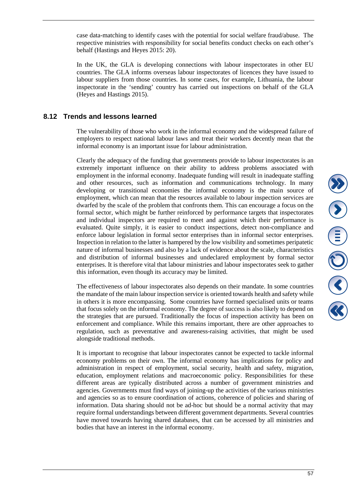case data-matching to identify cases with the potential for social welfare fraud/abuse. The respective ministries with responsibility for social benefits conduct checks on each other's behalf (Hastings and Heyes 2015: 20).

In the UK, the GLA is developing connections with labour inspectorates in other EU countries. The GLA informs overseas labour inspectorates of licences they have issued to labour suppliers from those countries. In some cases, for example, Lithuania, the labour inspectorate in the 'sending' country has carried out inspections on behalf of the GLA (Heyes and Hastings 2015).

#### **8.12 Trends and lessons learned**

The vulnerability of those who work in the informal economy and the widespread failure of employers to respect national labour laws and treat their workers decently mean that the informal economy is an important issue for labour administration.

Clearly the adequacy of the funding that governments provide to labour inspectorates is an extremely important influence on their ability to address problems associated with employment in the informal economy. Inadequate funding will result in inadequate staffing and other resources, such as information and communications technology. In many developing or transitional economies the informal economy is the main source of employment, which can mean that the resources available to labour inspection services are dwarfed by the scale of the problem that confronts them. This can encourage a focus on the formal sector, which might be further reinforced by performance targets that inspectorates and individual inspectors are required to meet and against which their performance is evaluated. Quite simply, it is easier to conduct inspections, detect non-compliance and enforce labour legislation in formal sector enterprises than in informal sector enterprises. Inspection in relation to the latter is hampered by the low visibility and sometimes peripatetic nature of informal businesses and also by a lack of evidence about the scale, characteristics and distribution of informal businesses and undeclared employment by formal sector enterprises. It is therefore vital that labour ministries and labour inspectorates seek to gather this information, even though its accuracy may be limited.

The effectiveness of labour inspectorates also depends on their mandate. In some countries the mandate of the main labour inspection service is oriented towards health and safety while in others it is more encompassing. Some countries have formed specialised units or teams that focus solely on the informal economy. The degree of success is also likely to depend on the strategies that are pursued. Traditionally the focus of inspection activity has been on enforcement and compliance. While this remains important, there are other approaches to regulation, such as preventative and awareness-raising activities, that might be used alongside traditional methods.

It is important to recognise that labour inspectorates cannot be expected to tackle informal economy problems on their own. The informal economy has implications for policy and administration in respect of employment, social security, health and safety, migration, education, employment relations and macroeconomic policy. Responsibilities for these different areas are typically distributed across a number of government ministries and agencies. Governments must find ways of joining-up the activities of the various ministries and agencies so as to ensure coordination of actions, coherence of policies and sharing of information. Data sharing should not be ad-hoc but should be a normal activity that may require formal understandings between different government departments. Several countries have moved towards having shared databases, that can be accessed by all ministries and bodies that have an interest in the informal economy.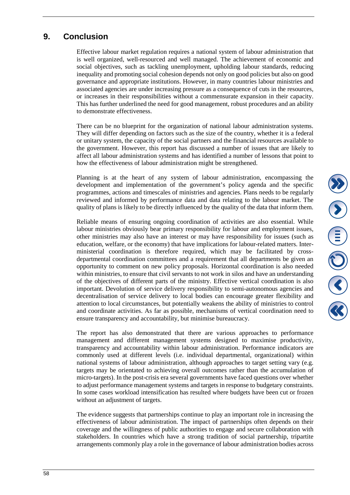# C III C E

# **9. Conclusion**

Effective labour market regulation requires a national system of labour administration that is well organized, well-resourced and well managed. The achievement of economic and social objectives, such as tackling unemployment, upholding labour standards, reducing inequality and promoting social cohesion depends not only on good policies but also on good governance and appropriate institutions. However, in many countries labour ministries and associated agencies are under increasing pressure as a consequence of cuts in the resources, or increases in their responsibilities without a commensurate expansion in their capacity. This has further underlined the need for good management, robust procedures and an ability to demonstrate effectiveness.

There can be no blueprint for the organization of national labour administration systems. They will differ depending on factors such as the size of the country, whether it is a federal or unitary system, the capacity of the social partners and the financial resources available to the government. However, this report has discussed a number of issues that are likely to affect all labour administration systems and has identified a number of lessons that point to how the effectiveness of labour administration might be strengthened.

Planning is at the heart of any system of labour administration, encompassing the development and implementation of the government's policy agenda and the specific programmes, actions and timescales of ministries and agencies. Plans needs to be regularly reviewed and informed by performance data and data relating to the labour market. The quality of plans is likely to be directly influenced by the quality of the data that inform them.

Reliable means of ensuring ongoing coordination of activities are also essential. While labour ministries obviously bear primary responsibility for labour and employment issues, other ministries may also have an interest or may have responsibility for issues (such as education, welfare, or the economy) that have implications for labour-related matters. Interministerial coordination is therefore required, which may be facilitated by crossdepartmental coordination committees and a requirement that all departments be given an opportunity to comment on new policy proposals. Horizontal coordination is also needed within ministries, to ensure that civil servants to not work in silos and have an understanding of the objectives of different parts of the ministry. Effective vertical coordination is also important. Devolution of service delivery responsibility to semi-autonomous agencies and decentralisation of service delivery to local bodies can encourage greater flexibility and attention to local circumstances, but potentially weakens the ability of ministries to control and coordinate activities. As far as possible, mechanisms of vertical coordination need to ensure transparency and accountability, but minimise bureaucracy.

The report has also demonstrated that there are various approaches to performance management and different management systems designed to maximise productivity, transparency and accountability within labour administration. Performance indicators are commonly used at different levels (i.e. individual departmental, organizational) within national systems of labour administration, although approaches to target setting vary (e.g. targets may be orientated to achieving overall outcomes rather than the accumulation of micro-targets). In the post-crisis era several governments have faced questions over whether to adjust performance management systems and targets in response to budgetary constraints. In some cases workload intensification has resulted where budgets have been cut or frozen without an adjustment of targets.

The evidence suggests that partnerships continue to play an important role in increasing the effectiveness of labour administration. The impact of partnerships often depends on their coverage and the willingness of public authorities to engage and secure collaboration with stakeholders. In countries which have a strong tradition of social partnership, tripartite arrangements commonly play a role in the governance of labour administration bodies across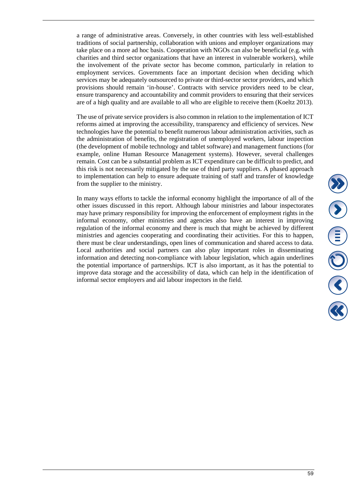a range of administrative areas. Conversely, in other countries with less well-established traditions of social partnership, collaboration with unions and employer organizations may take place on a more ad hoc basis. Cooperation with NGOs can also be beneficial (e.g. with charities and third sector organizations that have an interest in vulnerable workers), while the involvement of the private sector has become common, particularly in relation to employment services. Governments face an important decision when deciding which services may be adequately outsourced to private or third-sector sector providers, and which provisions should remain 'in-house'. Contracts with service providers need to be clear, ensure transparency and accountability and commit providers to ensuring that their services are of a high quality and are available to all who are eligible to receive them (Koeltz 2013).

The use of private service providers is also common in relation to the implementation of ICT reforms aimed at improving the accessibility, transparency and efficiency of services. New technologies have the potential to benefit numerous labour administration activities, such as the administration of benefits, the registration of unemployed workers, labour inspection (the development of mobile technology and tablet software) and management functions (for example, online Human Resource Management systems). However, several challenges remain. Cost can be a substantial problem as ICT expenditure can be difficult to predict, and this risk is not necessarily mitigated by the use of third party suppliers. A phased approach to implementation can help to ensure adequate training of staff and transfer of knowledge from the supplier to the ministry.

In many ways efforts to tackle the informal economy highlight the importance of all of the other issues discussed in this report. Although labour ministries and labour inspectorates may have primary responsibility for improving the enforcement of employment rights in the informal economy, other ministries and agencies also have an interest in improving regulation of the informal economy and there is much that might be achieved by different ministries and agencies cooperating and coordinating their activities. For this to happen, there must be clear understandings, open lines of communication and shared access to data. Local authorities and social partners can also play important roles in disseminating information and detecting non-compliance with labour legislation, which again underlines the potential importance of partnerships. ICT is also important, as it has the potential to improve data storage and the accessibility of data, which can help in the identification of informal sector employers and aid labour inspectors in the field.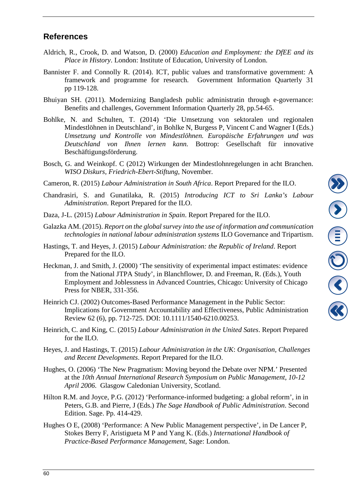# **References**

- Aldrich, R., Crook, D. and Watson, D. (2000) *Education and Employment: the DfEE and its Place in History*. London: Institute of Education, University of London.
- Bannister F. and Connolly R. (2014). ICT, public values and transformative government: A framework and programme for research. Government Information Quarterly 31 pp 119-128.
- Bhuiyan SH. (2011). Modernizing Bangladesh public administratin through e-governance: Benefits and challenges, Government Information Quarterly 28, pp.54-65.
- Bohlke, N. and Schulten, T. (2014) 'Die Umsetzung von sektoralen und regionalen Mindestlöhnen in Deutschland', in Bohlke N, Burgess P, Vincent C and Wagner I (Eds.) *Umsetzung und Kontrolle von Mindestlöhnen. Europäische Erfahrungen und was Deutschland von Ihnen lernen kann.* Bottrop: Gesellschaft für innovative Beschäftigungsförderung.
- Bosch, G. and Weinkopf. C (2012) Wirkungen der Mindestlohnregelungen in acht Branchen. *WISO Diskurs, Friedrich-Ebert-Stiftung*, November.
- Cameron, R. (2015) *Labour Administration in South Africa*. Report Prepared for the ILO.
- Chandrasiri, S. and Gunatilaka, R. (2015) *Introducing ICT to Sri Lanka's Labour Administration*. Report Prepared for the ILO.
- Daza, J-L. (2015) *Labour Administration in Spain*. Report Prepared for the ILO.
- Galazka AM. (2015). *Report on the global survey into the use of information and communication technologies in national labour administration systems* ILO Governance and Tripartism.
- Hastings, T. and Heyes, J. (2015) *Labour Administration: the Republic of Ireland*. Report Prepared for the ILO.
- Heckman, J. and Smith, J. (2000) 'The sensitivity of experimental impact estimates: evidence from the National JTPA Study', in Blanchflower, D. and Freeman, R. (Eds.), Youth Employment and Joblessness in Advanced Countries, Chicago: University of Chicago Press for NBER, 331-356.
- Heinrich CJ. (2002) Outcomes-Based Performance Management in the Public Sector: Implications for Government Accountability and Effectiveness, Public Administration Review 62 (6), pp. 712-725. DOI: 10.1111/1540-6210.00253.
- Heinrich, C. and King, C. (2015) *Labour Administration in the United Sates*. Report Prepared for the ILO.
- Heyes, J. and Hastings, T. (2015) *Labour Administration in the UK*: *Organisation, Challenges and Recent Developments*. Report Prepared for the ILO.
- Hughes, O. (2006) 'The New Pragmatism: Moving beyond the Debate over NPM.' Presented at the *10th Annual International Research Symposium on Public Management, 10-12 April 2006*. Glasgow Caledonian University, Scotland.
- Hilton R.M. and Joyce, P.G. (2012) 'Performance-informed budgeting: a global reform', in in Peters, G.B. and Pierre, J (Eds.) *The Sage Handbook of Public Administration*. Second Edition. Sage. Pp. 414-429.
- Hughes O E, (2008) 'Performance: A New Public Management perspective', in De Lancer P, Stokes Berry F, Aristigueta M P and Yang K. (Eds.) *International Handbook of Practice-Based Performance Management*, Sage: London.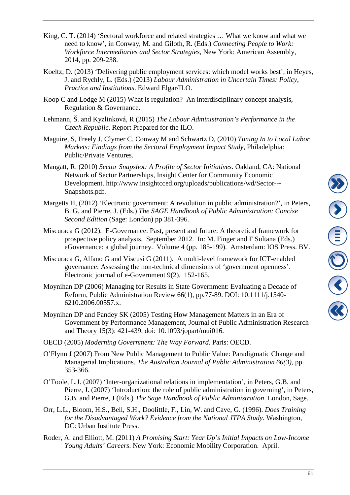- King, C. T. (2014) 'Sectoral workforce and related strategies … What we know and what we need to know', in Conway, M. and Giloth, R. (Eds.) *Connecting People to Work: Workforce Intermediaries and Sector Strategies,* New York: American Assembly, 2014, pp. 209-238.
- Koeltz, D. (2013) 'Delivering public employment services: which model works best', in Heyes, J. and Rychly, L. (Eds.) (2013) *Labour Administration in Uncertain Times: Policy, Practice and Institutions*. Edward Elgar/ILO.
- Koop C and Lodge M (2015) What is regulation? An interdisciplinary concept analysis, Regulation & Governance.
- Lehmann, Š. and Kyzlinková, R (2015) *The Labour Administration's Performance in the Czech Republic*. Report Prepared for the ILO.
- Maguire, S, Freely J, Clymer C, Conway M and Schwartz D, (2010) *Tuning In to Local Labor Markets: Findings from the Sectoral Employment Impact Study*, Philadelphia: Public/Private Ventures.
- Mangatt, R. (2010) *Sector Snapshot: A Profile of Sector Initiatives*. Oakland, CA: National Network of Sector Partnerships, Insight Center for Community Economic Development. http://www.insightcced.org/uploads/publications/wd/Sector---Snapshots.pdf.
- Margetts H, (2012) 'Electronic government: A revolution in public administration?', in Peters, B. G. and Pierre, J. (Eds.) *The SAGE Handbook of Public Administration: Concise Second Edition* (Sage: London) pp 381-396.
- Miscuraca G (2012). E-Governance: Past, present and future: A theoretical framework for prospective policy analysis. September 2012. In: M. Finger and F Sultana (Eds.) eGovernance: a global journey. Volume 4 (pp. 185-199). Amsterdam: IOS Press. BV.
- Miscuraca G, Alfano G and Viscusi G (2011). A multi-level framework for ICT-enabled governance: Assessing the non-technical dimensions of 'government openness'. Electronic journal of e-Government 9(2). 152-165.
- Moynihan DP (2006) Managing for Results in State Government: Evaluating a Decade of Reform, Public Administration Review 66(1), pp.77-89. DOI: 10.1111/j.1540- 6210.2006.00557.x.
- Moynihan DP and Pandey SK (2005) Testing How Management Matters in an Era of Government by Performance Management, Journal of Public Administration Research and Theory 15(3): 421-439. doi: 10.1093/jopart/mui016.
- OECD (2005) *Moderning Government: The Way Forward*. Paris: OECD.
- O'Flynn J (2007) From New Public Management to Public Value: Paradigmatic Change and Managerial Implications. *The Australian Journal of Public Administration 66(3),* pp. 353-366.
- O'Toole, L.J. (2007) 'Inter-organizational relations in implementation', in Peters, G.B. and Pierre, J. (2007) 'Introduction: the role of public administration in governing', in Peters, G.B. and Pierre, J (Eds.) *The Sage Handbook of Public Administration*. London, Sage.
- Orr, L.L., Bloom, H.S., Bell, S.H., Doolittle, F., Lin, W. and Cave, G. (1996). *Does Training for the Disadvantaged Work? Evidence from the National JTPA Study*. Washington, DC: Urban Institute Press.
- Roder, A. and Elliott, M. (2011) *A Promising Start: Year Up's Initial Impacts on Low-Income Young Adults' Careers*. New York: Economic Mobility Corporation. April.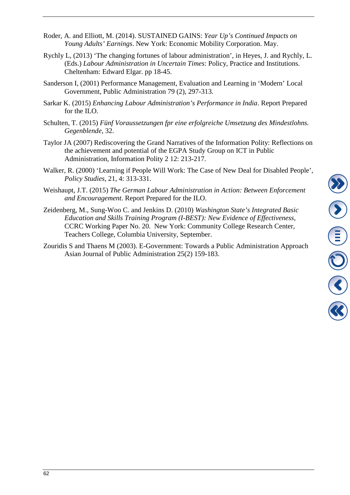ECCES

- Roder, A. and Elliott, M. (2014). SUSTAINED GAINS: *Year Up's Continued Impacts on Young Adults' Earnings*. New York: Economic Mobility Corporation. May.
- Rychly L, (2013) 'The changing fortunes of labour administration', in Heyes, J. and Rychly, L. (Eds.) *Labour Administration in Uncertain Times*: Policy, Practice and Institutions. Cheltenham: Edward Elgar. pp 18-45.
- Sanderson I, (2001) Performance Management, Evaluation and Learning in 'Modern' Local Government, Public Administration 79 (2), 297-313.
- Sarkar K. (2015) *Enhancing Labour Administration's Performance in India*. Report Prepared for the ILO.
- Schulten, T. (2015) *Fünf Voraussetzungen fpr eine erfolgreiche Umsetzung des Mindestlohns. Gegenblende*, 32.
- Taylor JA (2007) Rediscovering the Grand Narratives of the Information Polity: Reflections on the achievement and potential of the EGPA Study Group on ICT in Public Administration, Information Polity 2 12: 213-217.
- Walker, R. (2000) 'Learning if People Will Work: The Case of New Deal for Disabled People', *Policy Studies*, 21, 4: 313-331.
- Weishaupt, J.T. (2015) *The German Labour Administration in Action: Between Enforcement and Encouragement*. Report Prepared for the ILO.
- Zeidenberg, M., Sung-Woo C. and Jenkins D. (2010) *Washington State's Integrated Basic Education and Skills Training Program (I-BEST): New Evidence of Effectiveness*, CCRC Working Paper No. 20. New York: Community College Research Center, Teachers College, Columbia University, September.
- Zouridis S and Thaens M (2003). E-Government: Towards a Public Administration Approach Asian Journal of Public Administration 25(2) 159-183.